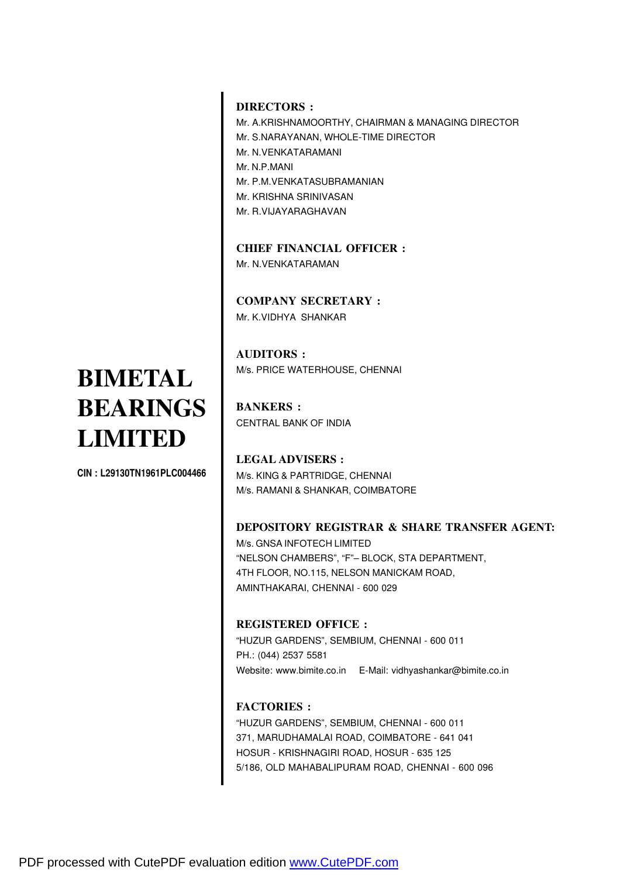#### **DIRECTORS :**

Mr. A.KRISHNAMOORTHY, CHAIRMAN & MANAGING DIRECTOR Mr. S.NARAYANAN, WHOLE-TIME DIRECTOR Mr. N.VENKATARAMANI Mr. N.P.MANI Mr. P.M.VENKATASUBRAMANIAN Mr. KRISHNA SRINIVASAN Mr. R.VIJAYARAGHAVAN

**CHIEF FINANCIAL OFFICER :** Mr. N.VENKATARAMAN

**COMPANY SECRETARY :** Mr. K.VIDHYA SHANKAR

**AUDITORS :** M/s. PRICE WATERHOUSE, CHENNAI

**BANKERS :** CENTRAL BANK OF INDIA

**LEGAL ADVISERS :** M/s. KING & PARTRIDGE, CHENNAI M/s. RAMANI & SHANKAR, COIMBATORE

#### **DEPOSITORY REGISTRAR & SHARE TRANSFER AGENT:**

M/s. GNSA INFOTECH LIMITED "NELSON CHAMBERS", "F"– BLOCK, STA DEPARTMENT, 4TH FLOOR, NO.115, NELSON MANICKAM ROAD, AMINTHAKARAI, CHENNAI - 600 029

#### **REGISTERED OFFICE :**

"HUZUR GARDENS", SEMBIUM, CHENNAI - 600 011 PH.: (044) 2537 5581 Website: www.bimite.co.in E-Mail: vidhyashankar@bimite.co.in

#### **FACTORIES :**

"HUZUR GARDENS", SEMBIUM, CHENNAI - 600 011 371, MARUDHAMALAI ROAD, COIMBATORE - 641 041 HOSUR - KRISHNAGIRI ROAD, HOSUR - 635 125 5/186, OLD MAHABALIPURAM ROAD, CHENNAI - 600 096

#### **BIMETAL BEARINGS LIMITED**

CIN : L29130TN1961PLC004466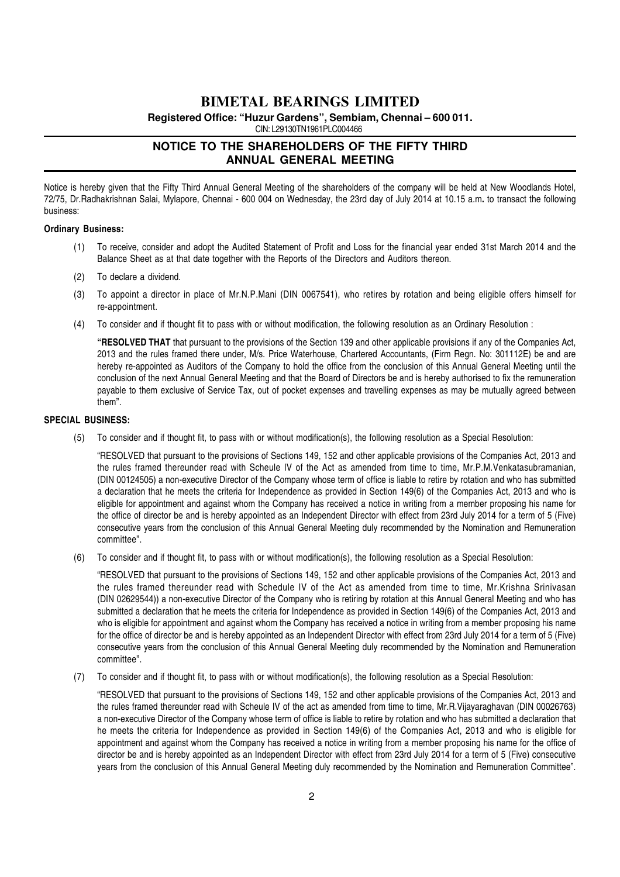**Registered Office: "Huzur Gardens", Sembiam, Chennai – 600 011.**

CIN: L29130TN1961PLC004466

#### **NOTICE TO THE SHAREHOLDERS OF THE FIFTY THIRD ANNUAL GENERAL MEETING**

Notice is hereby given that the Fifty Third Annual General Meeting of the shareholders of the company will be held at New Woodlands Hotel, 72/75, Dr.Radhakrishnan Salai, Mylapore, Chennai - 600 004 on Wednesday, the 23rd day of July 2014 at 10.15 a.m. to transact the following business:

#### Ordinary Business:

- (1) To receive, consider and adopt the Audited Statement of Profit and Loss for the financial year ended 31st March 2014 and the Balance Sheet as at that date together with the Reports of the Directors and Auditors thereon.
- (2) To declare a dividend.
- (3) To appoint a director in place of Mr.N.P.Mani (DIN 0067541), who retires by rotation and being eligible offers himself for re-appointment.
- (4) To consider and if thought fit to pass with or without modification, the following resolution as an Ordinary Resolution :

"RESOLVED THAT that pursuant to the provisions of the Section 139 and other applicable provisions if any of the Companies Act, 2013 and the rules framed there under, M/s. Price Waterhouse, Chartered Accountants, (Firm Regn. No: 301112E) be and are hereby re-appointed as Auditors of the Company to hold the office from the conclusion of this Annual General Meeting until the conclusion of the next Annual General Meeting and that the Board of Directors be and is hereby authorised to fix the remuneration payable to them exclusive of Service Tax, out of pocket expenses and travelling expenses as may be mutually agreed between them".

#### SPECIAL BUSINESS:

(5) To consider and if thought fit, to pass with or without modification(s), the following resolution as a Special Resolution:

"RESOLVED that pursuant to the provisions of Sections 149, 152 and other applicable provisions of the Companies Act, 2013 and the rules framed thereunder read with Scheule IV of the Act as amended from time to time, Mr.P.M.Venkatasubramanian, (DIN 00124505) a non-executive Director of the Company whose term of office is liable to retire by rotation and who has submitted a declaration that he meets the criteria for Independence as provided in Section 149(6) of the Companies Act, 2013 and who is eligible for appointment and against whom the Company has received a notice in writing from a member proposing his name for the office of director be and is hereby appointed as an Independent Director with effect from 23rd July 2014 for a term of 5 (Five) consecutive years from the conclusion of this Annual General Meeting duly recommended by the Nomination and Remuneration committee".

(6) To consider and if thought fit, to pass with or without modification(s), the following resolution as a Special Resolution:

"RESOLVED that pursuant to the provisions of Sections 149, 152 and other applicable provisions of the Companies Act, 2013 and the rules framed thereunder read with Schedule IV of the Act as amended from time to time, Mr.Krishna Srinivasan (DIN 02629544)) a non-executive Director of the Company who is retiring by rotation at this Annual General Meeting and who has submitted a declaration that he meets the criteria for Independence as provided in Section 149(6) of the Companies Act, 2013 and who is eligible for appointment and against whom the Company has received a notice in writing from a member proposing his name for the office of director be and is hereby appointed as an Independent Director with effect from 23rd July 2014 for a term of 5 (Five) consecutive years from the conclusion of this Annual General Meeting duly recommended by the Nomination and Remuneration committee".

(7) To consider and if thought fit, to pass with or without modification(s), the following resolution as a Special Resolution:

"RESOLVED that pursuant to the provisions of Sections 149, 152 and other applicable provisions of the Companies Act, 2013 and the rules framed thereunder read with Scheule IV of the act as amended from time to time, Mr.R.Vijayaraghavan (DIN 00026763) a non-executive Director of the Company whose term of office is liable to retire by rotation and who has submitted a declaration that he meets the criteria for Independence as provided in Section 149(6) of the Companies Act, 2013 and who is eligible for appointment and against whom the Company has received a notice in writing from a member proposing his name for the office of director be and is hereby appointed as an Independent Director with effect from 23rd July 2014 for a term of 5 (Five) consecutive years from the conclusion of this Annual General Meeting duly recommended by the Nomination and Remuneration Committee".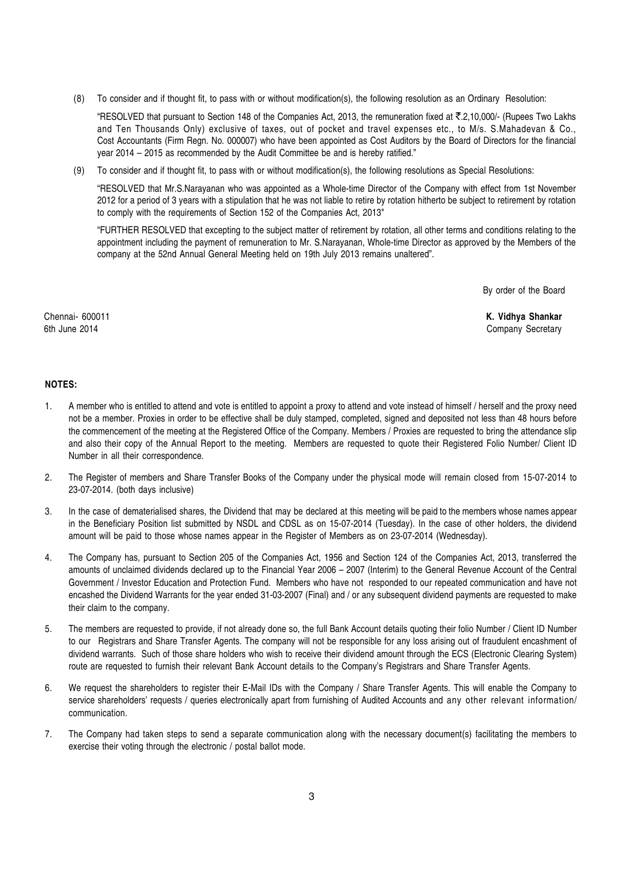(8) To consider and if thought fit, to pass with or without modification(s), the following resolution as an Ordinary Resolution:

"RESOLVED that pursuant to Section 148 of the Companies Act, 2013, the remuneration fixed at  $\bar{\tau}$ .2,10,000/- (Rupees Two Lakhs and Ten Thousands Only) exclusive of taxes, out of pocket and travel expenses etc., to M/s. S.Mahadevan & Co., Cost Accountants (Firm Regn. No. 000007) who have been appointed as Cost Auditors by the Board of Directors for the financial year 2014 – 2015 as recommended by the Audit Committee be and is hereby ratified."

(9) To consider and if thought fit, to pass with or without modification(s), the following resolutions as Special Resolutions:

"RESOLVED that Mr.S.Narayanan who was appointed as a Whole-time Director of the Company with effect from 1st November 2012 for a period of 3 years with a stipulation that he was not liable to retire by rotation hitherto be subject to retirement by rotation to comply with the requirements of Section 152 of the Companies Act, 2013"

"FURTHER RESOLVED that excepting to the subject matter of retirement by rotation, all other terms and conditions relating to the appointment including the payment of remuneration to Mr. S.Narayanan, Whole-time Director as approved by the Members of the company at the 52nd Annual General Meeting held on 19th July 2013 remains unaltered".

By order of the Board

Chennai- 600011 K. Vidhya Shankar 6th June 2014 **Company Secretary** 

#### NOTES:

- 1. A member who is entitled to attend and vote is entitled to appoint a proxy to attend and vote instead of himself / herself and the proxy need not be a member. Proxies in order to be effective shall be duly stamped, completed, signed and deposited not less than 48 hours before the commencement of the meeting at the Registered Office of the Company. Members / Proxies are requested to bring the attendance slip and also their copy of the Annual Report to the meeting. Members are requested to quote their Registered Folio Number/ Client ID Number in all their correspondence.
- 2. The Register of members and Share Transfer Books of the Company under the physical mode will remain closed from 15-07-2014 to 23-07-2014. (both days inclusive)
- 3. In the case of dematerialised shares, the Dividend that may be declared at this meeting will be paid to the members whose names appear in the Beneficiary Position list submitted by NSDL and CDSL as on 15-07-2014 (Tuesday). In the case of other holders, the dividend amount will be paid to those whose names appear in the Register of Members as on 23-07-2014 (Wednesday).
- 4. The Company has, pursuant to Section 205 of the Companies Act, 1956 and Section 124 of the Companies Act, 2013, transferred the amounts of unclaimed dividends declared up to the Financial Year 2006 – 2007 (Interim) to the General Revenue Account of the Central Government / Investor Education and Protection Fund. Members who have not responded to our repeated communication and have not encashed the Dividend Warrants for the year ended 31-03-2007 (Final) and / or any subsequent dividend payments are requested to make their claim to the company.
- 5. The members are requested to provide, if not already done so, the full Bank Account details quoting their folio Number / Client ID Number to our Registrars and Share Transfer Agents. The company will not be responsible for any loss arising out of fraudulent encashment of dividend warrants. Such of those share holders who wish to receive their dividend amount through the ECS (Electronic Clearing System) route are requested to furnish their relevant Bank Account details to the Company's Registrars and Share Transfer Agents.
- 6. We request the shareholders to register their E-Mail IDs with the Company / Share Transfer Agents. This will enable the Company to service shareholders' requests / queries electronically apart from furnishing of Audited Accounts and any other relevant information/ communication.
- 7. The Company had taken steps to send a separate communication along with the necessary document(s) facilitating the members to exercise their voting through the electronic / postal ballot mode.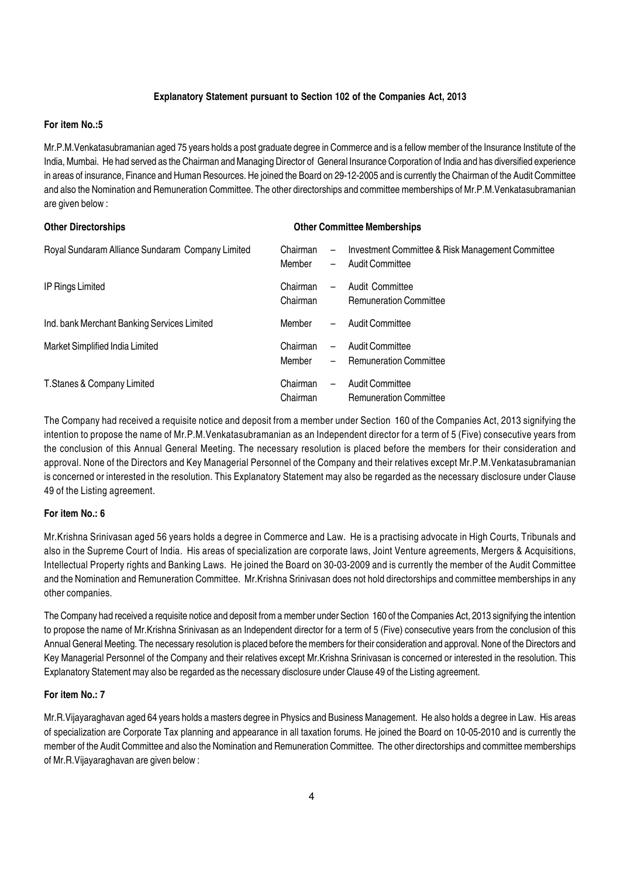#### Explanatory Statement pursuant to Section 102 of the Companies Act, 2013

#### For item No.:5

Mr.P.M.Venkatasubramanian aged 75 years holds a post graduate degree in Commerce and is a fellow member of the Insurance Institute of the India, Mumbai. He had served as the Chairman and Managing Director of General Insurance Corporation of India and has diversified experience in areas of insurance, Finance and Human Resources. He joined the Board on 29-12-2005 and is currently the Chairman of the Audit Committee and also the Nomination and Remuneration Committee. The other directorships and committee memberships of Mr.P.M.Venkatasubramanian are given below :

| <b>Other Directorships</b>                       | <b>Other Committee Memberships</b> |                                                      |                                                                            |  |
|--------------------------------------------------|------------------------------------|------------------------------------------------------|----------------------------------------------------------------------------|--|
| Royal Sundaram Alliance Sundaram Company Limited | Chairman<br>Member                 | $\overline{\phantom{0}}$<br>-                        | Investment Committee & Risk Management Committee<br><b>Audit Committee</b> |  |
| <b>IP Rings Limited</b>                          | Chairman<br>Chairman               | $\overline{\phantom{0}}$                             | Audit Committee<br><b>Remuneration Committee</b>                           |  |
| Ind. bank Merchant Banking Services Limited      | Member                             |                                                      | <b>Audit Committee</b>                                                     |  |
| Market Simplified India Limited                  | Chairman<br>Member                 | $\overline{\phantom{0}}$<br>$\overline{\phantom{0}}$ | Audit Committee<br><b>Remuneration Committee</b>                           |  |
| T.Stanes & Company Limited                       | Chairman<br>Chairman               | $\overline{\phantom{0}}$                             | <b>Audit Committee</b><br><b>Remuneration Committee</b>                    |  |

The Company had received a requisite notice and deposit from a member under Section 160 of the Companies Act, 2013 signifying the intention to propose the name of Mr.P.M.Venkatasubramanian as an Independent director for a term of 5 (Five) consecutive years from the conclusion of this Annual General Meeting. The necessary resolution is placed before the members for their consideration and approval. None of the Directors and Key Managerial Personnel of the Company and their relatives except Mr.P.M.Venkatasubramanian is concerned or interested in the resolution. This Explanatory Statement may also be regarded as the necessary disclosure under Clause 49 of the Listing agreement.

#### For item No.: 6

Mr.Krishna Srinivasan aged 56 years holds a degree in Commerce and Law. He is a practising advocate in High Courts, Tribunals and also in the Supreme Court of India. His areas of specialization are corporate laws, Joint Venture agreements, Mergers & Acquisitions, Intellectual Property rights and Banking Laws. He joined the Board on 30-03-2009 and is currently the member of the Audit Committee and the Nomination and Remuneration Committee. Mr.Krishna Srinivasan does not hold directorships and committee memberships in any other companies.

The Company had received a requisite notice and deposit from a member under Section 160 of the Companies Act, 2013 signifying the intention to propose the name of Mr.Krishna Srinivasan as an Independent director for a term of 5 (Five) consecutive years from the conclusion of this Annual General Meeting. The necessary resolution is placed before the members for their consideration and approval. None of the Directors and Key Managerial Personnel of the Company and their relatives except Mr.Krishna Srinivasan is concerned or interested in the resolution. This Explanatory Statement may also be regarded as the necessary disclosure under Clause 49 of the Listing agreement.

#### For item No.: 7

Mr.R.Vijayaraghavan aged 64 years holds a masters degree in Physics and Business Management. He also holds a degree in Law. His areas of specialization are Corporate Tax planning and appearance in all taxation forums. He joined the Board on 10-05-2010 and is currently the member of the Audit Committee and also the Nomination and Remuneration Committee. The other directorships and committee memberships of Mr.R.Vijayaraghavan are given below :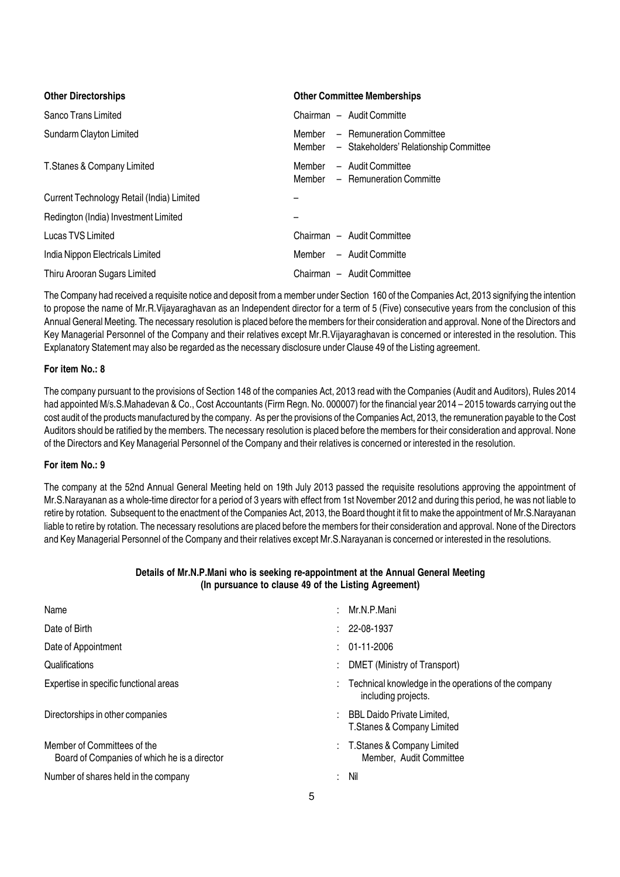| <b>Other Directorships</b>                | <b>Other Committee Memberships</b>                                               |
|-------------------------------------------|----------------------------------------------------------------------------------|
| Sanco Trans Limited                       | Chairman - Audit Committe                                                        |
| Sundarm Clayton Limited                   | Member - Remuneration Committee<br>Member - Stakeholders' Relationship Committee |
| T.Stanes & Company Limited                | Member - Audit Committee<br>Member – Remuneration Committe                       |
| Current Technology Retail (India) Limited |                                                                                  |
| Redington (India) Investment Limited      |                                                                                  |
| Lucas TVS Limited                         | Chairman - Audit Committee                                                       |
| India Nippon Electricals Limited          | Member - Audit Committe                                                          |
| Thiru Arooran Sugars Limited              | Chairman - Audit Committee                                                       |

The Company had received a requisite notice and deposit from a member under Section 160 of the Companies Act, 2013 signifying the intention to propose the name of Mr.R.Vijayaraghavan as an Independent director for a term of 5 (Five) consecutive years from the conclusion of this Annual General Meeting. The necessary resolution is placed before the members for their consideration and approval. None of the Directors and Key Managerial Personnel of the Company and their relatives except Mr.R.Vijayaraghavan is concerned or interested in the resolution. This Explanatory Statement may also be regarded as the necessary disclosure under Clause 49 of the Listing agreement.

#### For item No.: 8

The company pursuant to the provisions of Section 148 of the companies Act, 2013 read with the Companies (Audit and Auditors), Rules 2014 had appointed M/s.S.Mahadevan & Co., Cost Accountants (Firm Regn. No. 000007) for the financial year 2014 – 2015 towards carrying out the cost audit of the products manufactured by the company. As per the provisions of the Companies Act, 2013, the remuneration payable to the Cost Auditors should be ratified by the members. The necessary resolution is placed before the members for their consideration and approval. None of the Directors and Key Managerial Personnel of the Company and their relatives is concerned or interested in the resolution.

#### For item No.: 9

The company at the 52nd Annual General Meeting held on 19th July 2013 passed the requisite resolutions approving the appointment of Mr.S.Narayanan as a whole-time director for a period of 3 years with effect from 1st November 2012 and during this period, he was not liable to retire by rotation. Subsequent to the enactment of the Companies Act, 2013, the Board thought it fit to make the appointment of Mr.S.Narayanan liable to retire by rotation. The necessary resolutions are placed before the members for their consideration and approval. None of the Directors and Key Managerial Personnel of the Company and their relatives except Mr.S.Narayanan is concerned or interested in the resolutions.

#### Details of Mr.N.P.Mani who is seeking re-appointment at the Annual General Meeting (In pursuance to clause 49 of the Listing Agreement)

| Name                                                                        |    | Mr.N.P.Mani                                                                 |
|-----------------------------------------------------------------------------|----|-----------------------------------------------------------------------------|
| Date of Birth                                                               |    | 22-08-1937                                                                  |
| Date of Appointment                                                         |    | $: 01-11-2006$                                                              |
| Qualifications                                                              |    | DMET (Ministry of Transport)                                                |
| Expertise in specific functional areas                                      |    | Technical knowledge in the operations of the company<br>including projects. |
| Directorships in other companies                                            |    | : BBL Daido Private Limited,<br>T. Stanes & Company Limited                 |
| Member of Committees of the<br>Board of Companies of which he is a director |    | : T. Stanes & Company Limited<br>Member, Audit Committee                    |
| Number of shares held in the company                                        | ÷. | Nil                                                                         |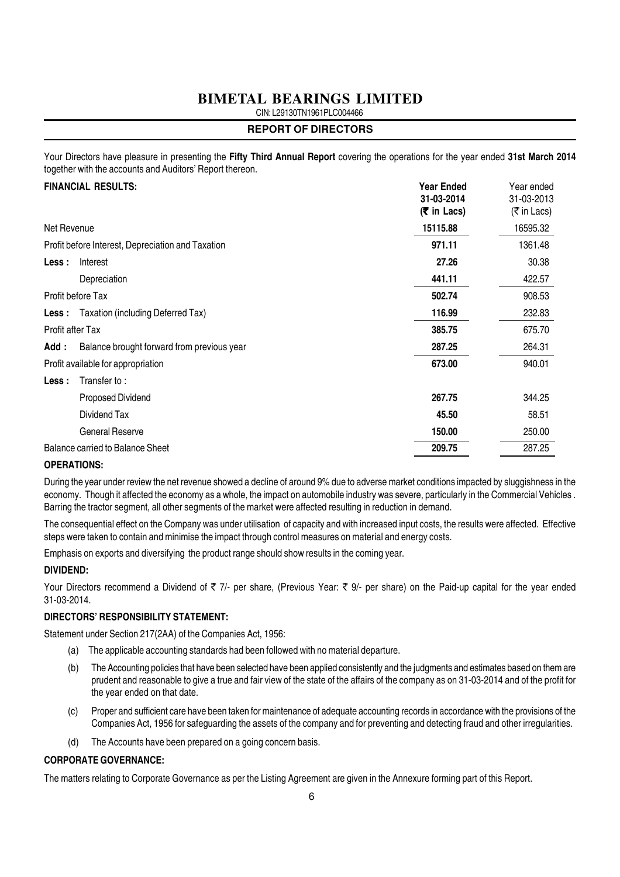CIN: L29130TN1961PLC004466

#### **REPORT OF DIRECTORS**

Your Directors have pleasure in presenting the Fifty Third Annual Report covering the operations for the year ended 31st March 2014 together with the accounts and Auditors' Report thereon.

|                  | <b>FINANCIAL RESULTS:</b>                         | <b>Year Ended</b><br>31-03-2014<br>$(5 \in \mathsf{In} \text{ Lacs})$ | Year ended<br>31-03-2013<br>$(\bar{\bar{\tau}})$ in Lacs) |
|------------------|---------------------------------------------------|-----------------------------------------------------------------------|-----------------------------------------------------------|
| Net Revenue      |                                                   | 15115.88                                                              | 16595.32                                                  |
|                  | Profit before Interest, Depreciation and Taxation | 971.11                                                                | 1361.48                                                   |
| Less :           | Interest                                          | 27.26                                                                 | 30.38                                                     |
|                  | Depreciation                                      | 441.11                                                                | 422.57                                                    |
|                  | Profit before Tax                                 | 502.74                                                                | 908.53                                                    |
|                  | <b>Less:</b> Taxation (including Deferred Tax)    | 116.99                                                                | 232.83                                                    |
| Profit after Tax |                                                   | 385.75                                                                | 675.70                                                    |
| Add:             | Balance brought forward from previous year        | 287.25                                                                | 264.31                                                    |
|                  | Profit available for appropriation                | 673.00                                                                | 940.01                                                    |
| Less :           | Transfer to:                                      |                                                                       |                                                           |
|                  | Proposed Dividend                                 | 267.75                                                                | 344.25                                                    |
|                  | Dividend Tax                                      | 45.50                                                                 | 58.51                                                     |
|                  | General Reserve                                   | 150.00                                                                | 250.00                                                    |
|                  | <b>Balance carried to Balance Sheet</b>           | 209.75                                                                | 287.25                                                    |
|                  |                                                   |                                                                       |                                                           |

#### OPERATIONS:

During the year under review the net revenue showed a decline of around 9% due to adverse market conditions impacted by sluggishness in the economy. Though it affected the economy as a whole, the impact on automobile industry was severe, particularly in the Commercial Vehicles . Barring the tractor segment, all other segments of the market were affected resulting in reduction in demand.

The consequential effect on the Company was under utilisation of capacity and with increased input costs, the results were affected. Effective steps were taken to contain and minimise the impact through control measures on material and energy costs.

Emphasis on exports and diversifying the product range should show results in the coming year.

#### DIVIDEND:

Your Directors recommend a Dividend of  $\overline{z}$  7/- per share, (Previous Year:  $\overline{z}$  9/- per share) on the Paid-up capital for the year ended 31-03-2014.

#### DIRECTORS' RESPONSIBILITY STATEMENT:

Statement under Section 217(2AA) of the Companies Act, 1956:

- (a) The applicable accounting standards had been followed with no material departure.
- (b) The Accounting policies that have been selected have been applied consistently and the judgments and estimates based on them are prudent and reasonable to give a true and fair view of the state of the affairs of the company as on 31-03-2014 and of the profit for the year ended on that date.
- (c) Proper and sufficient care have been taken for maintenance of adequate accounting records in accordance with the provisions of the Companies Act, 1956 for safeguarding the assets of the company and for preventing and detecting fraud and other irregularities.
- (d) The Accounts have been prepared on a going concern basis.

#### CORPORATE GOVERNANCE:

The matters relating to Corporate Governance as per the Listing Agreement are given in the Annexure forming part of this Report.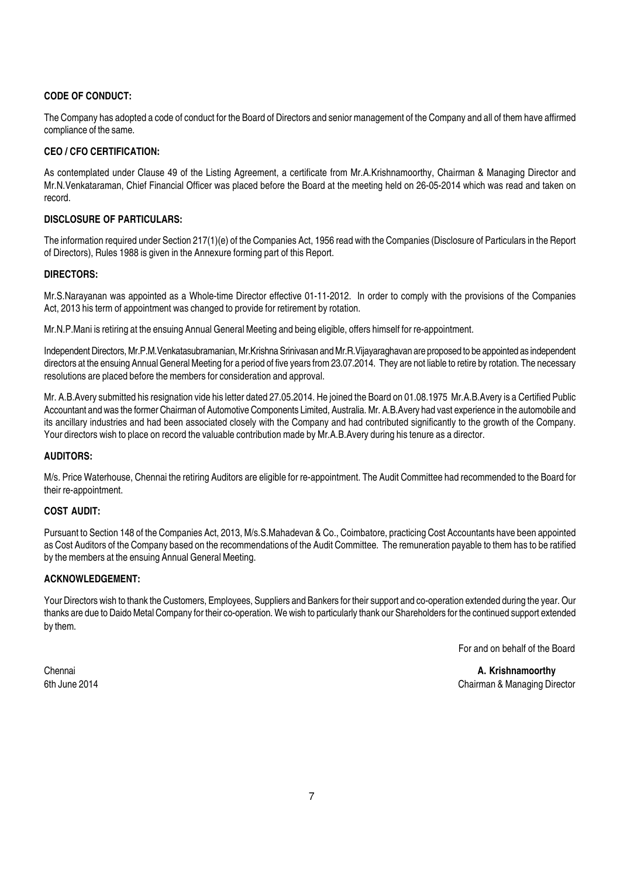#### CODE OF CONDUCT:

The Company has adopted a code of conduct for the Board of Directors and senior management of the Company and all of them have affirmed compliance of the same.

#### CEO / CFO CERTIFICATION:

As contemplated under Clause 49 of the Listing Agreement, a certificate from Mr.A.Krishnamoorthy, Chairman & Managing Director and Mr.N.Venkataraman, Chief Financial Officer was placed before the Board at the meeting held on 26-05-2014 which was read and taken on record.

#### DISCLOSURE OF PARTICULARS:

The information required under Section 217(1)(e) of the Companies Act, 1956 read with the Companies (Disclosure of Particulars in the Report of Directors), Rules 1988 is given in the Annexure forming part of this Report.

#### DIRECTORS:

Mr.S.Narayanan was appointed as a Whole-time Director effective 01-11-2012. In order to comply with the provisions of the Companies Act, 2013 his term of appointment was changed to provide for retirement by rotation.

Mr.N.P.Mani is retiring at the ensuing Annual General Meeting and being eligible, offers himself for re-appointment.

Independent Directors, Mr.P.M.Venkatasubramanian, Mr.Krishna Srinivasan and Mr.R.Vijayaraghavan are proposed to be appointed as independent directors at the ensuing Annual General Meeting for a period of five years from 23.07.2014. They are not liable to retire by rotation. The necessary resolutions are placed before the members for consideration and approval.

Mr. A.B.Avery submitted his resignation vide his letter dated 27.05.2014. He joined the Board on 01.08.1975 Mr.A.B.Avery is a Certified Public Accountant and was the former Chairman of Automotive Components Limited, Australia. Mr. A.B.Avery had vast experience in the automobile and its ancillary industries and had been associated closely with the Company and had contributed significantly to the growth of the Company. Your directors wish to place on record the valuable contribution made by Mr.A.B.Avery during his tenure as a director.

#### AUDITORS:

M/s. Price Waterhouse, Chennai the retiring Auditors are eligible for re-appointment. The Audit Committee had recommended to the Board for their re-appointment.

#### COST AUDIT:

Pursuant to Section 148 of the Companies Act, 2013, M/s.S.Mahadevan & Co., Coimbatore, practicing Cost Accountants have been appointed as Cost Auditors of the Company based on the recommendations of the Audit Committee. The remuneration payable to them has to be ratified by the members at the ensuing Annual General Meeting.

#### ACKNOWLEDGEMENT:

Your Directors wish to thank the Customers, Employees, Suppliers and Bankers for their support and co-operation extended during the year. Our thanks are due to Daido Metal Company for their co-operation. We wish to particularly thank our Shareholders for the continued support extended by them.

For and on behalf of the Board

Chennai **A. Krishnamoorthy A. Krishnamoorthy** 6th June 2014 Chairman & Managing Director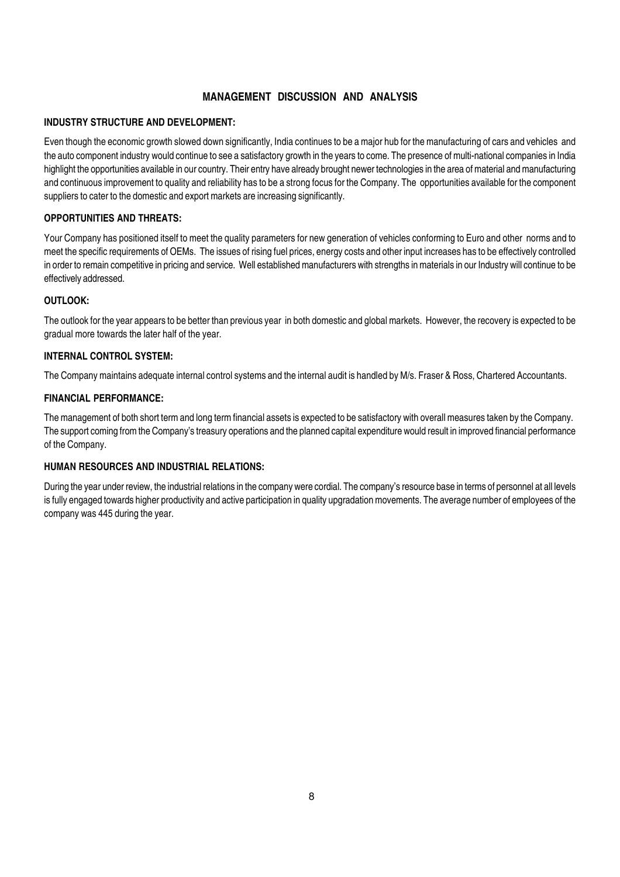#### MANAGEMENT DISCUSSION AND ANALYSIS

#### INDUSTRY STRUCTURE AND DEVELOPMENT:

Even though the economic growth slowed down significantly, India continues to be a major hub for the manufacturing of cars and vehicles and the auto component industry would continue to see a satisfactory growth in the years to come. The presence of multi-national companies in India highlight the opportunities available in our country. Their entry have already brought newer technologies in the area of material and manufacturing and continuous improvement to quality and reliability has to be a strong focus for the Company. The opportunities available for the component suppliers to cater to the domestic and export markets are increasing significantly.

#### OPPORTUNITIES AND THREATS:

Your Company has positioned itself to meet the quality parameters for new generation of vehicles conforming to Euro and other norms and to meet the specific requirements of OEMs. The issues of rising fuel prices, energy costs and other input increases has to be effectively controlled in order to remain competitive in pricing and service. Well established manufacturers with strengths in materials in our Industry will continue to be effectively addressed.

#### OUTLOOK:

The outlook for the year appears to be better than previous year in both domestic and global markets. However, the recovery is expected to be gradual more towards the later half of the year.

#### INTERNAL CONTROL SYSTEM:

The Company maintains adequate internal control systems and the internal audit is handled by M/s. Fraser & Ross, Chartered Accountants.

#### FINANCIAL PERFORMANCE:

The management of both short term and long term financial assets is expected to be satisfactory with overall measures taken by the Company. The support coming from the Company's treasury operations and the planned capital expenditure would result in improved financial performance of the Company.

#### HUMAN RESOURCES AND INDUSTRIAL RELATIONS:

During the year under review, the industrial relations in the company were cordial. The company's resource base in terms of personnel at all levels is fully engaged towards higher productivity and active participation in quality upgradation movements. The average number of employees of the company was 445 during the year.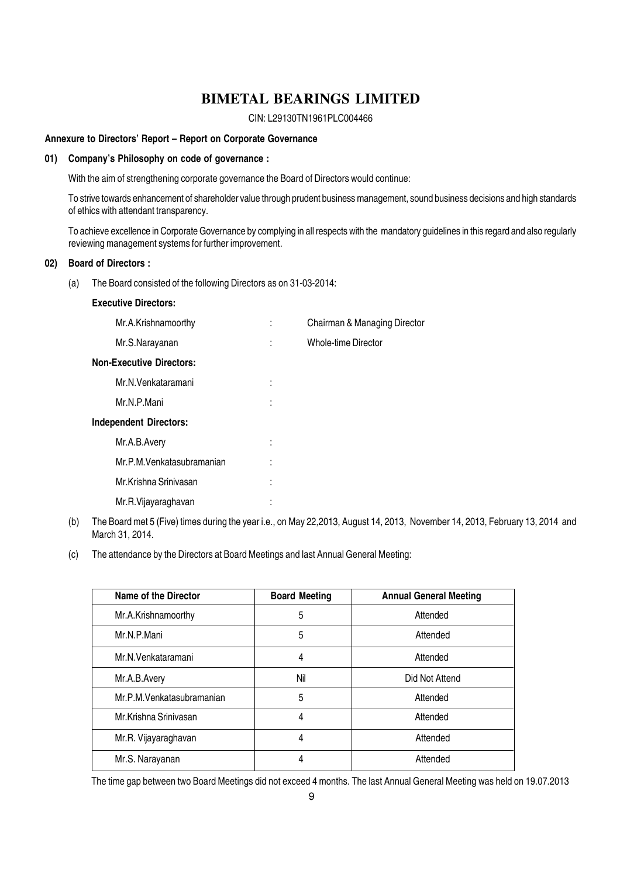CIN: L29130TN1961PLC004466

#### Annexure to Directors' Report – Report on Corporate Governance

#### 01) Company's Philosophy on code of governance :

With the aim of strengthening corporate governance the Board of Directors would continue:

To strive towards enhancement of shareholder value through prudent business management, sound business decisions and high standards of ethics with attendant transparency.

To achieve excellence in Corporate Governance by complying in all respects with the mandatory guidelines in this regard and also regularly reviewing management systems for further improvement.

#### 02) Board of Directors :

(a) The Board consisted of the following Directors as on 31-03-2014:

#### Executive Directors:

| Mr.A.Krishnamoorthy             |   | Chairman & Managing Director |
|---------------------------------|---|------------------------------|
| Mr.S.Narayanan                  |   | <b>Whole-time Director</b>   |
| <b>Non-Executive Directors:</b> |   |                              |
| Mr.N.Venkataramani              |   |                              |
| Mr.N.P.Mani                     |   |                              |
| <b>Independent Directors:</b>   |   |                              |
| Mr.A.B.Avery                    |   |                              |
| Mr.P.M.Venkatasubramanian       |   |                              |
| Mr.Krishna Srinivasan           |   |                              |
| Mr.R.Vijayaraghavan             | ٠ |                              |
|                                 |   |                              |

- (b) The Board met 5 (Five) times during the year i.e., on May 22,2013, August 14, 2013, November 14, 2013, February 13, 2014 and March 31, 2014.
- (c) The attendance by the Directors at Board Meetings and last Annual General Meeting:

| <b>Name of the Director</b> | <b>Board Meeting</b> | <b>Annual General Meeting</b> |
|-----------------------------|----------------------|-------------------------------|
| Mr.A.Krishnamoorthy         | 5                    | Attended                      |
| Mr.N.P.Mani                 | 5                    | Attended                      |
| Mr.N.Venkataramani          | 4                    | Attended                      |
| Mr.A.B.Avery                | Nil                  | Did Not Attend                |
| Mr.P.M. Venkatasubramanian  | 5                    | Attended                      |
| Mr.Krishna Srinivasan       | 4                    | Attended                      |
| Mr.R. Vijayaraghavan        | 4                    | Attended                      |
| Mr.S. Narayanan             | 4                    | Attended                      |

The time gap between two Board Meetings did not exceed 4 months. The last Annual General Meeting was held on 19.07.2013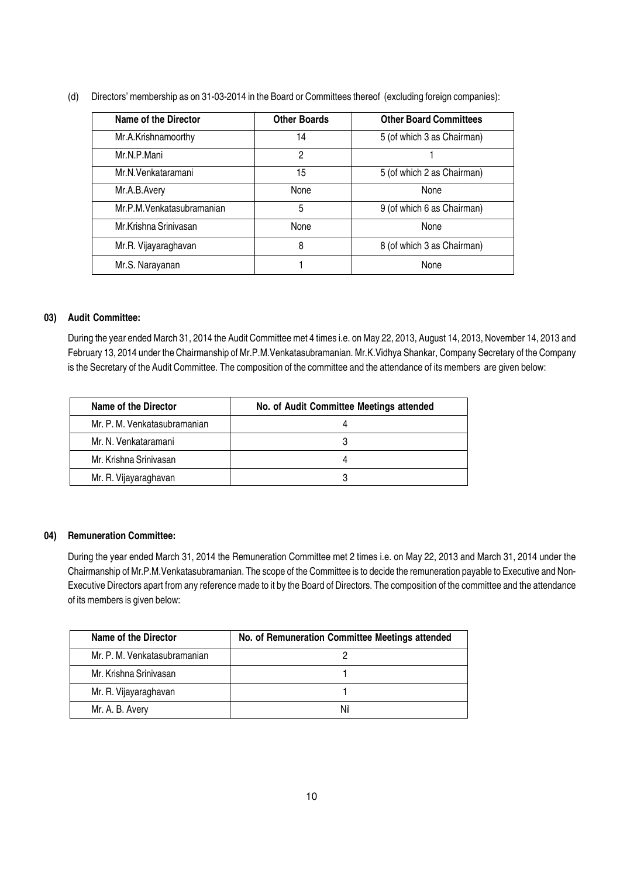(d) Directors' membership as on 31-03-2014 in the Board or Committees thereof (excluding foreign companies):

| <b>Name of the Director</b> | <b>Other Boards</b> | <b>Other Board Committees</b> |
|-----------------------------|---------------------|-------------------------------|
| Mr.A.Krishnamoorthy         | 14                  | 5 (of which 3 as Chairman)    |
| Mr.N.P.Mani                 | 2                   |                               |
| Mr.N.Venkataramani          | 15                  | 5 (of which 2 as Chairman)    |
| Mr.A.B.Avery                | <b>None</b>         | None                          |
| Mr.P.M.Venkatasubramanian   | 5                   | 9 (of which 6 as Chairman)    |
| Mr.Krishna Srinivasan       | None                | None                          |
| Mr.R. Vijayaraghavan        | 8                   | 8 (of which 3 as Chairman)    |
| Mr.S. Narayanan             |                     | None                          |

#### 03) Audit Committee:

During the year ended March 31, 2014 the Audit Committee met 4 times i.e. on May 22, 2013, August 14, 2013, November 14, 2013 and February 13, 2014 under the Chairmanship of Mr.P.M.Venkatasubramanian. Mr.K.Vidhya Shankar, Company Secretary of the Company is the Secretary of the Audit Committee. The composition of the committee and the attendance of its members are given below:

| Name of the Director         | No. of Audit Committee Meetings attended |
|------------------------------|------------------------------------------|
| Mr. P. M. Venkatasubramanian |                                          |
| Mr. N. Venkataramani         |                                          |
| Mr. Krishna Srinivasan       |                                          |
| Mr. R. Vijayaraghavan        |                                          |

#### 04) Remuneration Committee:

During the year ended March 31, 2014 the Remuneration Committee met 2 times i.e. on May 22, 2013 and March 31, 2014 under the Chairmanship of Mr.P.M.Venkatasubramanian. The scope of the Committee is to decide the remuneration payable to Executive and Non-Executive Directors apart from any reference made to it by the Board of Directors. The composition of the committee and the attendance of its members is given below:

| Name of the Director         | No. of Remuneration Committee Meetings attended |
|------------------------------|-------------------------------------------------|
| Mr. P. M. Venkatasubramanian |                                                 |
| Mr. Krishna Srinivasan       |                                                 |
| Mr. R. Vijayaraghavan        |                                                 |
| Mr. A. B. Avery              | Nil                                             |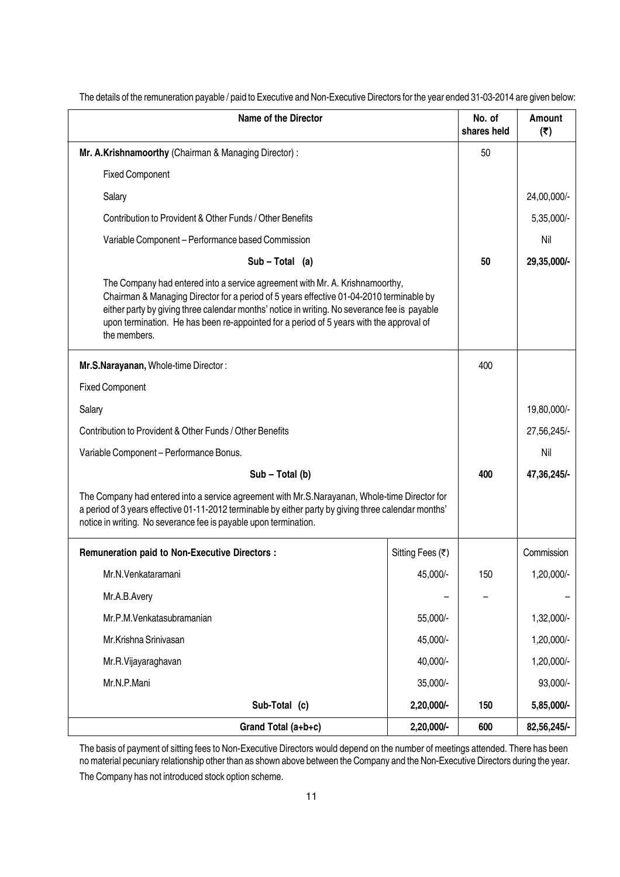| <b>Name of the Director</b>                                                                                                                                                                                                                                                                                                                                                        |                  |     | Amount<br>(5) |
|------------------------------------------------------------------------------------------------------------------------------------------------------------------------------------------------------------------------------------------------------------------------------------------------------------------------------------------------------------------------------------|------------------|-----|---------------|
| Mr. A.Krishnamoorthy (Chairman & Managing Director):                                                                                                                                                                                                                                                                                                                               |                  | 50  |               |
| <b>Fixed Component</b>                                                                                                                                                                                                                                                                                                                                                             |                  |     |               |
| Salary                                                                                                                                                                                                                                                                                                                                                                             |                  |     | 24,00,000/-   |
| Contribution to Provident & Other Funds / Other Benefits                                                                                                                                                                                                                                                                                                                           |                  |     | 5,35,000/-    |
| Variable Component - Performance based Commission                                                                                                                                                                                                                                                                                                                                  |                  |     | Nil           |
| $Sub - Total (a)$                                                                                                                                                                                                                                                                                                                                                                  |                  | 50  | 29,35,000/-   |
| The Company had entered into a service agreement with Mr. A. Krishnamoorthy,<br>Chairman & Managing Director for a period of 5 years effective 01-04-2010 terminable by<br>either party by giving three calendar months' notice in writing. No severance fee is payable<br>upon termination. He has been re-appointed for a period of 5 years with the approval of<br>the members. |                  |     |               |
| Mr.S.Narayanan, Whole-time Director:                                                                                                                                                                                                                                                                                                                                               |                  | 400 |               |
| <b>Fixed Component</b>                                                                                                                                                                                                                                                                                                                                                             |                  |     |               |
| Salary                                                                                                                                                                                                                                                                                                                                                                             |                  |     | 19,80,000/-   |
| Contribution to Provident & Other Funds / Other Benefits                                                                                                                                                                                                                                                                                                                           |                  |     | 27,56,245/-   |
| Variable Component - Performance Bonus.                                                                                                                                                                                                                                                                                                                                            |                  |     | Nil           |
| Sub - Total (b)                                                                                                                                                                                                                                                                                                                                                                    |                  |     | 47,36,245/-   |
| The Company had entered into a service agreement with Mr.S.Narayanan, Whole-time Director for<br>a period of 3 years effective 01-11-2012 terminable by either party by giving three calendar months'<br>notice in writing. No severance fee is payable upon termination.                                                                                                          |                  |     |               |
| Remuneration paid to Non-Executive Directors :                                                                                                                                                                                                                                                                                                                                     | Sitting Fees (₹) |     | Commission    |
| Mr.N.Venkataramani                                                                                                                                                                                                                                                                                                                                                                 | 45,000/-         | 150 | 1,20,000/     |
| Mr.A.B.Avery                                                                                                                                                                                                                                                                                                                                                                       |                  |     |               |
| Mr.P.M.Venkatasubramanian                                                                                                                                                                                                                                                                                                                                                          | 55,000/-         |     | 1,32,000/-    |
| Mr.Krishna Srinivasan                                                                                                                                                                                                                                                                                                                                                              | 45,000/-         |     | 1,20,000/-    |
| Mr.R.Vijayaraghavan                                                                                                                                                                                                                                                                                                                                                                | 40,000/-         |     | 1,20,000/-    |
| Mr.N.P.Mani                                                                                                                                                                                                                                                                                                                                                                        | 35,000/-         |     | 93,000/-      |
| Sub-Total (c)                                                                                                                                                                                                                                                                                                                                                                      | 2,20,000/-       | 150 | 5,85,000/-    |
| Grand Total (a+b+c)                                                                                                                                                                                                                                                                                                                                                                | 2,20,000/-       | 600 | 82,56,245/-   |

The details of the remuneration payable / paid to Executive and Non-Executive Directors for the year ended 31-03-2014 are given below:

The basis of payment of sitting fees to Non-Executive Directors would depend on the number of meetings attended. There has been no material pecuniary relationship other than as shown above between the Company and the Non-Executive Directors during the year. The Company has not introduced stock option scheme.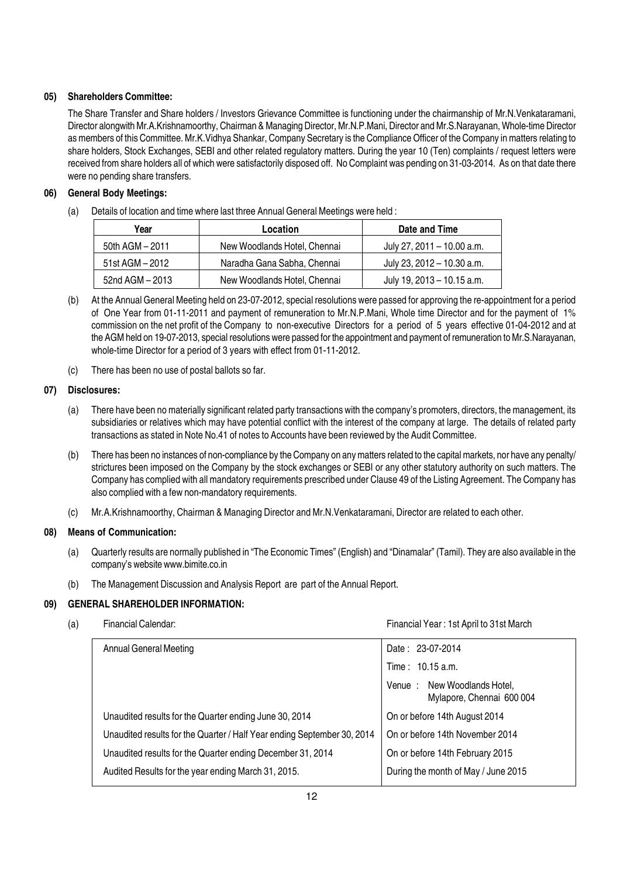#### 05) Shareholders Committee:

The Share Transfer and Share holders / Investors Grievance Committee is functioning under the chairmanship of Mr.N.Venkataramani, Director alongwith Mr.A.Krishnamoorthy, Chairman & Managing Director, Mr.N.P.Mani, Director and Mr.S.Narayanan, Whole-time Director as members of this Committee. Mr.K. Vidhya Shankar, Company Secretary is the Compliance Officer of the Company in matters relating to share holders, Stock Exchanges, SEBI and other related regulatory matters. During the year 10 (Ten) complaints / request letters were received from share holders all of which were satisfactorily disposed off. No Complaint was pending on 31-03-2014. As on that date there were no pending share transfers.

#### 06) General Body Meetings:

(a) Details of location and time where last three Annual General Meetings were held :

| Year            | Location                     | Date and Time              |
|-----------------|------------------------------|----------------------------|
| 50th AGM - 2011 | New Woodlands Hotel, Chennai | July 27, 2011 – 10.00 a.m. |
| 51st AGM - 2012 | Naradha Gana Sabha, Chennai  | July 23, 2012 - 10.30 a.m. |
| 52nd AGM - 2013 | New Woodlands Hotel, Chennai | July 19, 2013 - 10.15 a.m. |

- (b) At the Annual General Meeting held on 23-07-2012, special resolutions were passed for approving the re-appointment for a period of One Year from 01-11-2011 and payment of remuneration to Mr.N.P.Mani, Whole time Director and for the payment of 1% commission on the net profit of the Company to non-executive Directors for a period of 5 years effective 01-04-2012 and at the AGM held on 19-07-2013, special resolutions were passed for the appointment and payment of remuneration to Mr.S.Narayanan, whole-time Director for a period of 3 years with effect from 01-11-2012.
- (c) There has been no use of postal ballots so far.

#### 07) Disclosures:

- (a) There have been no materially significant related party transactions with the company's promoters, directors, the management, its subsidiaries or relatives which may have potential conflict with the interest of the company at large. The details of related party transactions as stated in Note No.41 of notes to Accounts have been reviewed by the Audit Committee.
- (b) There has been no instances of non-compliance by the Company on any matters related to the capital markets, nor have any penalty/ strictures been imposed on the Company by the stock exchanges or SEBI or any other statutory authority on such matters. The Company has complied with all mandatory requirements prescribed under Clause 49 of the Listing Agreement. The Company has also complied with a few non-mandatory requirements.
- (c) Mr.A.Krishnamoorthy, Chairman & Managing Director and Mr.N.Venkataramani, Director are related to each other.

#### 08) Means of Communication:

- (a) Quarterly results are normally published in "The Economic Times" (English) and "Dinamalar" (Tamil). They are also available in the company's website www.bimite.co.in
- (b) The Management Discussion and Analysis Report are part of the Annual Report.

#### 09) GENERAL SHAREHOLDER INFORMATION:

(a) Financial Calendar: Financial Year : 1st April to 31st March

| Annual General Meeting                                                  | Date: 23-07-2014                                         |
|-------------------------------------------------------------------------|----------------------------------------------------------|
|                                                                         | Time: 10.15 a.m.                                         |
|                                                                         | Venue: New Woodlands Hotel,<br>Mylapore, Chennai 600 004 |
| Unaudited results for the Quarter ending June 30, 2014                  | On or before 14th August 2014                            |
| Unaudited results for the Quarter / Half Year ending September 30, 2014 | On or before 14th November 2014                          |
| Unaudited results for the Quarter ending December 31, 2014              | On or before 14th February 2015                          |
| Audited Results for the year ending March 31, 2015.                     | During the month of May / June 2015                      |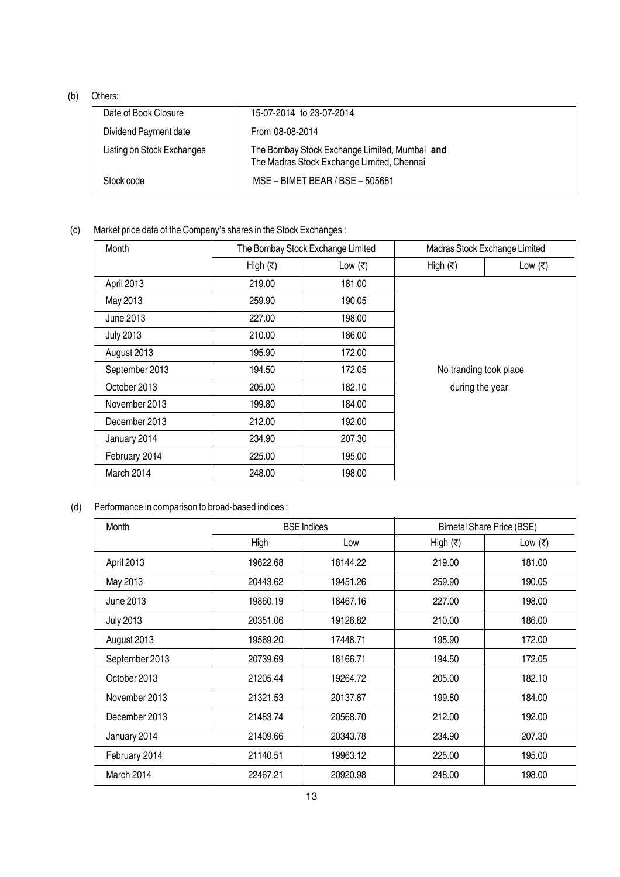#### (b) Others:

| Date of Book Closure       | 15-07-2014 to 23-07-2014                                                                    |
|----------------------------|---------------------------------------------------------------------------------------------|
| Dividend Payment date      | From 08-08-2014                                                                             |
| Listing on Stock Exchanges | The Bombay Stock Exchange Limited, Mumbai and<br>The Madras Stock Exchange Limited, Chennai |
| Stock code                 | MSE - BIMET BEAR / BSE - 505681                                                             |

#### (c) Market price data of the Company's shares in the Stock Exchanges :

| Month            | The Bombay Stock Exchange Limited |           |                          | Madras Stock Exchange Limited |  |
|------------------|-----------------------------------|-----------|--------------------------|-------------------------------|--|
|                  | High $(₹)$                        | Low $(₹)$ | High $(\overline{\tau})$ | Low $(₹)$                     |  |
| April 2013       | 219.00                            | 181.00    |                          |                               |  |
| May 2013         | 259.90                            | 190.05    |                          |                               |  |
| June 2013        | 227.00                            | 198.00    |                          |                               |  |
| <b>July 2013</b> | 210.00                            | 186.00    |                          |                               |  |
| August 2013      | 195.90                            | 172.00    |                          |                               |  |
| September 2013   | 194.50                            | 172.05    | No tranding took place   |                               |  |
| October 2013     | 205.00                            | 182.10    | during the year          |                               |  |
| November 2013    | 199.80                            | 184.00    |                          |                               |  |
| December 2013    | 212.00                            | 192.00    |                          |                               |  |
| January 2014     | 234.90                            | 207.30    |                          |                               |  |
| February 2014    | 225.00                            | 195.00    |                          |                               |  |
| March 2014       | 248.00                            | 198.00    |                          |                               |  |

#### (d) Performance in comparison to broad-based indices :

| Month            | <b>BSE</b> Indices |          |                     | <b>Bimetal Share Price (BSE)</b> |
|------------------|--------------------|----------|---------------------|----------------------------------|
|                  | High               | Low      | High $(\bar{\tau})$ | Low $(₹)$                        |
| April 2013       | 19622.68           | 18144.22 | 219.00              | 181.00                           |
| May 2013         | 20443.62           | 19451.26 | 259.90              | 190.05                           |
| June 2013        | 19860.19           | 18467.16 | 227.00              | 198.00                           |
| <b>July 2013</b> | 20351.06           | 19126.82 | 210.00              | 186.00                           |
| August 2013      | 19569.20           | 17448.71 | 195.90              | 172.00                           |
| September 2013   | 20739.69           | 18166.71 | 194.50              | 172.05                           |
| October 2013     | 21205.44           | 19264.72 | 205.00              | 182.10                           |
| November 2013    | 21321.53           | 20137.67 | 199.80              | 184.00                           |
| December 2013    | 21483.74           | 20568.70 | 212.00              | 192.00                           |
| January 2014     | 21409.66           | 20343.78 | 234.90              | 207.30                           |
| February 2014    | 21140.51           | 19963.12 | 225.00              | 195.00                           |
| March 2014       | 22467.21           | 20920.98 | 248.00              | 198.00                           |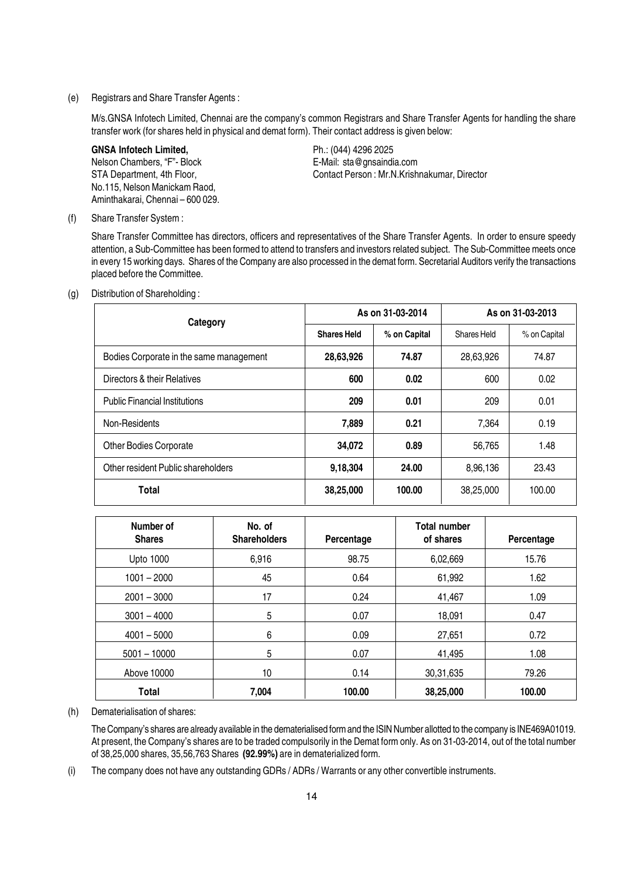#### (e) Registrars and Share Transfer Agents :

M/s.GNSA Infotech Limited, Chennai are the company's common Registrars and Share Transfer Agents for handling the share transfer work (for shares held in physical and demat form). Their contact address is given below:

GNSA Infotech Limited, The Contract Contract Ph.: (044) 4296 2025 Nelson Chambers, "F"- Block E-Mail: sta@gnsaindia.com No.115, Nelson Manickam Raod, Aminthakarai, Chennai – 600 029.

STA Department, 4th Floor, STA Department, 4th Floor, Contact Person : Mr.N.Krishnakumar, Director

(f) Share Transfer System :

Share Transfer Committee has directors, officers and representatives of the Share Transfer Agents. In order to ensure speedy attention, a Sub-Committee has been formed to attend to transfers and investors related subject. The Sub-Committee meets once in every 15 working days. Shares of the Company are also processed in the demat form. Secretarial Auditors verify the transactions placed before the Committee.

(g) Distribution of Shareholding :

| Category                                |                    | As on 31-03-2014 | As on 31-03-2013 |              |  |
|-----------------------------------------|--------------------|------------------|------------------|--------------|--|
|                                         | <b>Shares Held</b> | % on Capital     | Shares Held      | % on Capital |  |
| Bodies Corporate in the same management | 28,63,926          | 74.87            | 28,63,926        | 74.87        |  |
| Directors & their Relatives             | 600                | 0.02             | 600              | 0.02         |  |
| <b>Public Financial Institutions</b>    | 209                | 0.01             | 209              | 0.01         |  |
| Non-Residents                           | 7,889              | 0.21             | 7.364            | 0.19         |  |
| <b>Other Bodies Corporate</b>           | 34,072             | 0.89             | 56,765           | 1.48         |  |
| Other resident Public shareholders      | 9,18,304           | 24.00            | 8,96,136         | 23.43        |  |
| Total                                   | 38,25,000          | 100.00           | 38,25,000        | 100.00       |  |

| Number of<br><b>Shares</b> | No. of<br><b>Shareholders</b> | Percentage | <b>Total number</b><br>of shares | Percentage |
|----------------------------|-------------------------------|------------|----------------------------------|------------|
| <b>Upto 1000</b>           | 6,916                         | 98.75      | 6,02,669                         | 15.76      |
| $1001 - 2000$              | 45                            | 0.64       | 61,992                           | 1.62       |
| $2001 - 3000$              | 17                            | 0.24       | 41,467                           | 1.09       |
| $3001 - 4000$              | 5                             | 0.07       | 18,091                           | 0.47       |
| $4001 - 5000$              | 6                             | 0.09       | 27,651                           | 0.72       |
| $5001 - 10000$             | 5                             | 0.07       | 41,495                           | 1.08       |
| Above 10000                | 10                            | 0.14       | 30,31,635                        | 79.26      |
| Total                      | 7,004                         | 100.00     | 38,25,000                        | 100.00     |

(h) Dematerialisation of shares:

The Company's shares are already available in the dematerialised form and the ISIN Number allotted to the company is INE469A01019. At present, the Company's shares are to be traded compulsorily in the Demat form only. As on 31-03-2014, out of the total number of 38,25,000 shares, 35,56,763 Shares (92.99%) are in dematerialized form.

(i) The company does not have any outstanding GDRs / ADRs / Warrants or any other convertible instruments.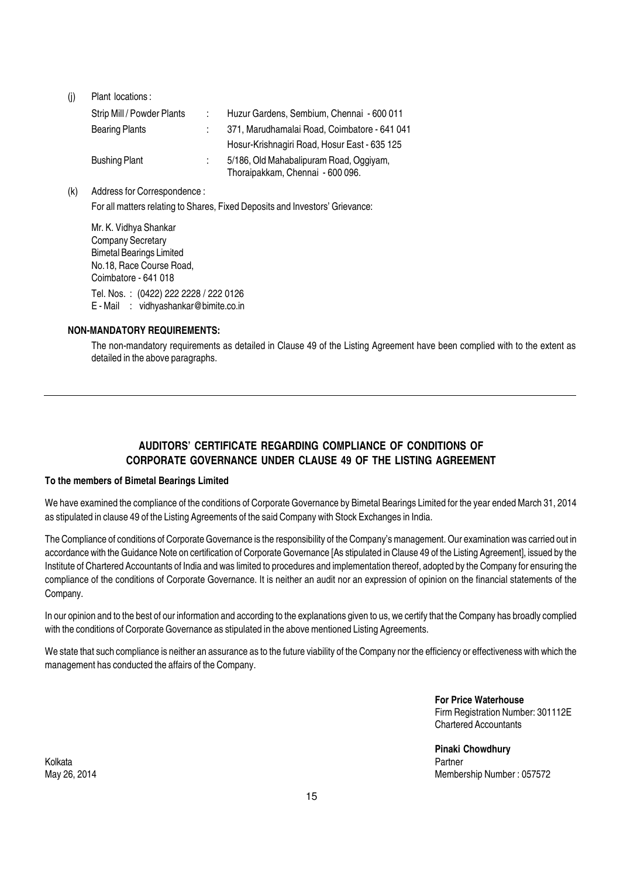(j) Plant locations :

| Strip Mill / Powder Plants | Huzur Gardens, Sembium, Chennai - 600 011                                   |
|----------------------------|-----------------------------------------------------------------------------|
| <b>Bearing Plants</b>      | 371, Marudhamalai Road, Coimbatore - 641 041                                |
|                            | Hosur-Krishnagiri Road, Hosur East - 635 125                                |
| <b>Bushing Plant</b>       | 5/186, Old Mahabalipuram Road, Oggiyam,<br>Thoraipakkam, Chennai - 600 096. |

(k) Address for Correspondence :

For all matters relating to Shares, Fixed Deposits and Investors' Grievance:

Mr. K. Vidhya Shankar Company Secretary Bimetal Bearings Limited No.18, Race Course Road, Coimbatore - 641 018 Tel. Nos. : (0422) 222 2228 / 222 0126 E - Mail : vidhyashankar@bimite.co.in

#### NON-MANDATORY REQUIREMENTS:

The non-mandatory requirements as detailed in Clause 49 of the Listing Agreement have been complied with to the extent as detailed in the above paragraphs.

#### AUDITORS' CERTIFICATE REGARDING COMPLIANCE OF CONDITIONS OF CORPORATE GOVERNANCE UNDER CLAUSE 49 OF THE LISTING AGREEMENT

#### To the members of Bimetal Bearings Limited

We have examined the compliance of the conditions of Corporate Governance by Bimetal Bearings Limited for the year ended March 31, 2014 as stipulated in clause 49 of the Listing Agreements of the said Company with Stock Exchanges in India.

The Compliance of conditions of Corporate Governance is the responsibility of the Company's management. Our examination was carried out in accordance with the Guidance Note on certification of Corporate Governance [As stipulated in Clause 49 of the Listing Agreement], issued by the Institute of Chartered Accountants of India and was limited to procedures and implementation thereof, adopted by the Company for ensuring the compliance of the conditions of Corporate Governance. It is neither an audit nor an expression of opinion on the financial statements of the Company.

In our opinion and to the best of our information and according to the explanations given to us, we certify that the Company has broadly complied with the conditions of Corporate Governance as stipulated in the above mentioned Listing Agreements.

We state that such compliance is neither an assurance as to the future viability of the Company nor the efficiency or effectiveness with which the management has conducted the affairs of the Company.

> For Price Waterhouse Firm Registration Number: 301112E Chartered Accountants

Pinaki Chowdhury May 26, 2014 Membership Number : 057572

Kolkata Partner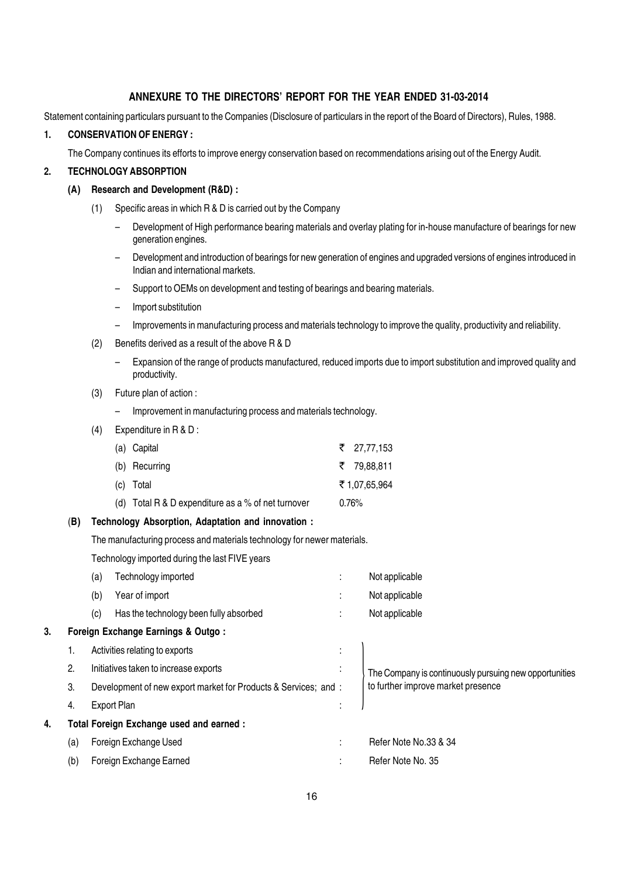#### ANNEXURE TO THE DIRECTORS' REPORT FOR THE YEAR ENDED 31-03-2014

Statement containing particulars pursuant to the Companies (Disclosure of particulars in the report of the Board of Directors), Rules, 1988.

#### 1. CONSERVATION OF ENERGY :

The Company continues its efforts to improve energy conservation based on recommendations arising out of the Energy Audit.

#### 2. TECHNOLOGY ABSORPTION

#### (A) Research and Development (R&D) :

- (1) Specific areas in which R & D is carried out by the Company
	- Development of High performance bearing materials and overlay plating for in-house manufacture of bearings for new generation engines.
	- Development and introduction of bearings for new generation of engines and upgraded versions of engines introduced in Indian and international markets.
	- Support to OEMs on development and testing of bearings and bearing materials.
	- Import substitution
	- Improvements in manufacturing process and materials technology to improve the quality, productivity and reliability.
- (2) Benefits derived as a result of the above R & D
	- Expansion of the range of products manufactured, reduced imports due to import substitution and improved quality and productivity.
- (3) Future plan of action :
	- Improvement in manufacturing process and materials technology.
- (4) Expenditure in R & D :

| (a) Capital                                        | ₹ 27.77.153  |
|----------------------------------------------------|--------------|
| (b) Recurring                                      | ₹ 79.88.811  |
| (c) Total                                          | ₹1.07.65.964 |
| (d) Total R & D expenditure as a % of net turnover | $0.76\%$     |

#### (B) Technology Absorption, Adaptation and innovation :

The manufacturing process and materials technology for newer materials.

Technology imported during the last FIVE years

|    |     | (a) | Technology imported                                             | ٠<br>$\mathbf{r}$         | Not applicable                                         |
|----|-----|-----|-----------------------------------------------------------------|---------------------------|--------------------------------------------------------|
|    |     | (b) | Year of import                                                  | $\bullet$<br>$\mathbf{r}$ | Not applicable                                         |
|    |     | (c) | Has the technology been fully absorbed                          | ٠                         | Not applicable                                         |
| 3. |     |     | Foreign Exchange Earnings & Outgo:                              |                           |                                                        |
|    | ъ.  |     | Activities relating to exports                                  | $\bullet$<br>$\mathbf{r}$ |                                                        |
|    | 2.  |     | Initiatives taken to increase exports                           | ٠<br>$\bullet$            | The Company is continuously pursuing new opportunities |
|    | 3.  |     | Development of new export market for Products & Services; and : |                           | to further improve market presence                     |
|    | 4.  |     | <b>Export Plan</b>                                              | ٠<br>$\mathbf{r}$         |                                                        |
| 4. |     |     | Total Foreign Exchange used and earned :                        |                           |                                                        |
|    | (a) |     | Foreign Exchange Used                                           | ٠                         | Refer Note No.33 & 34                                  |
|    | (b) |     | Foreign Exchange Earned                                         | ٠                         | Refer Note No. 35                                      |
|    |     |     |                                                                 |                           |                                                        |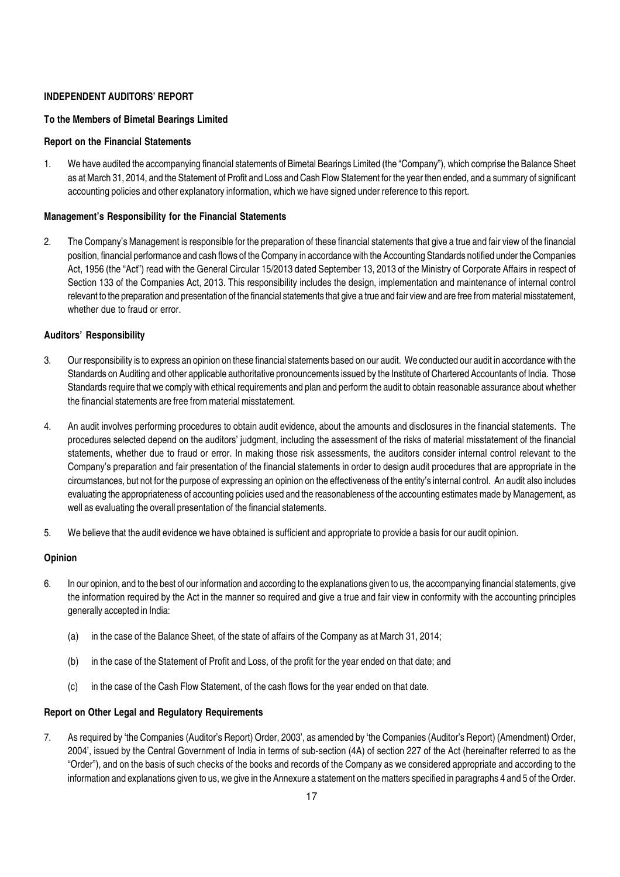#### INDEPENDENT AUDITORS' REPORT

#### To the Members of Bimetal Bearings Limited

#### Report on the Financial Statements

1. We have audited the accompanying financial statements of Bimetal Bearings Limited (the "Company"), which comprise the Balance Sheet as at March 31, 2014, and the Statement of Profit and Loss and Cash Flow Statement for the year then ended, and a summary of significant accounting policies and other explanatory information, which we have signed under reference to this report.

#### Management's Responsibility for the Financial Statements

2. The Company's Management is responsible for the preparation of these financial statements that give a true and fair view of the financial position, financial performance and cash flows of the Company in accordance with the Accounting Standards notified under the Companies Act, 1956 (the "Act") read with the General Circular 15/2013 dated September 13, 2013 of the Ministry of Corporate Affairs in respect of Section 133 of the Companies Act, 2013. This responsibility includes the design, implementation and maintenance of internal control relevant to the preparation and presentation of the financial statements that give a true and fair view and are free from material misstatement, whether due to fraud or error.

#### Auditors' Responsibility

- 3. Our responsibility is to express an opinion on these financial statements based on our audit. We conducted our audit in accordance with the Standards on Auditing and other applicable authoritative pronouncements issued by the Institute of Chartered Accountants of India. Those Standards require that we comply with ethical requirements and plan and perform the audit to obtain reasonable assurance about whether the financial statements are free from material misstatement.
- 4. An audit involves performing procedures to obtain audit evidence, about the amounts and disclosures in the financial statements. The procedures selected depend on the auditors' judgment, including the assessment of the risks of material misstatement of the financial statements, whether due to fraud or error. In making those risk assessments, the auditors consider internal control relevant to the Company's preparation and fair presentation of the financial statements in order to design audit procedures that are appropriate in the circumstances, but not for the purpose of expressing an opinion on the effectiveness of the entity's internal control. An audit also includes evaluating the appropriateness of accounting policies used and the reasonableness of the accounting estimates made by Management, as well as evaluating the overall presentation of the financial statements.
- 5. We believe that the audit evidence we have obtained is sufficient and appropriate to provide a basis for our audit opinion.

#### **Opinion**

- 6. In our opinion, and to the best of our information and according to the explanations given to us, the accompanying financial statements, give the information required by the Act in the manner so required and give a true and fair view in conformity with the accounting principles generally accepted in India:
	- (a) in the case of the Balance Sheet, of the state of affairs of the Company as at March 31, 2014;
	- (b) in the case of the Statement of Profit and Loss, of the profit for the year ended on that date; and
	- (c) in the case of the Cash Flow Statement, of the cash flows for the year ended on that date.

#### Report on Other Legal and Regulatory Requirements

7. As required by 'the Companies (Auditor's Report) Order, 2003', as amended by 'the Companies (Auditor's Report) (Amendment) Order, 2004', issued by the Central Government of India in terms of sub-section (4A) of section 227 of the Act (hereinafter referred to as the "Order"), and on the basis of such checks of the books and records of the Company as we considered appropriate and according to the information and explanations given to us, we give in the Annexure a statement on the matters specified in paragraphs 4 and 5 of the Order.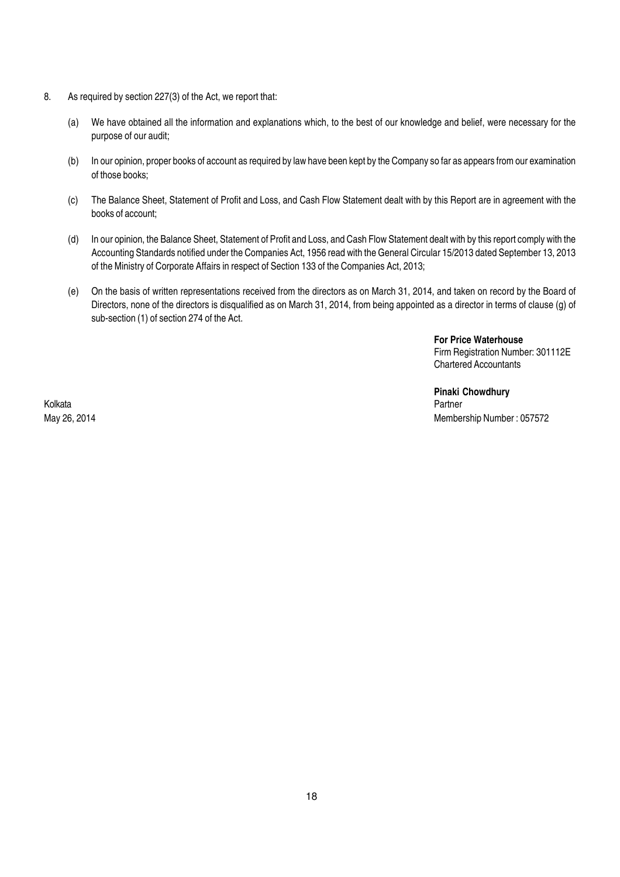- 8. As required by section 227(3) of the Act, we report that:
	- (a) We have obtained all the information and explanations which, to the best of our knowledge and belief, were necessary for the purpose of our audit;
	- (b) In our opinion, proper books of account as required by law have been kept by the Company so far as appears from our examination of those books;
	- (c) The Balance Sheet, Statement of Profit and Loss, and Cash Flow Statement dealt with by this Report are in agreement with the books of account;
	- (d) In our opinion, the Balance Sheet, Statement of Profit and Loss, and Cash Flow Statement dealt with by this report comply with the Accounting Standards notified under the Companies Act, 1956 read with the General Circular 15/2013 dated September 13, 2013 of the Ministry of Corporate Affairs in respect of Section 133 of the Companies Act, 2013;
	- (e) On the basis of written representations received from the directors as on March 31, 2014, and taken on record by the Board of Directors, none of the directors is disqualified as on March 31, 2014, from being appointed as a director in terms of clause (g) of sub-section (1) of section 274 of the Act.

For Price Waterhouse Firm Registration Number: 301112E Chartered Accountants

Pinaki Chowdhury<br>Partner May 26, 2014 Membership Number : 057572

Kolkata Partner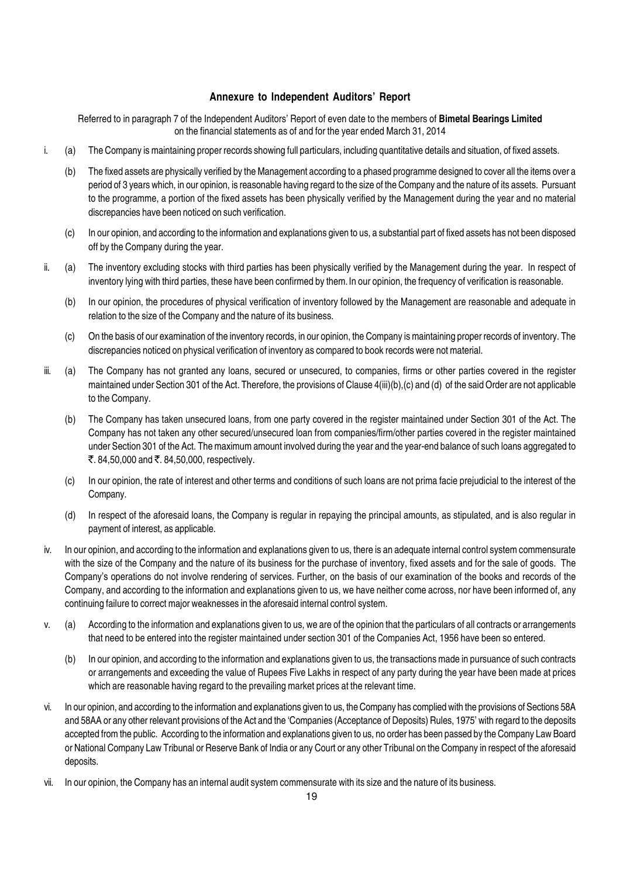#### Annexure to Independent Auditors' Report

Referred to in paragraph 7 of the Independent Auditors' Report of even date to the members of Bimetal Bearings Limited on the financial statements as of and for the year ended March 31, 2014

- i. (a) The Company is maintaining proper records showing full particulars, including quantitative details and situation, of fixed assets.
	- (b) The fixed assets are physically verified by the Management according to a phased programme designed to cover all the items over a period of 3 years which, in our opinion, is reasonable having regard to the size of the Company and the nature of its assets. Pursuant to the programme, a portion of the fixed assets has been physically verified by the Management during the year and no material discrepancies have been noticed on such verification.
	- (c) In our opinion, and according to the information and explanations given to us, a substantial part of fixed assets has not been disposed off by the Company during the year.
- ii. (a) The inventory excluding stocks with third parties has been physically verified by the Management during the year. In respect of inventory lying with third parties, these have been confirmed by them.In our opinion, the frequency of verification is reasonable.
	- (b) In our opinion, the procedures of physical verification of inventory followed by the Management are reasonable and adequate in relation to the size of the Company and the nature of its business.
	- (c) On the basis of our examination of the inventory records, in our opinion, the Company is maintaining proper records of inventory. The discrepancies noticed on physical verification of inventory as compared to book records were not material.
- iii. (a) The Company has not granted any loans, secured or unsecured, to companies, firms or other parties covered in the register maintained under Section 301 of the Act. Therefore, the provisions of Clause 4(iii)(b),(c) and (d) of the said Order are not applicable to the Company.
	- (b) The Company has taken unsecured loans, from one party covered in the register maintained under Section 301 of the Act. The Company has not taken any other secured/unsecured loan from companies/firm/other parties covered in the register maintained under Section 301 of the Act. The maximum amount involved during the year and the year-end balance of such loans aggregated to  $\bar{\mathcal{F}}$ . 84,50,000 and  $\bar{\mathcal{F}}$ . 84,50,000, respectively.
	- (c) In our opinion, the rate of interest and other terms and conditions of such loans are not prima facie prejudicial to the interest of the Company.
	- (d) In respect of the aforesaid loans, the Company is regular in repaying the principal amounts, as stipulated, and is also regular in payment of interest, as applicable.
- iv. In our opinion, and according to the information and explanations given to us, there is an adequate internal control system commensurate with the size of the Company and the nature of its business for the purchase of inventory, fixed assets and for the sale of goods. The Company's operations do not involve rendering of services. Further, on the basis of our examination of the books and records of the Company, and according to the information and explanations given to us, we have neither come across, nor have been informed of, any continuing failure to correct major weaknesses in the aforesaid internal control system.
- v. (a) According to the information and explanations given to us, we are of the opinion that the particulars of all contracts or arrangements that need to be entered into the register maintained under section 301 of the Companies Act, 1956 have been so entered.
	- (b) In our opinion, and according to the information and explanations given to us, the transactions made in pursuance of such contracts or arrangements and exceeding the value of Rupees Five Lakhs in respect of any party during the year have been made at prices which are reasonable having regard to the prevailing market prices at the relevant time.
- vi. In our opinion, and according to the information and explanations given to us, the Company has complied with the provisions of Sections 58A and 58AA or any other relevant provisions of the Act and the 'Companies (Acceptance of Deposits) Rules, 1975' with regard to the deposits accepted from the public. According to the information and explanations given to us, no order has been passed by the Company Law Board or National Company Law Tribunal or Reserve Bank of India or any Court or any other Tribunal on the Company in respect of the aforesaid deposits.
- vii. In our opinion, the Company has an internal audit system commensurate with its size and the nature of its business.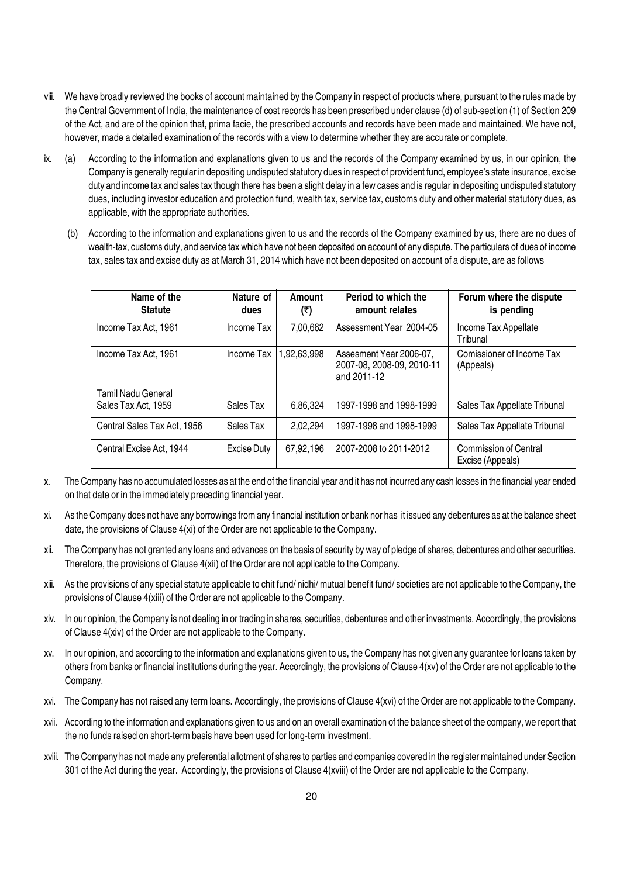- viii. We have broadly reviewed the books of account maintained by the Company in respect of products where, pursuant to the rules made by the Central Government of India, the maintenance of cost records has been prescribed under clause (d) of sub-section (1) of Section 209 of the Act, and are of the opinion that, prima facie, the prescribed accounts and records have been made and maintained. We have not, however, made a detailed examination of the records with a view to determine whether they are accurate or complete.
- ix. (a) According to the information and explanations given to us and the records of the Company examined by us, in our opinion, the Company is generally regular in depositing undisputed statutory dues in respect of provident fund, employee's state insurance, excise duty and income tax and sales tax though there has been a slight delay in a few cases and is regular in depositing undisputed statutory dues, including investor education and protection fund, wealth tax, service tax, customs duty and other material statutory dues, as applicable, with the appropriate authorities.
	- (b) According to the information and explanations given to us and the records of the Company examined by us, there are no dues of wealth-tax, customs duty, and service tax which have not been deposited on account of any dispute. The particulars of dues of income tax, sales tax and excise duty as at March 31, 2014 which have not been deposited on account of a dispute, are as follows

| Name of the<br><b>Statute</b>             | Nature of<br>dues | Amount<br>(₹) | Period to which the<br>amount relates                               | Forum where the dispute<br>is pending     |
|-------------------------------------------|-------------------|---------------|---------------------------------------------------------------------|-------------------------------------------|
| Income Tax Act, 1961                      | Income Tax        | 7,00,662      | Assessment Year 2004-05                                             | Income Tax Appellate<br>Tribunal          |
| Income Tax Act, 1961                      | Income Tax        | ,92,63,998    | Assesment Year 2006-07,<br>2007-08, 2008-09, 2010-11<br>and 2011-12 | Comissioner of Income Tax<br>(Appeals)    |
| Tamil Nadu General<br>Sales Tax Act, 1959 | Sales Tax         | 6,86,324      | 1997-1998 and 1998-1999                                             | Sales Tax Appellate Tribunal              |
| Central Sales Tax Act. 1956               | Sales Tax         | 2.02.294      | 1997-1998 and 1998-1999                                             | Sales Tax Appellate Tribunal              |
| Central Excise Act, 1944                  | Excise Duty       | 67,92,196     | 2007-2008 to 2011-2012                                              | Commission of Central<br>Excise (Appeals) |

- x. The Company has no accumulated losses as at the end of the financial year and it has not incurred any cash losses in the financial year ended on that date or in the immediately preceding financial year.
- xi. As the Company does not have any borrowings from any financial institution or bank nor has it issued any debentures as at the balance sheet date, the provisions of Clause 4(xi) of the Order are not applicable to the Company.
- xii. The Company has not granted any loans and advances on the basis of security by way of pledge of shares, debentures and other securities. Therefore, the provisions of Clause 4(xii) of the Order are not applicable to the Company.
- xiii. As the provisions of any special statute applicable to chit fund/ nidhi/ mutual benefit fund/ societies are not applicable to the Company, the provisions of Clause 4(xiii) of the Order are not applicable to the Company.
- xiv. In our opinion, the Company is not dealing in or trading in shares, securities, debentures and other investments. Accordingly, the provisions of Clause 4(xiv) of the Order are not applicable to the Company.
- xv. In our opinion, and according to the information and explanations given to us, the Company has not given any guarantee for loans taken by others from banks or financial institutions during the year. Accordingly, the provisions of Clause 4(xv) of the Order are not applicable to the Company.
- xvi. The Company has not raised any term loans. Accordingly, the provisions of Clause 4(xvi) of the Order are not applicable to the Company.
- xvii. According to the information and explanations given to us and on an overall examination of the balance sheet of the company, we report that the no funds raised on short-term basis have been used for long-term investment.
- xviii. The Company has not made any preferential allotment of shares to parties and companies covered in the register maintained under Section 301 of the Act during the year. Accordingly, the provisions of Clause 4(xviii) of the Order are not applicable to the Company.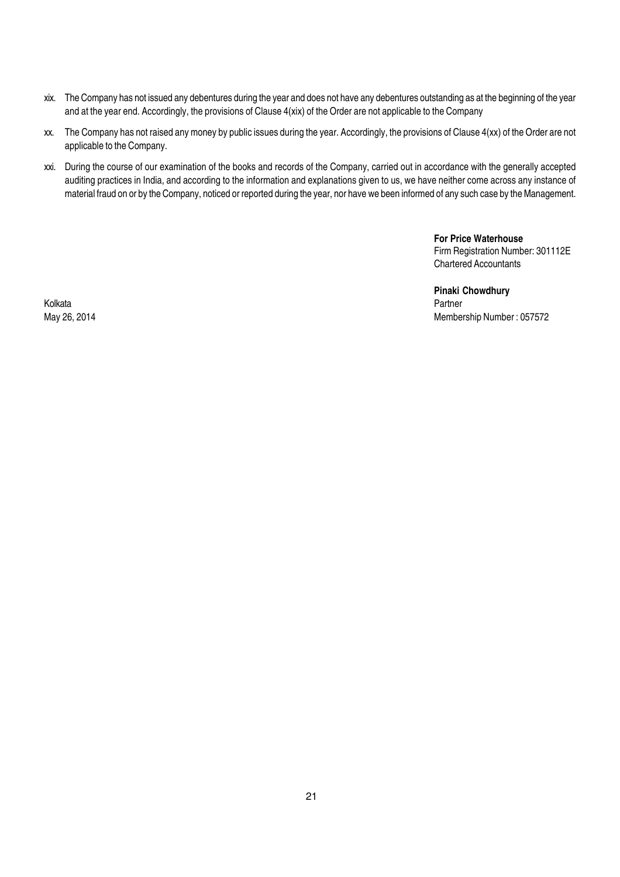- xix. The Company has not issued any debentures during the year and does not have any debentures outstanding as at the beginning of the year and at the year end. Accordingly, the provisions of Clause 4(xix) of the Order are not applicable to the Company
- xx. The Company has not raised any money by public issues during the year. Accordingly, the provisions of Clause 4(xx) of the Order are not applicable to the Company.
- xxi. During the course of our examination of the books and records of the Company, carried out in accordance with the generally accepted auditing practices in India, and according to the information and explanations given to us, we have neither come across any instance of material fraud on or by the Company, noticed or reported during the year, nor have we been informed of any such case by the Management.

For Price Waterhouse Firm Registration Number: 301112E Chartered Accountants

Pinaki Chowdhury<br>Partner May 26, 2014 Membership Number : 057572

Kolkata Partner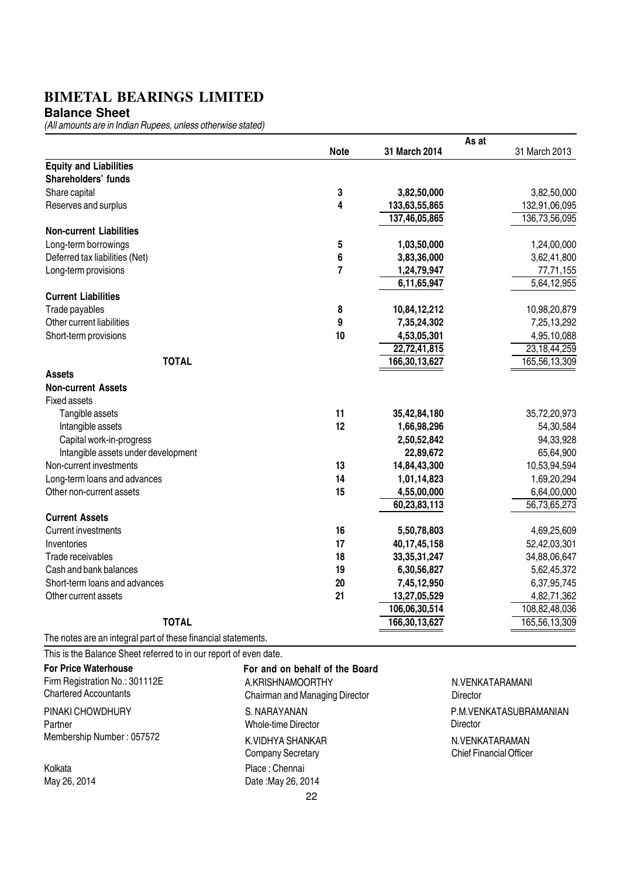**Balance Sheet**

(All amounts are in Indian Rupees, unless otherwise stated)

|                                                               |                         | As at            |                 |
|---------------------------------------------------------------|-------------------------|------------------|-----------------|
|                                                               | <b>Note</b>             | 31 March 2014    | 31 March 2013   |
| <b>Equity and Liabilities</b>                                 |                         |                  |                 |
| Shareholders' funds                                           |                         |                  |                 |
| Share capital                                                 | 3                       | 3,82,50,000      | 3,82,50,000     |
| Reserves and surplus                                          | $\overline{\mathbf{4}}$ | 133,63,55,865    | 132,91,06,095   |
|                                                               |                         | 137,46,05,865    | 136,73,56,095   |
| <b>Non-current Liabilities</b>                                |                         |                  |                 |
| Long-term borrowings                                          | 5                       | 1,03,50,000      | 1,24,00,000     |
| Deferred tax liabilities (Net)                                | 6                       | 3,83,36,000      | 3,62,41,800     |
| Long-term provisions                                          | $\overline{7}$          | 1,24,79,947      | 77,71,155       |
|                                                               |                         | 6,11,65,947      | 5,64,12,955     |
| <b>Current Liabilities</b>                                    |                         |                  |                 |
| Trade payables                                                | 8                       | 10,84,12,212     | 10,98,20,879    |
| Other current liabilities                                     | 9                       | 7,35,24,302      | 7,25,13,292     |
| Short-term provisions                                         | 10                      | 4,53,05,301      | 4,95,10,088     |
|                                                               |                         | 22,72,41,815     | 23, 18, 44, 259 |
| <b>TOTAL</b>                                                  |                         | 166,30,13,627    | 165,56,13,309   |
| <b>Assets</b>                                                 |                         |                  |                 |
| <b>Non-current Assets</b>                                     |                         |                  |                 |
| <b>Fixed assets</b>                                           |                         |                  |                 |
| Tangible assets                                               | 11                      | 35,42,84,180     | 35,72,20,973    |
| Intangible assets                                             | 12                      | 1,66,98,296      | 54,30,584       |
| Capital work-in-progress                                      |                         | 2,50,52,842      | 94,33,928       |
| Intangible assets under development                           |                         | 22,89,672        | 65,64,900       |
| Non-current investments                                       | 13                      | 14,84,43,300     | 10,53,94,594    |
| Long-term loans and advances                                  | 14                      | 1,01,14,823      | 1,69,20,294     |
| Other non-current assets                                      | 15                      | 4,55,00,000      | 6,64,00,000     |
|                                                               |                         | 60,23,83,113     | 56,73,65,273    |
| <b>Current Assets</b>                                         |                         |                  |                 |
| <b>Current investments</b>                                    | 16                      | 5,50,78,803      | 4,69,25,609     |
| Inventories                                                   | 17                      | 40, 17, 45, 158  | 52,42,03,301    |
| Trade receivables                                             | 18                      | 33, 35, 31, 247  | 34,88,06,647    |
| Cash and bank balances                                        | 19                      | 6,30,56,827      | 5,62,45,372     |
| Short-term loans and advances                                 | 20                      | 7,45,12,950      | 6,37,95,745     |
| Other current assets                                          | 21                      | 13,27,05,529     | 4,82,71,362     |
|                                                               |                         | 106,06,30,514    | 108,82,48,036   |
| <b>TOTAL</b>                                                  |                         | 166, 30, 13, 627 | 165,56,13,309   |
| The notes are an integral part of these financial statements. |                         |                  |                 |

This is the Balance Sheet referred to in our report of even date.

| <b>For Price Waterhouse</b><br>Firm Registration No.: 301112E<br><b>Chartered Accountants</b> | For and on behalf of the Board<br>A.KRISHNAMOORTHY<br>Chairman and Managing Director |
|-----------------------------------------------------------------------------------------------|--------------------------------------------------------------------------------------|
| PINAKI CHOWDHURY<br>Partner                                                                   | S. NARAYANAN<br>Whole-time Director                                                  |
| Membership Number: 057572                                                                     | K VIDHYA SHANKAR<br>Company Secretary                                                |
| Kolkata                                                                                       | Place: Chennai                                                                       |
| May 26, 2014                                                                                  | Date: May 26, 2014                                                                   |
|                                                                                               | 22                                                                                   |

N.VENKATARAMANI Director N.VENKATARAMAN Chief Financial Officer P.M.VENKATASUBRAMANIAN Director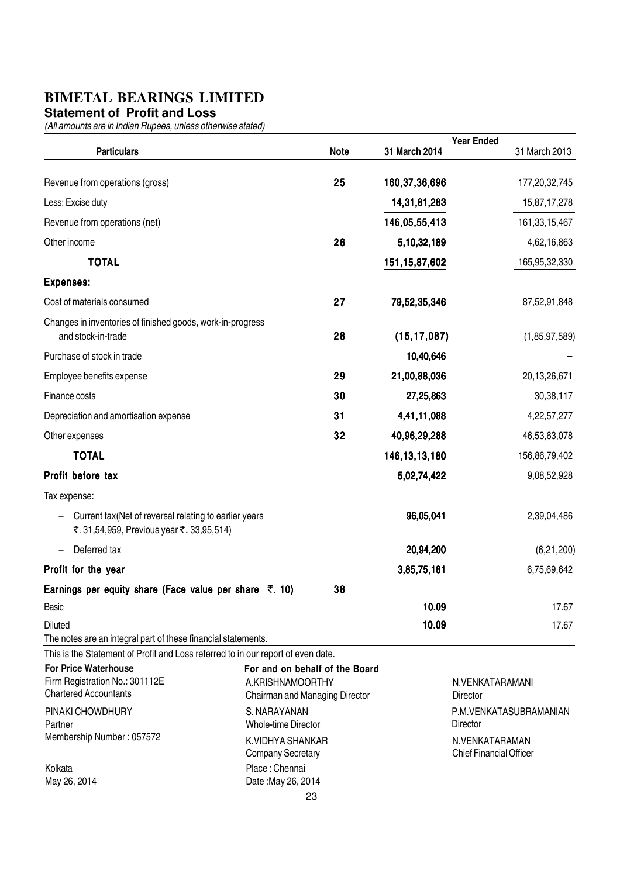#### **Statement of Profit and Loss**

|                                                                                                                                                   |                                                                                      |             |                  | <b>Year Ended</b>                                |
|---------------------------------------------------------------------------------------------------------------------------------------------------|--------------------------------------------------------------------------------------|-------------|------------------|--------------------------------------------------|
| <b>Particulars</b>                                                                                                                                |                                                                                      | <b>Note</b> | 31 March 2014    | 31 March 2013                                    |
| Revenue from operations (gross)                                                                                                                   |                                                                                      | 25          | 160,37,36,696    | 177,20,32,745                                    |
| Less: Excise duty                                                                                                                                 |                                                                                      |             | 14,31,81,283     | 15,87,17,278                                     |
| Revenue from operations (net)                                                                                                                     |                                                                                      |             | 146,05,55,413    | 161, 33, 15, 467                                 |
| Other income                                                                                                                                      |                                                                                      | 26          | 5,10,32,189      | 4,62,16,863                                      |
| <b>TOTAL</b>                                                                                                                                      |                                                                                      |             | 151, 15, 87, 602 | 165,95,32,330                                    |
| <b>Expenses:</b>                                                                                                                                  |                                                                                      |             |                  |                                                  |
| Cost of materials consumed                                                                                                                        |                                                                                      | 27          | 79,52,35,346     | 87,52,91,848                                     |
| Changes in inventories of finished goods, work-in-progress<br>and stock-in-trade                                                                  |                                                                                      | 28          | (15, 17, 087)    | (1,85,97,589)                                    |
| Purchase of stock in trade                                                                                                                        |                                                                                      |             | 10,40,646        |                                                  |
| Employee benefits expense                                                                                                                         |                                                                                      | 29          | 21,00,88,036     | 20,13,26,671                                     |
| Finance costs                                                                                                                                     |                                                                                      | 30          | 27,25,863        | 30,38,117                                        |
| Depreciation and amortisation expense                                                                                                             |                                                                                      | 31          | 4,41,11,088      | 4,22,57,277                                      |
| Other expenses                                                                                                                                    |                                                                                      | 32          | 40,96,29,288     | 46,53,63,078                                     |
| <b>TOTAL</b>                                                                                                                                      |                                                                                      |             | 146, 13, 13, 180 | 156,86,79,402                                    |
| Profit before tax                                                                                                                                 |                                                                                      |             | 5,02,74,422      | 9,08,52,928                                      |
| Tax expense:                                                                                                                                      |                                                                                      |             |                  |                                                  |
| Current tax (Net of reversal relating to earlier years<br>₹.31,54,959, Previous year ₹.33,95,514)                                                 |                                                                                      |             | 96,05,041        | 2,39,04,486                                      |
| Deferred tax<br>$\overline{\phantom{m}}$                                                                                                          |                                                                                      |             | 20,94,200        | (6,21,200)                                       |
| Profit for the year                                                                                                                               |                                                                                      |             | 3,85,75,181      | 6,75,69,642                                      |
| Earnings per equity share (Face value per share $\overline{z}$ . 10)                                                                              |                                                                                      | 38          |                  |                                                  |
| Basic                                                                                                                                             |                                                                                      |             | 10.09            | 17.67                                            |
| <b>Diluted</b>                                                                                                                                    |                                                                                      |             | 10.09            | 17.67                                            |
| The notes are an integral part of these financial statements.<br>This is the Statement of Profit and Loss referred to in our report of even date. |                                                                                      |             |                  |                                                  |
| <b>For Price Waterhouse</b><br>Firm Registration No.: 301112E<br><b>Chartered Accountants</b>                                                     | For and on behalf of the Board<br>A.KRISHNAMOORTHY<br>Chairman and Managing Director |             |                  | N.VENKATARAMANI<br>Director                      |
| PINAKI CHOWDHURY<br>Partner                                                                                                                       | S. NARAYANAN<br><b>Whole-time Director</b>                                           |             |                  | P.M.VENKATASUBRAMANIAN<br><b>Director</b>        |
| Membership Number: 057572                                                                                                                         | K.VIDHYA SHANKAR<br><b>Company Secretary</b>                                         |             |                  | N.VENKATARAMAN<br><b>Chief Financial Officer</b> |
| Kolkata<br>May 26, 2014                                                                                                                           | Place: Chennai<br>Date: May 26, 2014                                                 |             |                  |                                                  |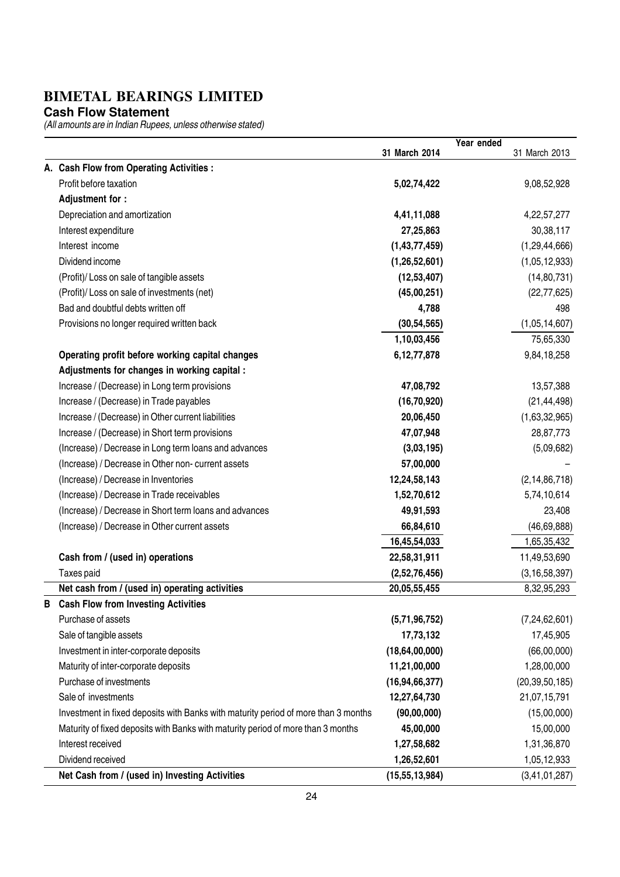**Cash Flow Statement**

|   |                                                                                    |                   | Year ended |                   |
|---|------------------------------------------------------------------------------------|-------------------|------------|-------------------|
|   |                                                                                    | 31 March 2014     |            | 31 March 2013     |
|   | A. Cash Flow from Operating Activities :                                           |                   |            |                   |
|   | Profit before taxation                                                             | 5,02,74,422       |            | 9,08,52,928       |
|   | Adjustment for :                                                                   |                   |            |                   |
|   | Depreciation and amortization                                                      | 4,41,11,088       |            | 4, 22, 57, 277    |
|   | Interest expenditure                                                               | 27,25,863         |            | 30, 38, 117       |
|   | Interest income                                                                    | (1,43,77,459)     |            | (1, 29, 44, 666)  |
|   | Dividend income                                                                    | (1,26,52,601)     |            | (1,05,12,933)     |
|   | (Profit)/ Loss on sale of tangible assets                                          | (12, 53, 407)     |            | (14, 80, 731)     |
|   | (Profit)/ Loss on sale of investments (net)                                        | (45,00,251)       |            | (22, 77, 625)     |
|   | Bad and doubtful debts written off                                                 | 4,788             |            | 498               |
|   | Provisions no longer required written back                                         | (30, 54, 565)     |            | (1,05,14,607)     |
|   |                                                                                    | 1,10,03,456       |            | 75,65,330         |
|   | Operating profit before working capital changes                                    | 6,12,77,878       |            | 9,84,18,258       |
|   | Adjustments for changes in working capital :                                       |                   |            |                   |
|   | Increase / (Decrease) in Long term provisions                                      | 47,08,792         |            | 13,57,388         |
|   | Increase / (Decrease) in Trade payables                                            | (16, 70, 920)     |            | (21, 44, 498)     |
|   | Increase / (Decrease) in Other current liabilities                                 | 20,06,450         |            | (1,63,32,965)     |
|   | Increase / (Decrease) in Short term provisions                                     | 47,07,948         |            | 28,87,773         |
|   | (Increase) / Decrease in Long term loans and advances                              | (3,03,195)        |            | (5,09,682)        |
|   | (Increase) / Decrease in Other non- current assets                                 | 57,00,000         |            |                   |
|   | (Increase) / Decrease in Inventories                                               | 12,24,58,143      |            | (2, 14, 86, 718)  |
|   | (Increase) / Decrease in Trade receivables                                         | 1,52,70,612       |            | 5,74,10,614       |
|   | (Increase) / Decrease in Short term loans and advances                             | 49,91,593         |            | 23,408            |
|   | (Increase) / Decrease in Other current assets                                      | 66,84,610         |            | (46, 69, 888)     |
|   |                                                                                    | 16,45,54,033      |            | 1,65,35,432       |
|   | Cash from / (used in) operations                                                   | 22,58,31,911      |            | 11,49,53,690      |
|   | Taxes paid                                                                         | (2,52,76,456)     |            | (3, 16, 58, 397)  |
|   | Net cash from / (used in) operating activities                                     | 20,05,55,455      |            | 8,32,95,293       |
| В | <b>Cash Flow from Investing Activities</b>                                         |                   |            |                   |
|   | Purchase of assets                                                                 | (5,71,96,752)     |            | (7, 24, 62, 601)  |
|   | Sale of tangible assets                                                            | 17,73,132         |            | 17,45,905         |
|   | Investment in inter-corporate deposits                                             | (18, 64, 00, 000) |            | (66,00,000)       |
|   | Maturity of inter-corporate deposits                                               | 11,21,00,000      |            | 1,28,00,000       |
|   | Purchase of investments                                                            | (16, 94, 66, 377) |            | (20, 39, 50, 185) |
|   | Sale of investments                                                                | 12,27,64,730      |            | 21,07,15,791      |
|   | Investment in fixed deposits with Banks with maturity period of more than 3 months | (90,00,000)       |            | (15,00,000)       |
|   | Maturity of fixed deposits with Banks with maturity period of more than 3 months   | 45,00,000         |            | 15,00,000         |
|   | Interest received                                                                  | 1,27,58,682       |            | 1,31,36,870       |
|   | Dividend received                                                                  | 1,26,52,601       |            | 1,05,12,933       |
|   | Net Cash from / (used in) Investing Activities                                     | (15, 55, 13, 984) |            | (3, 41, 01, 287)  |
|   |                                                                                    |                   |            |                   |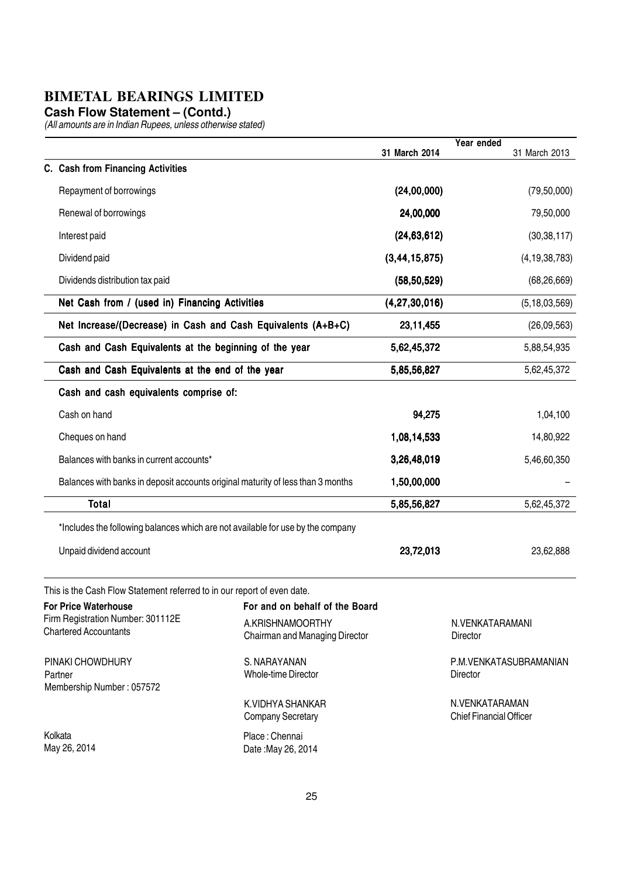**Cash Flow Statement – (Contd.)**

|                                                                                 |                                                    | 31 March 2014    | Year ended<br>31 March 2013                      |
|---------------------------------------------------------------------------------|----------------------------------------------------|------------------|--------------------------------------------------|
| C. Cash from Financing Activities                                               |                                                    |                  |                                                  |
| Repayment of borrowings                                                         |                                                    | (24,00,000)      | (79, 50, 000)                                    |
| Renewal of borrowings                                                           |                                                    | 24,00,000        | 79,50,000                                        |
| Interest paid                                                                   |                                                    | (24, 63, 612)    | (30, 38, 117)                                    |
| Dividend paid                                                                   |                                                    | (3, 44, 15, 875) | (4, 19, 38, 783)                                 |
| Dividends distribution tax paid                                                 |                                                    | (58, 50, 529)    | (68, 26, 669)                                    |
| Net Cash from / (used in) Financing Activities                                  |                                                    | (4, 27, 30, 016) | (5, 18, 03, 569)                                 |
| Net Increase/(Decrease) in Cash and Cash Equivalents (A+B+C)                    |                                                    | 23,11,455        | (26,09,563)                                      |
| Cash and Cash Equivalents at the beginning of the year                          |                                                    | 5,62,45,372      | 5,88,54,935                                      |
| Cash and Cash Equivalents at the end of the year                                |                                                    | 5,85,56,827      | 5,62,45,372                                      |
| Cash and cash equivalents comprise of:                                          |                                                    |                  |                                                  |
| Cash on hand                                                                    |                                                    | 94,275           | 1,04,100                                         |
| Cheques on hand                                                                 |                                                    | 1,08,14,533      | 14,80,922                                        |
| Balances with banks in current accounts*                                        |                                                    | 3,26,48,019      | 5,46,60,350                                      |
| Balances with banks in deposit accounts original maturity of less than 3 months |                                                    | 1,50,00,000      |                                                  |
| <b>Total</b>                                                                    |                                                    | 5,85,56,827      | 5,62,45,372                                      |
| *Includes the following balances which are not available for use by the company |                                                    |                  |                                                  |
| Unpaid dividend account                                                         |                                                    | 23,72,013        | 23,62,888                                        |
| This is the Cash Flow Statement referred to in our report of even date.         |                                                    |                  |                                                  |
| <b>For Price Waterhouse</b>                                                     | For and on behalf of the Board                     |                  |                                                  |
| Firm Registration Number: 301112E<br><b>Chartered Accountants</b>               | A.KRISHNAMOORTHY<br>Chairman and Managing Director |                  | N.VENKATARAMANI<br>Director                      |
| PINAKI CHOWDHURY<br>Partner<br>Membership Number: 057572                        | S. NARAYANAN<br><b>Whole-time Director</b>         |                  | P.M.VENKATASUBRAMANIAN<br><b>Director</b>        |
|                                                                                 | K.VIDHYA SHANKAR<br><b>Company Secretary</b>       |                  | N.VENKATARAMAN<br><b>Chief Financial Officer</b> |
| Kolkata<br>May 26, 2014                                                         | Place: Chennai<br>Date: May 26, 2014               |                  |                                                  |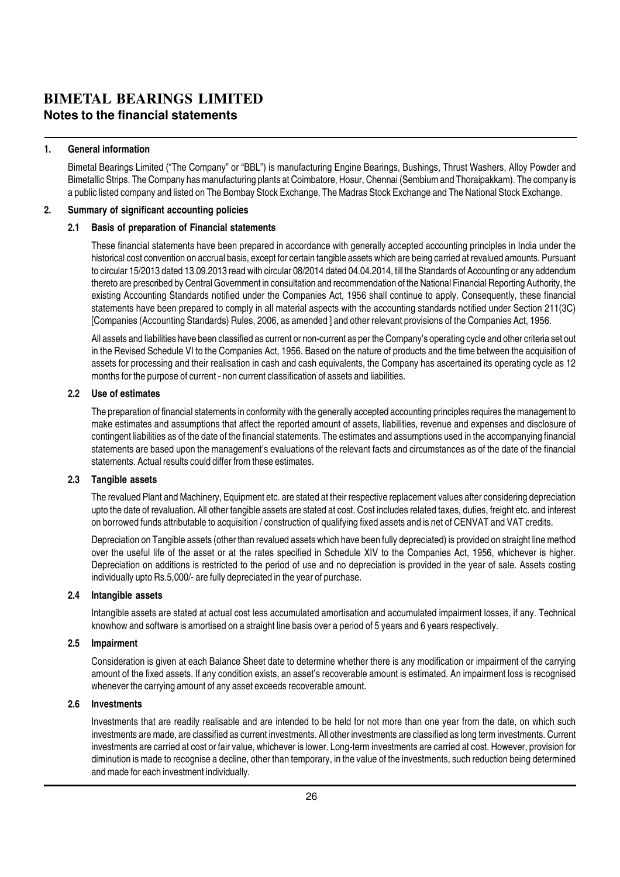#### **BIMETAL BEARINGS LIMITED Notes to the financial statements**

#### 1. General information

Bimetal Bearings Limited ("The Company" or "BBL") is manufacturing Engine Bearings, Bushings, Thrust Washers, Alloy Powder and Bimetallic Strips. The Company has manufacturing plants at Coimbatore, Hosur, Chennai (Sembium and Thoraipakkam). The company is a public listed company and listed on The Bombay Stock Exchange, The Madras Stock Exchange and The National Stock Exchange.

#### 2. Summary of significant accounting policies

#### 2.1 Basis of preparation of Financial statements

These financial statements have been prepared in accordance with generally accepted accounting principles in India under the historical cost convention on accrual basis, except for certain tangible assets which are being carried at revalued amounts. Pursuant to circular 15/2013 dated 13.09.2013 read with circular 08/2014 dated 04.04.2014, till the Standards of Accounting or any addendum thereto are prescribed by Central Government in consultation and recommendation of the National Financial Reporting Authority, the existing Accounting Standards notified under the Companies Act, 1956 shall continue to apply. Consequently, these financial statements have been prepared to comply in all material aspects with the accounting standards notified under Section 211(3C) [Companies (Accounting Standards) Rules, 2006, as amended ] and other relevant provisions of the Companies Act, 1956.

All assets and liabilities have been classified as current or non-current as per the Company's operating cycle and other criteria set out in the Revised Schedule VI to the Companies Act, 1956. Based on the nature of products and the time between the acquisition of assets for processing and their realisation in cash and cash equivalents, the Company has ascertained its operating cycle as 12 months for the purpose of current - non current classification of assets and liabilities.

#### 2.2 Use of estimates

The preparation of financial statements in conformity with the generally accepted accounting principles requires the management to make estimates and assumptions that affect the reported amount of assets, liabilities, revenue and expenses and disclosure of contingent liabilities as of the date of the financial statements. The estimates and assumptions used in the accompanying financial statements are based upon the management's evaluations of the relevant facts and circumstances as of the date of the financial statements. Actual results could differ from these estimates.

#### 2.3 Tangible assets

The revalued Plant and Machinery, Equipment etc. are stated at their respective replacement values after considering depreciation upto the date of revaluation. All other tangible assets are stated at cost. Cost includes related taxes, duties, freight etc. and interest on borrowed funds attributable to acquisition / construction of qualifying fixed assets and is net of CENVAT and VAT credits.

Depreciation on Tangible assets (other than revalued assets which have been fully depreciated) is provided on straight line method over the useful life of the asset or at the rates specified in Schedule XIV to the Companies Act, 1956, whichever is higher. Depreciation on additions is restricted to the period of use and no depreciation is provided in the year of sale. Assets costing individually upto Rs.5,000/- are fully depreciated in the year of purchase.

#### 2.4 Intangible assets

Intangible assets are stated at actual cost less accumulated amortisation and accumulated impairment losses, if any. Technical knowhow and software is amortised on a straight line basis over a period of 5 years and 6 years respectively.

#### 2.5 Impairment

Consideration is given at each Balance Sheet date to determine whether there is any modification or impairment of the carrying amount of the fixed assets. If any condition exists, an asset's recoverable amount is estimated. An impairment loss is recognised whenever the carrying amount of any asset exceeds recoverable amount.

#### 2.6 Investments

Investments that are readily realisable and are intended to be held for not more than one year from the date, on which such investments are made, are classified as current investments. All other investments are classified as long term investments. Current investments are carried at cost or fair value, whichever is lower. Long-term investments are carried at cost. However, provision for diminution is made to recognise a decline, other than temporary, in the value of the investments, such reduction being determined and made for each investment individually.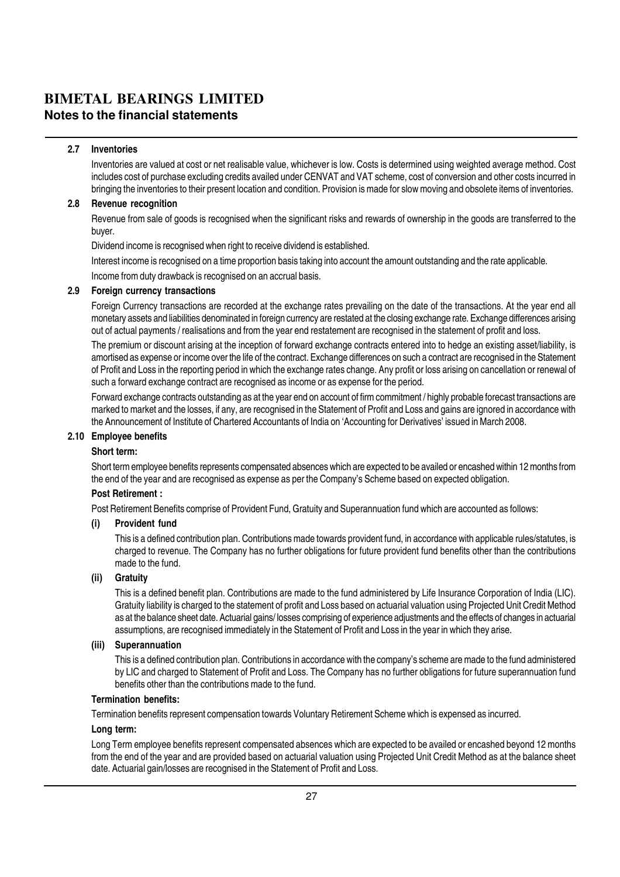#### **BIMETAL BEARINGS LIMITED Notes to the financial statements**

#### 2.7 Inventories

Inventories are valued at cost or net realisable value, whichever is low. Costs is determined using weighted average method. Cost includes cost of purchase excluding credits availed under CENVAT and VAT scheme, cost of conversion and other costs incurred in bringing the inventories to their present location and condition. Provision is made for slow moving and obsolete items of inventories.

#### 2.8 Revenue recognition

Revenue from sale of goods is recognised when the significant risks and rewards of ownership in the goods are transferred to the buyer.

Dividend income is recognised when right to receive dividend is established.

Interest income is recognised on a time proportion basis taking into account the amount outstanding and the rate applicable. Income from duty drawback is recognised on an accrual basis.

#### 2.9 Foreign currency transactions

Foreign Currency transactions are recorded at the exchange rates prevailing on the date of the transactions. At the year end all monetary assets and liabilities denominated in foreign currency are restated at the closing exchange rate. Exchange differences arising out of actual payments / realisations and from the year end restatement are recognised in the statement of profit and loss.

The premium or discount arising at the inception of forward exchange contracts entered into to hedge an existing asset/liability, is amortised as expense or income over the life of the contract. Exchange differences on such a contract are recognised in the Statement of Profit and Loss in the reporting period in which the exchange rates change. Any profit or loss arising on cancellation or renewal of such a forward exchange contract are recognised as income or as expense for the period.

Forward exchange contracts outstanding as at the year end on account of firm commitment / highly probable forecast transactions are marked to market and the losses, if any, are recognised in the Statement of Profit and Loss and gains are ignored in accordance with the Announcement of Institute of Chartered Accountants of India on 'Accounting for Derivatives' issued in March 2008.

#### 2.10 Employee benefits

#### Short term:

Short term employee benefits represents compensated absences which are expected to be availed or encashed within 12 months from the end of the year and are recognised as expense as per the Company's Scheme based on expected obligation.

#### Post Retirement :

Post Retirement Benefits comprise of Provident Fund, Gratuity and Superannuation fund which are accounted as follows:

#### (i) Provident fund

This is a defined contribution plan. Contributions made towards provident fund, in accordance with applicable rules/statutes, is charged to revenue. The Company has no further obligations for future provident fund benefits other than the contributions made to the fund.

#### (ii) Gratuity

This is a defined benefit plan. Contributions are made to the fund administered by Life Insurance Corporation of India (LIC). Gratuity liability is charged to the statement of profit and Loss based on actuarial valuation using Projected Unit Credit Method as at the balance sheet date. Actuarial gains/ losses comprising of experience adjustments and the effects of changes in actuarial assumptions, are recognised immediately in the Statement of Profit and Loss in the year in which they arise.

#### (iii) Superannuation

This is a defined contribution plan. Contributions in accordance with the company's scheme are made to the fund administered by LIC and charged to Statement of Profit and Loss. The Company has no further obligations for future superannuation fund benefits other than the contributions made to the fund.

#### Termination benefits:

Termination benefits represent compensation towards Voluntary Retirement Scheme which is expensed as incurred.

#### Long term:

Long Term employee benefits represent compensated absences which are expected to be availed or encashed beyond 12 months from the end of the year and are provided based on actuarial valuation using Projected Unit Credit Method as at the balance sheet date. Actuarial gain/losses are recognised in the Statement of Profit and Loss.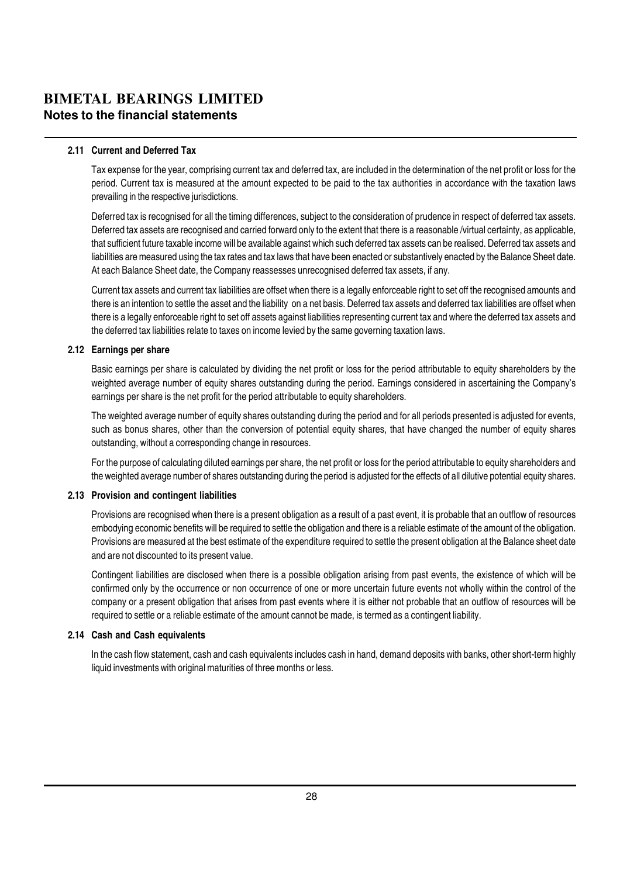#### **BIMETAL BEARINGS LIMITED Notes to the financial statements**

#### 2.11 Current and Deferred Tax

Tax expense for the year, comprising current tax and deferred tax, are included in the determination of the net profit or loss for the period. Current tax is measured at the amount expected to be paid to the tax authorities in accordance with the taxation laws prevailing in the respective jurisdictions.

Deferred tax is recognised for all the timing differences, subject to the consideration of prudence in respect of deferred tax assets. Deferred tax assets are recognised and carried forward only to the extent that there is a reasonable /virtual certainty, as applicable, that sufficient future taxable income will be available against which such deferred tax assets can be realised. Deferred tax assets and liabilities are measured using the tax rates and tax laws that have been enacted or substantively enacted by the Balance Sheet date. At each Balance Sheet date, the Company reassesses unrecognised deferred tax assets, if any.

Current tax assets and current tax liabilities are offset when there is a legally enforceable right to set off the recognised amounts and there is an intention to settle the asset and the liability on a net basis. Deferred tax assets and deferred tax liabilities are offset when there is a legally enforceable right to set off assets against liabilities representing current tax and where the deferred tax assets and the deferred tax liabilities relate to taxes on income levied by the same governing taxation laws.

#### 2.12 Earnings per share

Basic earnings per share is calculated by dividing the net profit or loss for the period attributable to equity shareholders by the weighted average number of equity shares outstanding during the period. Earnings considered in ascertaining the Company's earnings per share is the net profit for the period attributable to equity shareholders.

The weighted average number of equity shares outstanding during the period and for all periods presented is adjusted for events, such as bonus shares, other than the conversion of potential equity shares, that have changed the number of equity shares outstanding, without a corresponding change in resources.

For the purpose of calculating diluted earnings per share, the net profit or loss for the period attributable to equity shareholders and the weighted average number of shares outstanding during the period is adjusted for the effects of all dilutive potential equity shares.

#### 2.13 Provision and contingent liabilities

Provisions are recognised when there is a present obligation as a result of a past event, it is probable that an outflow of resources embodying economic benefits will be required to settle the obligation and there is a reliable estimate of the amount of the obligation. Provisions are measured at the best estimate of the expenditure required to settle the present obligation at the Balance sheet date and are not discounted to its present value.

Contingent liabilities are disclosed when there is a possible obligation arising from past events, the existence of which will be confirmed only by the occurrence or non occurrence of one or more uncertain future events not wholly within the control of the company or a present obligation that arises from past events where it is either not probable that an outflow of resources will be required to settle or a reliable estimate of the amount cannot be made, is termed as a contingent liability.

#### 2.14 Cash and Cash equivalents

In the cash flow statement, cash and cash equivalents includes cash in hand, demand deposits with banks, other short-term highly liquid investments with original maturities of three months or less.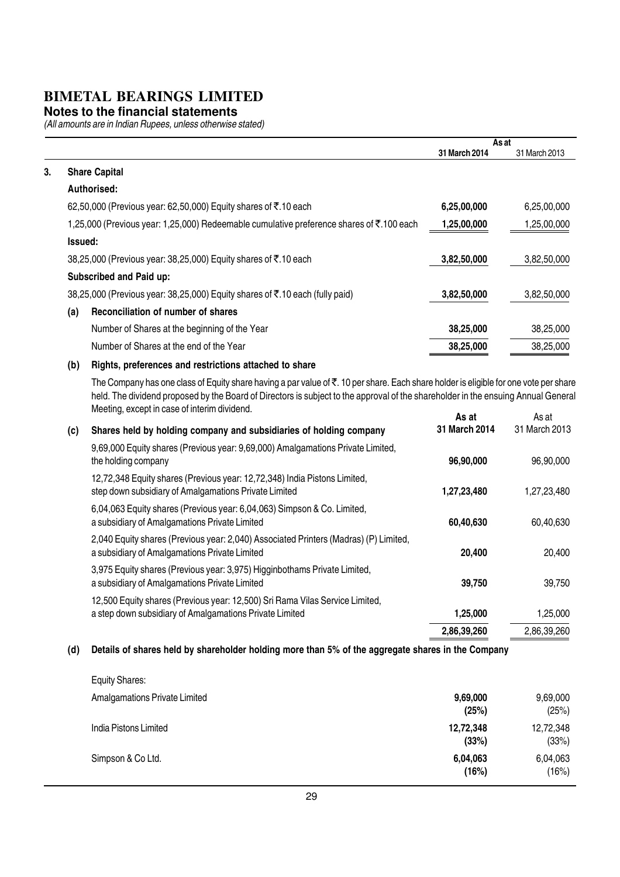#### **Notes to the financial statements**

(All amounts are in Indian Rupees, unless otherwise stated)

|    |         |                                                                                                                                                                                                                                                           |               | As at         |
|----|---------|-----------------------------------------------------------------------------------------------------------------------------------------------------------------------------------------------------------------------------------------------------------|---------------|---------------|
|    |         |                                                                                                                                                                                                                                                           | 31 March 2014 | 31 March 2013 |
| 3. |         | <b>Share Capital</b>                                                                                                                                                                                                                                      |               |               |
|    |         | Authorised:                                                                                                                                                                                                                                               |               |               |
|    |         | 62,50,000 (Previous year: 62,50,000) Equity shares of ₹.10 each                                                                                                                                                                                           | 6,25,00,000   | 6,25,00,000   |
|    |         | 1,25,000 (Previous year: 1,25,000) Redeemable cumulative preference shares of ₹.100 each                                                                                                                                                                  | 1,25,00,000   | 1,25,00,000   |
|    | Issued: |                                                                                                                                                                                                                                                           |               |               |
|    |         | 38,25,000 (Previous year: 38,25,000) Equity shares of ₹.10 each                                                                                                                                                                                           | 3,82,50,000   | 3,82,50,000   |
|    |         | Subscribed and Paid up:                                                                                                                                                                                                                                   |               |               |
|    |         | 38,25,000 (Previous year: 38,25,000) Equity shares of ₹.10 each (fully paid)                                                                                                                                                                              | 3,82,50,000   | 3,82,50,000   |
|    | (a)     | Reconciliation of number of shares                                                                                                                                                                                                                        |               |               |
|    |         | Number of Shares at the beginning of the Year                                                                                                                                                                                                             | 38,25,000     | 38,25,000     |
|    |         | Number of Shares at the end of the Year                                                                                                                                                                                                                   | 38,25,000     | 38,25,000     |
|    | (b)     | Rights, preferences and restrictions attached to share                                                                                                                                                                                                    |               |               |
|    |         | The Company has one class of Equity share having a par value of ₹. 10 per share. Each share holder is eligible for one vote per share<br>the contract the property of the contract of the contract of the contract of the contract of the contract of the |               |               |

held. The dividend proposed by the Board of Directors is subject to the approval of the shareholder in the ensuing Annual General Meeting, except in case of interim dividend.  $\langle \mathbf{c} \rangle$  Shares held by holding company and subsidiaries of holding  $\langle \mathbf{c} \rangle$ As at As at<br>As at As at As at As reports 2013 31 March 2014 31 March 2013

| (C) | Shares held by holding company and subsidiaries of holding company                                                                      | 31 March 2014 | 31 March 2013 |
|-----|-----------------------------------------------------------------------------------------------------------------------------------------|---------------|---------------|
|     | 9,69,000 Equity shares (Previous year: 9,69,000) Amalgamations Private Limited,<br>the holding company                                  | 96,90,000     | 96,90,000     |
|     | 12,72,348 Equity shares (Previous year: 12,72,348) India Pistons Limited,<br>step down subsidiary of Amalgamations Private Limited      | 1,27,23,480   | 1,27,23,480   |
|     | 6,04,063 Equity shares (Previous year: 6,04,063) Simpson & Co. Limited,<br>a subsidiary of Amalgamations Private Limited                | 60,40,630     | 60,40,630     |
|     | 2,040 Equity shares (Previous year: 2,040) Associated Printers (Madras) (P) Limited,<br>a subsidiary of Amalgamations Private Limited   | 20,400        | 20,400        |
|     | 3,975 Equity shares (Previous year: 3,975) Higginbothams Private Limited,<br>a subsidiary of Amalgamations Private Limited              | 39,750        | 39,750        |
|     | 12,500 Equity shares (Previous year: 12,500) Sri Rama Vilas Service Limited,<br>a step down subsidiary of Amalgamations Private Limited | 1,25,000      | 1,25,000      |
|     |                                                                                                                                         | 2,86,39,260   | 2,86,39,260   |

#### (d) Details of shares held by shareholder holding more than 5% of the aggregate shares in the Company

| <b>Equity Shares:</b>                |                    |                    |
|--------------------------------------|--------------------|--------------------|
| <b>Amalgamations Private Limited</b> | 9,69,000<br>(25%)  | 9,69,000<br>(25%)  |
| India Pistons Limited                | 12,72,348<br>(33%) | 12,72,348<br>(33%) |
| Simpson & Co Ltd.                    | 6,04,063<br>(16%)  | 6,04,063<br>(16%)  |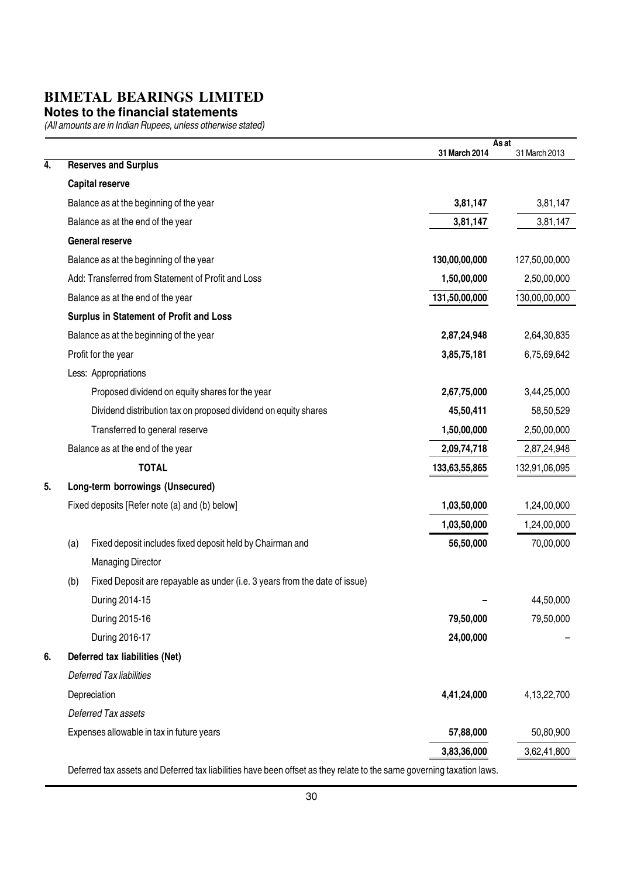#### **Notes to the financial statements**

(All amounts are in Indian Rupees, unless otherwise stated)

|    |                                                                                   | As at<br>31 March 2014 | 31 March 2013 |
|----|-----------------------------------------------------------------------------------|------------------------|---------------|
| 4. | <b>Reserves and Surplus</b>                                                       |                        |               |
|    | <b>Capital reserve</b>                                                            |                        |               |
|    | Balance as at the beginning of the year                                           | 3,81,147               | 3,81,147      |
|    | Balance as at the end of the year                                                 | 3,81,147               | 3,81,147      |
|    | General reserve                                                                   |                        |               |
|    | Balance as at the beginning of the year                                           | 130,00,00,000          | 127,50,00,000 |
|    | Add: Transferred from Statement of Profit and Loss                                | 1,50,00,000            | 2,50,00,000   |
|    | Balance as at the end of the year                                                 | 131,50,00,000          | 130,00,00,000 |
|    | Surplus in Statement of Profit and Loss                                           |                        |               |
|    | Balance as at the beginning of the year                                           | 2,87,24,948            | 2,64,30,835   |
|    | Profit for the year                                                               | 3,85,75,181            | 6,75,69,642   |
|    | Less: Appropriations                                                              |                        |               |
|    | Proposed dividend on equity shares for the year                                   | 2,67,75,000            | 3,44,25,000   |
|    | Dividend distribution tax on proposed dividend on equity shares                   | 45,50,411              | 58,50,529     |
|    | Transferred to general reserve                                                    | 1,50,00,000            | 2,50,00,000   |
|    | Balance as at the end of the year                                                 | 2,09,74,718            | 2,87,24,948   |
|    | <b>TOTAL</b>                                                                      | 133,63,55,865          | 132,91,06,095 |
| 5. | Long-term borrowings (Unsecured)                                                  |                        |               |
|    | Fixed deposits [Refer note (a) and (b) below]                                     | 1,03,50,000            | 1,24,00,000   |
|    |                                                                                   | 1,03,50,000            | 1,24,00,000   |
|    | Fixed deposit includes fixed deposit held by Chairman and<br>(a)                  | 56,50,000              | 70,00,000     |
|    | <b>Managing Director</b>                                                          |                        |               |
|    | Fixed Deposit are repayable as under (i.e. 3 years from the date of issue)<br>(b) |                        |               |
|    | During 2014-15                                                                    |                        | 44,50,000     |
|    | During 2015-16                                                                    | 79,50,000              | 79,50,000     |
|    | During 2016-17                                                                    | 24,00,000              |               |
| 6. | Deferred tax liabilities (Net)                                                    |                        |               |
|    | <b>Deferred Tax liabilities</b>                                                   |                        |               |
|    | Depreciation                                                                      | 4,41,24,000            | 4,13,22,700   |
|    | <b>Deferred Tax assets</b>                                                        |                        |               |
|    | Expenses allowable in tax in future years                                         | 57,88,000              | 50,80,900     |
|    |                                                                                   | 3,83,36,000            | 3,62,41,800   |
|    |                                                                                   |                        |               |

Deferred tax assets and Deferred tax liabilities have been offset as they relate to the same governing taxation laws.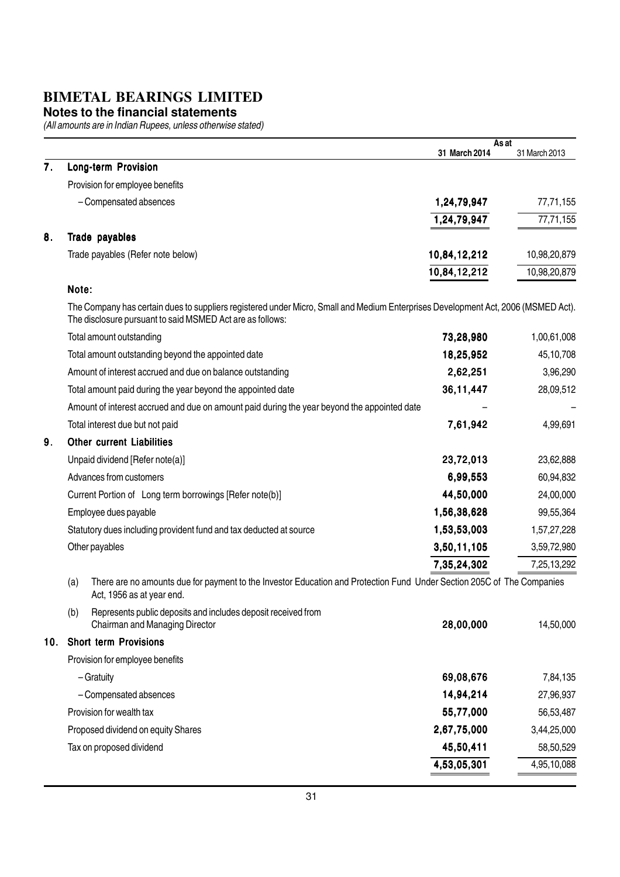#### **Notes to the financial statements**

|     |                                                                                                                                                                                                | As at<br>31 March 2014 | 31 March 2013 |
|-----|------------------------------------------------------------------------------------------------------------------------------------------------------------------------------------------------|------------------------|---------------|
| 7.  | Long-term Provision                                                                                                                                                                            |                        |               |
|     | Provision for employee benefits                                                                                                                                                                |                        |               |
|     | - Compensated absences                                                                                                                                                                         | 1,24,79,947            | 77,71,155     |
|     |                                                                                                                                                                                                | 1,24,79,947            | 77,71,155     |
| 8.  | Trade payables                                                                                                                                                                                 |                        |               |
|     | Trade payables (Refer note below)                                                                                                                                                              | 10,84,12,212           | 10,98,20,879  |
|     |                                                                                                                                                                                                | 10,84,12,212           | 10,98,20,879  |
|     | Note:                                                                                                                                                                                          |                        |               |
|     | The Company has certain dues to suppliers registered under Micro, Small and Medium Enterprises Development Act, 2006 (MSMED Act).<br>The disclosure pursuant to said MSMED Act are as follows: |                        |               |
|     | Total amount outstanding                                                                                                                                                                       | 73,28,980              | 1,00,61,008   |
|     | Total amount outstanding beyond the appointed date                                                                                                                                             | 18,25,952              | 45,10,708     |
|     | Amount of interest accrued and due on balance outstanding                                                                                                                                      | 2,62,251               | 3,96,290      |
|     | Total amount paid during the year beyond the appointed date                                                                                                                                    | 36, 11, 447            | 28,09,512     |
|     | Amount of interest accrued and due on amount paid during the year beyond the appointed date                                                                                                    |                        |               |
|     | Total interest due but not paid                                                                                                                                                                | 7,61,942               | 4,99,691      |
| 9.  | <b>Other current Liabilities</b>                                                                                                                                                               |                        |               |
|     | Unpaid dividend [Refer note(a)]                                                                                                                                                                | 23,72,013              | 23,62,888     |
|     | Advances from customers                                                                                                                                                                        | 6,99,553               | 60,94,832     |
|     | Current Portion of Long term borrowings [Refer note(b)]                                                                                                                                        | 44,50,000              | 24,00,000     |
|     | Employee dues payable                                                                                                                                                                          | 1,56,38,628            | 99,55,364     |
|     | Statutory dues including provident fund and tax deducted at source                                                                                                                             | 1,53,53,003            | 1,57,27,228   |
|     | Other payables                                                                                                                                                                                 | 3,50,11,105            | 3,59,72,980   |
|     |                                                                                                                                                                                                | 7,35,24,302            | 7,25,13,292   |
|     | There are no amounts due for payment to the Investor Education and Protection Fund Under Section 205C of The Companies<br>(a)<br>Act, 1956 as at year end.                                     |                        |               |
|     | Represents public deposits and includes deposit received from<br>(b)<br>Chairman and Managing Director                                                                                         | 28,00,000              | 14,50,000     |
| 10. | <b>Short term Provisions</b>                                                                                                                                                                   |                        |               |
|     | Provision for employee benefits                                                                                                                                                                |                        |               |
|     | - Gratuity                                                                                                                                                                                     | 69,08,676              | 7,84,135      |
|     | - Compensated absences                                                                                                                                                                         | 14,94,214              | 27,96,937     |
|     | Provision for wealth tax                                                                                                                                                                       | 55,77,000              | 56,53,487     |
|     | Proposed dividend on equity Shares                                                                                                                                                             | 2,67,75,000            | 3,44,25,000   |
|     | Tax on proposed dividend                                                                                                                                                                       | 45,50,411              | 58,50,529     |
|     |                                                                                                                                                                                                | 4,53,05,301            | 4,95,10,088   |
|     |                                                                                                                                                                                                |                        |               |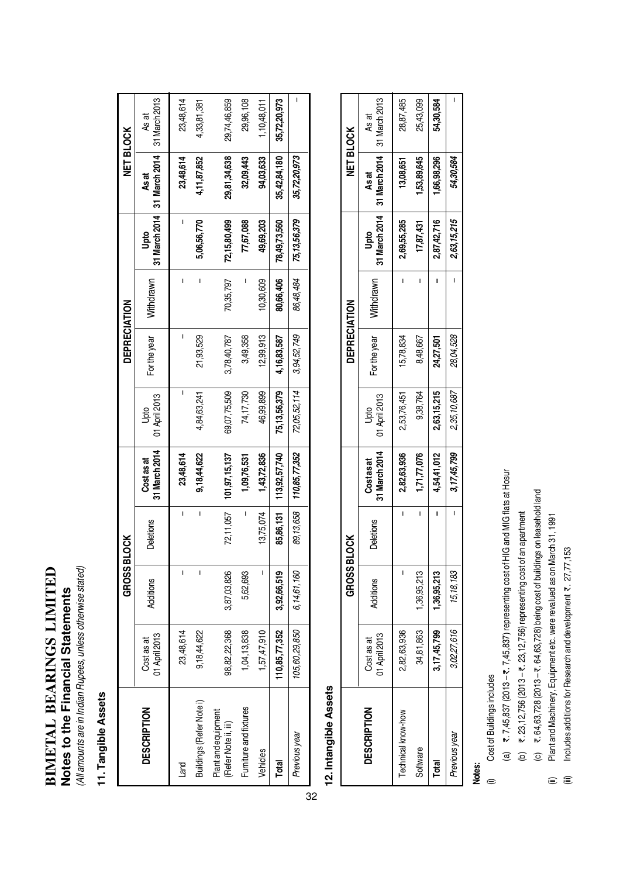# BIMETAL BEARINGS LIMITED **BIMETAL BEARINGS LIMITED** Notes to the Financial Statements **Notes to the Financial Statements**

(All amounts are in Indian Rupees, unless otherwise stated) (All amounts are in Indian Rupees, unless otherwise stated)

### 11. Tangible Assets **11. Tangible Assets**

|    |                                             |                             | <b>GROSS BL</b>  | <b>TOCK</b> |                             |                       | DEPRECIATION |           |                 | <b>NET BLOCK</b>                           |                        |
|----|---------------------------------------------|-----------------------------|------------------|-------------|-----------------------------|-----------------------|--------------|-----------|-----------------|--------------------------------------------|------------------------|
|    | <b>DESCRIPTION</b>                          | 01 April 2013<br>Cost as at | <b>Additions</b> | Deletions   | 31 March 2014<br>Cost as at | 01 April 2013<br>Jpto | For the year | Withdrawn | Upto            | 31 March 2014 31 March 2014<br><b>Asat</b> | 31 March 2013<br>As at |
|    | Land                                        | 23,48,614                   | Ī                | I           | 23,48,614                   |                       |              | ı         |                 | 23,48,614                                  | 23,48,614              |
|    | Buildings (Refer Note i)                    | 9,18,44,622                 | I                | I           | 9,18,44,622                 | 4,84,63,241           | 21,93,529    | I         | 5,06,56,770     | 4,11,87,852                                | 4,33,81,381            |
|    | Plant and equipment<br>(Refer Note ii, iii) | 98,82,22,368                | 3,87,03,826      | 72,11,057   | 101,97,15,137               | 69,07,75,509          | 3,78,40,787  | 70,35,797 | 72,15,80,499    | 29,81,34,638                               | 29,74,46,859           |
|    | Furniture and fixtures                      | 1,04,13,838                 | 5,62,693         | I           | 1,09,76,531                 | 74,17,730             | 3,49,358     |           | 77,67,088       | 32,09,443                                  | 29,96,108              |
|    | Vehicles                                    | 1,57,47,910                 |                  | 13,75,074   | 1,43,72,836                 | 46,99,899             | 12,99,913    | 10,30,609 | 49,69,203       | 94,03,633                                  | 1,10,48,011            |
|    | Total                                       | 110,85,77,352               | 3,92,66,519      | 85,86,131   | 113,92,57,740               | 75,13,56,379          | 4,16,83,587  | 80,66,406 | 78,49,73,560    | 35,42,84,180                               | 35,72,20,973           |
|    | Previous year                               | 105,60,29,850               | 6,14,61,160      | 89,13,658   | 110,85,77,352               | 72,05,52,114          | 3,94,52,749  | 86,48,484 | 75, 13, 56, 379 | 35,72,20,973                               |                        |
| 32 |                                             |                             |                  |             |                             |                       |              |           |                 |                                            |                        |

## 12. Intangible Assets **12. Intangible Assets**

|                    |                             | <b>GROSS BL</b> | <b>SCK</b> |                             |                       | DEPRECIATION |           |             |                                                    | <b>NET BLOCK</b> |
|--------------------|-----------------------------|-----------------|------------|-----------------------------|-----------------------|--------------|-----------|-------------|----------------------------------------------------|------------------|
| <b>DESCRIPTION</b> | 01 April 2013<br>Cost as at | Additions       | Deletions  | 31 March 2014<br>Cost as at | O1 April 2013<br>Jpto | For the year | Nithdrawn | g<br>Pup    | 31 March 2014 31 March 2014 31 March 2013<br>As at | As at            |
| Technical know-how | 2,82,63,936                 |                 |            | 2,82,63,936                 | 2,53,76,451           | 15,78,834    |           | 2,69,55,285 | 13,08,651                                          | 28,87,485        |
| Software           | 34,81,863                   | 1,36,95,213     | ı          | 1,71,77,076                 | 9,38,764              | 8,48,667     |           | 17,87,431   | 53,89,645                                          | 25,43,099        |
| Total              | 3,17,45,799                 | 1,36,95,213     |            | 4,54,41,012                 | 2,63,15,215           | 24,27,501    |           | 2,87,42,716 | 1,66,98,296                                        | 54,30,584        |
| Previous year      | 3,02,27,616                 | 15, 18, 183     |            | 3,17,45,799                 | 2,35,10,687           | 28,04,528    |           | 2,63,15,215 | 54,30,584                                          |                  |

### Notes:

- Cost of Buildings includes (i) Cost of Buildings includes  $\oplus$
- (a)  $\overline{z}$ , 7,45,837 (2013  $\overline{z}$ , 7,45,837) representing cost of HIG and MIG flats at Hosur (a)  $\tau$ . 7,45,837 (2013 –  $\tau$ . 7,45,837) representing cost of HIG and MIG flats at Hosur
- (b)  $\overline{z}$ , 23, 12, 756 (2013  $\overline{z}$ , 23, 12, 756) representing cost of an apartment (b)  $\,$  ₹. 23,12,756 (2013 – ₹. 23,12,756) representing cost of an apartment
- (c)  $\overline{z}$ , 64, 63, 728 (2013  $\overline{z}$ , 64, 63, 728) being cost of buildings on leasehold land (c) ₹. 64,63,728 (2013 – ₹. 64,63,728) being cost of buildings on leasehold land
- Plant and Machinery, Equipment etc. were revalued as on March 31, 1991 (ii) Plant and Machinery, Equipment etc. were revalued as on March 31, 1991  $\widehat{\mathbb{E}}$ 
	- Includes additions for Research and development ₹. 27,77,153 (iii) Includes additions for Research and development `. 27,77,153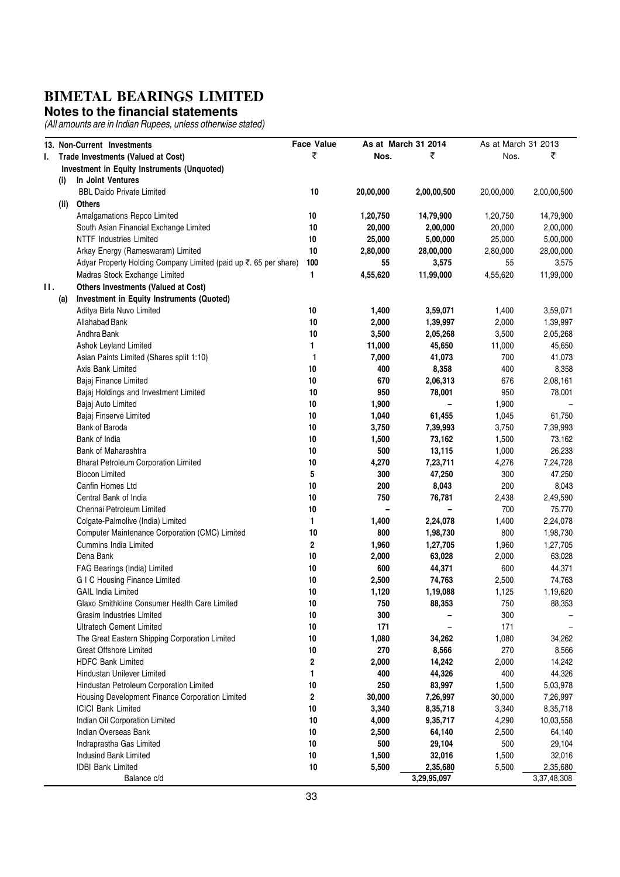#### **Notes to the financial statements**

| ₹<br>₹<br>₹<br>Nos.<br>Nos.<br>Trade Investments (Valued at Cost)<br>L.<br>Investment in Equity Instruments (Unquoted)<br>In Joint Ventures<br>(i)<br>10<br><b>BBL Daido Private Limited</b><br>20,00,000<br>2,00,00,500<br>2,00,00,500<br>20,00,000<br>Others<br>(ii)<br>Amalgamations Repco Limited<br>10<br>1,20,750<br>14,79,900<br>1,20,750<br>14,79,900<br>10<br>South Asian Financial Exchange Limited<br>20,000<br>20,000<br>2,00,000<br>2,00,000<br>$10$<br><b>NTTF Industries Limited</b><br>25,000<br>25,000<br>5,00,000<br>5,00,000<br>10<br>Arkay Energy (Rameswaram) Limited<br>2,80,000<br>28,00,000<br>2,80,000<br>28,00,000<br>100<br>Adyar Property Holding Company Limited (paid up ₹. 65 per share)<br>55<br>3,575<br>55<br>3,575<br>Madras Stock Exchange Limited<br>1<br>4,55,620<br>11,99,000<br>4,55,620<br>11,99,000<br>н.<br>Others Investments (Valued at Cost)<br>Investment in Equity Instruments (Quoted)<br>(a)<br>10<br>1,400<br>3,59,071<br>3,59,071<br>Aditya Birla Nuvo Limited<br>1,400<br>10<br>Allahabad Bank<br>2,000<br>2,000<br>1,39,997<br>1,39,997<br>10<br>Andhra Bank<br>3,500<br>3,500<br>2,05,268<br>2,05,268<br>1<br>11,000<br>11,000<br>45,650<br>Ashok Leyland Limited<br>45,650<br>1<br>7,000<br>41,073<br>700<br>Asian Paints Limited (Shares split 1:10)<br>41,073<br>10<br>400<br>8,358<br>400<br>Axis Bank Limited<br>8,358<br>Bajaj Finance Limited<br>10<br>670<br>2,06,313<br>676<br>2,08,161<br>10<br>950<br>78,001<br>950<br>78,001<br>Bajaj Holdings and Investment Limited<br>10<br>1,900<br>1,900<br>Bajaj Auto Limited<br>10<br>61,455<br>61,750<br>Bajaj Finserve Limited<br>1,040<br>1,045<br>10<br>Bank of Baroda<br>3,750<br>7,39,993<br>7,39,993<br>3,750<br>10<br>Bank of India<br>1,500<br>73,162<br>1,500<br>73,162<br>10<br>Bank of Maharashtra<br>500<br>13,115<br>1,000<br>26,233<br>10<br>4,270<br>7,23,711<br>7,24,728<br><b>Bharat Petroleum Corporation Limited</b><br>4,276<br>5<br><b>Biocon Limited</b><br>300<br>47,250<br>300<br>47,250<br>200<br>Canfin Homes Ltd<br>10<br>8,043<br>200<br>8,043<br>Central Bank of India<br>10<br>750<br>76,781<br>2,49,590<br>2,438<br>10<br>Chennai Petroleum Limited<br>700<br>75,770<br>1<br>Colgate-Palmolive (India) Limited<br>1,400<br>2,24,078<br>1,400<br>2,24,078<br>10<br>Computer Maintenance Corporation (CMC) Limited<br>800<br>800<br>1,98,730<br>1,98,730<br>2<br><b>Cummins India Limited</b><br>1,960<br>1,27,705<br>1,27,705<br>1,960<br>10<br>2,000<br>63,028<br>63,028<br>Dena Bank<br>2,000<br>FAG Bearings (India) Limited<br>10<br>600<br>44,371<br>600<br>44,371<br><b>GIC Housing Finance Limited</b><br>10<br>2,500<br>74,763<br>74,763<br>2,500<br><b>GAIL India Limited</b><br>10<br>1,120<br>1,19,088<br>1,19,620<br>1,125<br>Glaxo Smithkline Consumer Health Care Limited<br>10<br>750<br>88,353<br>750<br>88,353<br>10<br>300<br>300<br>Grasim Industries Limited<br>$10\,$<br>171<br><b>Ultratech Cement Limited</b><br>171<br>10<br>The Great Eastern Shipping Corporation Limited<br>1,080<br>34,262<br>1,080<br>34,262<br>10<br>270<br><b>Great Offshore Limited</b><br>8,566<br>270<br>8,566<br><b>HDFC Bank Limited</b><br>2<br>2,000<br>14,242<br>2,000<br>14,242<br>400<br>44,326<br>Hindustan Unilever Limited<br>1<br>400<br>44,326<br>250<br>Hindustan Petroleum Corporation Limited<br>10<br>83,997<br>1,500<br>5,03,978<br>2<br>Housing Development Finance Corporation Limited<br>30,000<br>7,26,997<br>30,000<br>7,26,997<br><b>ICICI Bank Limited</b><br>10<br>3,340<br>8,35,718<br>8,35,718<br>3,340<br>$10\,$<br>Indian Oil Corporation Limited<br>4,000<br>4,290<br>10,03,558<br>9,35,717<br>10<br>Indian Overseas Bank<br>2,500<br>64,140<br>2,500<br>64,140<br>10<br>500<br>Indraprastha Gas Limited<br>29,104<br>500<br>29,104<br>$10\,$<br>Indusind Bank Limited<br>1,500<br>32,016<br>1,500<br>32,016<br><b>IDBI Bank Limited</b><br>10<br>5,500<br>2,35,680<br>5,500<br>2,35,680 |  | 13. Non-Current Investments | <b>Face Value</b> | As at March 31 2014 | As at March 31 2013 |  |
|-------------------------------------------------------------------------------------------------------------------------------------------------------------------------------------------------------------------------------------------------------------------------------------------------------------------------------------------------------------------------------------------------------------------------------------------------------------------------------------------------------------------------------------------------------------------------------------------------------------------------------------------------------------------------------------------------------------------------------------------------------------------------------------------------------------------------------------------------------------------------------------------------------------------------------------------------------------------------------------------------------------------------------------------------------------------------------------------------------------------------------------------------------------------------------------------------------------------------------------------------------------------------------------------------------------------------------------------------------------------------------------------------------------------------------------------------------------------------------------------------------------------------------------------------------------------------------------------------------------------------------------------------------------------------------------------------------------------------------------------------------------------------------------------------------------------------------------------------------------------------------------------------------------------------------------------------------------------------------------------------------------------------------------------------------------------------------------------------------------------------------------------------------------------------------------------------------------------------------------------------------------------------------------------------------------------------------------------------------------------------------------------------------------------------------------------------------------------------------------------------------------------------------------------------------------------------------------------------------------------------------------------------------------------------------------------------------------------------------------------------------------------------------------------------------------------------------------------------------------------------------------------------------------------------------------------------------------------------------------------------------------------------------------------------------------------------------------------------------------------------------------------------------------------------------------------------------------------------------------------------------------------------------------------------------------------------------------------------------------------------------------------------------------------------------------------------------------------------------------------------------------------------------------------------------------------------------------------------------------------------------------------------------------------------------------------------------------------------------------------------------------------------------------------------------------------------------------------------------------------------------------------------------------------------------------------------------------------|--|-----------------------------|-------------------|---------------------|---------------------|--|
|                                                                                                                                                                                                                                                                                                                                                                                                                                                                                                                                                                                                                                                                                                                                                                                                                                                                                                                                                                                                                                                                                                                                                                                                                                                                                                                                                                                                                                                                                                                                                                                                                                                                                                                                                                                                                                                                                                                                                                                                                                                                                                                                                                                                                                                                                                                                                                                                                                                                                                                                                                                                                                                                                                                                                                                                                                                                                                                                                                                                                                                                                                                                                                                                                                                                                                                                                                                                                                                                                                                                                                                                                                                                                                                                                                                                                                                                                                                                                                   |  |                             |                   |                     |                     |  |
|                                                                                                                                                                                                                                                                                                                                                                                                                                                                                                                                                                                                                                                                                                                                                                                                                                                                                                                                                                                                                                                                                                                                                                                                                                                                                                                                                                                                                                                                                                                                                                                                                                                                                                                                                                                                                                                                                                                                                                                                                                                                                                                                                                                                                                                                                                                                                                                                                                                                                                                                                                                                                                                                                                                                                                                                                                                                                                                                                                                                                                                                                                                                                                                                                                                                                                                                                                                                                                                                                                                                                                                                                                                                                                                                                                                                                                                                                                                                                                   |  |                             |                   |                     |                     |  |
|                                                                                                                                                                                                                                                                                                                                                                                                                                                                                                                                                                                                                                                                                                                                                                                                                                                                                                                                                                                                                                                                                                                                                                                                                                                                                                                                                                                                                                                                                                                                                                                                                                                                                                                                                                                                                                                                                                                                                                                                                                                                                                                                                                                                                                                                                                                                                                                                                                                                                                                                                                                                                                                                                                                                                                                                                                                                                                                                                                                                                                                                                                                                                                                                                                                                                                                                                                                                                                                                                                                                                                                                                                                                                                                                                                                                                                                                                                                                                                   |  |                             |                   |                     |                     |  |
|                                                                                                                                                                                                                                                                                                                                                                                                                                                                                                                                                                                                                                                                                                                                                                                                                                                                                                                                                                                                                                                                                                                                                                                                                                                                                                                                                                                                                                                                                                                                                                                                                                                                                                                                                                                                                                                                                                                                                                                                                                                                                                                                                                                                                                                                                                                                                                                                                                                                                                                                                                                                                                                                                                                                                                                                                                                                                                                                                                                                                                                                                                                                                                                                                                                                                                                                                                                                                                                                                                                                                                                                                                                                                                                                                                                                                                                                                                                                                                   |  |                             |                   |                     |                     |  |
|                                                                                                                                                                                                                                                                                                                                                                                                                                                                                                                                                                                                                                                                                                                                                                                                                                                                                                                                                                                                                                                                                                                                                                                                                                                                                                                                                                                                                                                                                                                                                                                                                                                                                                                                                                                                                                                                                                                                                                                                                                                                                                                                                                                                                                                                                                                                                                                                                                                                                                                                                                                                                                                                                                                                                                                                                                                                                                                                                                                                                                                                                                                                                                                                                                                                                                                                                                                                                                                                                                                                                                                                                                                                                                                                                                                                                                                                                                                                                                   |  |                             |                   |                     |                     |  |
|                                                                                                                                                                                                                                                                                                                                                                                                                                                                                                                                                                                                                                                                                                                                                                                                                                                                                                                                                                                                                                                                                                                                                                                                                                                                                                                                                                                                                                                                                                                                                                                                                                                                                                                                                                                                                                                                                                                                                                                                                                                                                                                                                                                                                                                                                                                                                                                                                                                                                                                                                                                                                                                                                                                                                                                                                                                                                                                                                                                                                                                                                                                                                                                                                                                                                                                                                                                                                                                                                                                                                                                                                                                                                                                                                                                                                                                                                                                                                                   |  |                             |                   |                     |                     |  |
|                                                                                                                                                                                                                                                                                                                                                                                                                                                                                                                                                                                                                                                                                                                                                                                                                                                                                                                                                                                                                                                                                                                                                                                                                                                                                                                                                                                                                                                                                                                                                                                                                                                                                                                                                                                                                                                                                                                                                                                                                                                                                                                                                                                                                                                                                                                                                                                                                                                                                                                                                                                                                                                                                                                                                                                                                                                                                                                                                                                                                                                                                                                                                                                                                                                                                                                                                                                                                                                                                                                                                                                                                                                                                                                                                                                                                                                                                                                                                                   |  |                             |                   |                     |                     |  |
|                                                                                                                                                                                                                                                                                                                                                                                                                                                                                                                                                                                                                                                                                                                                                                                                                                                                                                                                                                                                                                                                                                                                                                                                                                                                                                                                                                                                                                                                                                                                                                                                                                                                                                                                                                                                                                                                                                                                                                                                                                                                                                                                                                                                                                                                                                                                                                                                                                                                                                                                                                                                                                                                                                                                                                                                                                                                                                                                                                                                                                                                                                                                                                                                                                                                                                                                                                                                                                                                                                                                                                                                                                                                                                                                                                                                                                                                                                                                                                   |  |                             |                   |                     |                     |  |
|                                                                                                                                                                                                                                                                                                                                                                                                                                                                                                                                                                                                                                                                                                                                                                                                                                                                                                                                                                                                                                                                                                                                                                                                                                                                                                                                                                                                                                                                                                                                                                                                                                                                                                                                                                                                                                                                                                                                                                                                                                                                                                                                                                                                                                                                                                                                                                                                                                                                                                                                                                                                                                                                                                                                                                                                                                                                                                                                                                                                                                                                                                                                                                                                                                                                                                                                                                                                                                                                                                                                                                                                                                                                                                                                                                                                                                                                                                                                                                   |  |                             |                   |                     |                     |  |
|                                                                                                                                                                                                                                                                                                                                                                                                                                                                                                                                                                                                                                                                                                                                                                                                                                                                                                                                                                                                                                                                                                                                                                                                                                                                                                                                                                                                                                                                                                                                                                                                                                                                                                                                                                                                                                                                                                                                                                                                                                                                                                                                                                                                                                                                                                                                                                                                                                                                                                                                                                                                                                                                                                                                                                                                                                                                                                                                                                                                                                                                                                                                                                                                                                                                                                                                                                                                                                                                                                                                                                                                                                                                                                                                                                                                                                                                                                                                                                   |  |                             |                   |                     |                     |  |
|                                                                                                                                                                                                                                                                                                                                                                                                                                                                                                                                                                                                                                                                                                                                                                                                                                                                                                                                                                                                                                                                                                                                                                                                                                                                                                                                                                                                                                                                                                                                                                                                                                                                                                                                                                                                                                                                                                                                                                                                                                                                                                                                                                                                                                                                                                                                                                                                                                                                                                                                                                                                                                                                                                                                                                                                                                                                                                                                                                                                                                                                                                                                                                                                                                                                                                                                                                                                                                                                                                                                                                                                                                                                                                                                                                                                                                                                                                                                                                   |  |                             |                   |                     |                     |  |
|                                                                                                                                                                                                                                                                                                                                                                                                                                                                                                                                                                                                                                                                                                                                                                                                                                                                                                                                                                                                                                                                                                                                                                                                                                                                                                                                                                                                                                                                                                                                                                                                                                                                                                                                                                                                                                                                                                                                                                                                                                                                                                                                                                                                                                                                                                                                                                                                                                                                                                                                                                                                                                                                                                                                                                                                                                                                                                                                                                                                                                                                                                                                                                                                                                                                                                                                                                                                                                                                                                                                                                                                                                                                                                                                                                                                                                                                                                                                                                   |  |                             |                   |                     |                     |  |
|                                                                                                                                                                                                                                                                                                                                                                                                                                                                                                                                                                                                                                                                                                                                                                                                                                                                                                                                                                                                                                                                                                                                                                                                                                                                                                                                                                                                                                                                                                                                                                                                                                                                                                                                                                                                                                                                                                                                                                                                                                                                                                                                                                                                                                                                                                                                                                                                                                                                                                                                                                                                                                                                                                                                                                                                                                                                                                                                                                                                                                                                                                                                                                                                                                                                                                                                                                                                                                                                                                                                                                                                                                                                                                                                                                                                                                                                                                                                                                   |  |                             |                   |                     |                     |  |
|                                                                                                                                                                                                                                                                                                                                                                                                                                                                                                                                                                                                                                                                                                                                                                                                                                                                                                                                                                                                                                                                                                                                                                                                                                                                                                                                                                                                                                                                                                                                                                                                                                                                                                                                                                                                                                                                                                                                                                                                                                                                                                                                                                                                                                                                                                                                                                                                                                                                                                                                                                                                                                                                                                                                                                                                                                                                                                                                                                                                                                                                                                                                                                                                                                                                                                                                                                                                                                                                                                                                                                                                                                                                                                                                                                                                                                                                                                                                                                   |  |                             |                   |                     |                     |  |
|                                                                                                                                                                                                                                                                                                                                                                                                                                                                                                                                                                                                                                                                                                                                                                                                                                                                                                                                                                                                                                                                                                                                                                                                                                                                                                                                                                                                                                                                                                                                                                                                                                                                                                                                                                                                                                                                                                                                                                                                                                                                                                                                                                                                                                                                                                                                                                                                                                                                                                                                                                                                                                                                                                                                                                                                                                                                                                                                                                                                                                                                                                                                                                                                                                                                                                                                                                                                                                                                                                                                                                                                                                                                                                                                                                                                                                                                                                                                                                   |  |                             |                   |                     |                     |  |
|                                                                                                                                                                                                                                                                                                                                                                                                                                                                                                                                                                                                                                                                                                                                                                                                                                                                                                                                                                                                                                                                                                                                                                                                                                                                                                                                                                                                                                                                                                                                                                                                                                                                                                                                                                                                                                                                                                                                                                                                                                                                                                                                                                                                                                                                                                                                                                                                                                                                                                                                                                                                                                                                                                                                                                                                                                                                                                                                                                                                                                                                                                                                                                                                                                                                                                                                                                                                                                                                                                                                                                                                                                                                                                                                                                                                                                                                                                                                                                   |  |                             |                   |                     |                     |  |
|                                                                                                                                                                                                                                                                                                                                                                                                                                                                                                                                                                                                                                                                                                                                                                                                                                                                                                                                                                                                                                                                                                                                                                                                                                                                                                                                                                                                                                                                                                                                                                                                                                                                                                                                                                                                                                                                                                                                                                                                                                                                                                                                                                                                                                                                                                                                                                                                                                                                                                                                                                                                                                                                                                                                                                                                                                                                                                                                                                                                                                                                                                                                                                                                                                                                                                                                                                                                                                                                                                                                                                                                                                                                                                                                                                                                                                                                                                                                                                   |  |                             |                   |                     |                     |  |
|                                                                                                                                                                                                                                                                                                                                                                                                                                                                                                                                                                                                                                                                                                                                                                                                                                                                                                                                                                                                                                                                                                                                                                                                                                                                                                                                                                                                                                                                                                                                                                                                                                                                                                                                                                                                                                                                                                                                                                                                                                                                                                                                                                                                                                                                                                                                                                                                                                                                                                                                                                                                                                                                                                                                                                                                                                                                                                                                                                                                                                                                                                                                                                                                                                                                                                                                                                                                                                                                                                                                                                                                                                                                                                                                                                                                                                                                                                                                                                   |  |                             |                   |                     |                     |  |
|                                                                                                                                                                                                                                                                                                                                                                                                                                                                                                                                                                                                                                                                                                                                                                                                                                                                                                                                                                                                                                                                                                                                                                                                                                                                                                                                                                                                                                                                                                                                                                                                                                                                                                                                                                                                                                                                                                                                                                                                                                                                                                                                                                                                                                                                                                                                                                                                                                                                                                                                                                                                                                                                                                                                                                                                                                                                                                                                                                                                                                                                                                                                                                                                                                                                                                                                                                                                                                                                                                                                                                                                                                                                                                                                                                                                                                                                                                                                                                   |  |                             |                   |                     |                     |  |
|                                                                                                                                                                                                                                                                                                                                                                                                                                                                                                                                                                                                                                                                                                                                                                                                                                                                                                                                                                                                                                                                                                                                                                                                                                                                                                                                                                                                                                                                                                                                                                                                                                                                                                                                                                                                                                                                                                                                                                                                                                                                                                                                                                                                                                                                                                                                                                                                                                                                                                                                                                                                                                                                                                                                                                                                                                                                                                                                                                                                                                                                                                                                                                                                                                                                                                                                                                                                                                                                                                                                                                                                                                                                                                                                                                                                                                                                                                                                                                   |  |                             |                   |                     |                     |  |
|                                                                                                                                                                                                                                                                                                                                                                                                                                                                                                                                                                                                                                                                                                                                                                                                                                                                                                                                                                                                                                                                                                                                                                                                                                                                                                                                                                                                                                                                                                                                                                                                                                                                                                                                                                                                                                                                                                                                                                                                                                                                                                                                                                                                                                                                                                                                                                                                                                                                                                                                                                                                                                                                                                                                                                                                                                                                                                                                                                                                                                                                                                                                                                                                                                                                                                                                                                                                                                                                                                                                                                                                                                                                                                                                                                                                                                                                                                                                                                   |  |                             |                   |                     |                     |  |
|                                                                                                                                                                                                                                                                                                                                                                                                                                                                                                                                                                                                                                                                                                                                                                                                                                                                                                                                                                                                                                                                                                                                                                                                                                                                                                                                                                                                                                                                                                                                                                                                                                                                                                                                                                                                                                                                                                                                                                                                                                                                                                                                                                                                                                                                                                                                                                                                                                                                                                                                                                                                                                                                                                                                                                                                                                                                                                                                                                                                                                                                                                                                                                                                                                                                                                                                                                                                                                                                                                                                                                                                                                                                                                                                                                                                                                                                                                                                                                   |  |                             |                   |                     |                     |  |
|                                                                                                                                                                                                                                                                                                                                                                                                                                                                                                                                                                                                                                                                                                                                                                                                                                                                                                                                                                                                                                                                                                                                                                                                                                                                                                                                                                                                                                                                                                                                                                                                                                                                                                                                                                                                                                                                                                                                                                                                                                                                                                                                                                                                                                                                                                                                                                                                                                                                                                                                                                                                                                                                                                                                                                                                                                                                                                                                                                                                                                                                                                                                                                                                                                                                                                                                                                                                                                                                                                                                                                                                                                                                                                                                                                                                                                                                                                                                                                   |  |                             |                   |                     |                     |  |
|                                                                                                                                                                                                                                                                                                                                                                                                                                                                                                                                                                                                                                                                                                                                                                                                                                                                                                                                                                                                                                                                                                                                                                                                                                                                                                                                                                                                                                                                                                                                                                                                                                                                                                                                                                                                                                                                                                                                                                                                                                                                                                                                                                                                                                                                                                                                                                                                                                                                                                                                                                                                                                                                                                                                                                                                                                                                                                                                                                                                                                                                                                                                                                                                                                                                                                                                                                                                                                                                                                                                                                                                                                                                                                                                                                                                                                                                                                                                                                   |  |                             |                   |                     |                     |  |
|                                                                                                                                                                                                                                                                                                                                                                                                                                                                                                                                                                                                                                                                                                                                                                                                                                                                                                                                                                                                                                                                                                                                                                                                                                                                                                                                                                                                                                                                                                                                                                                                                                                                                                                                                                                                                                                                                                                                                                                                                                                                                                                                                                                                                                                                                                                                                                                                                                                                                                                                                                                                                                                                                                                                                                                                                                                                                                                                                                                                                                                                                                                                                                                                                                                                                                                                                                                                                                                                                                                                                                                                                                                                                                                                                                                                                                                                                                                                                                   |  |                             |                   |                     |                     |  |
|                                                                                                                                                                                                                                                                                                                                                                                                                                                                                                                                                                                                                                                                                                                                                                                                                                                                                                                                                                                                                                                                                                                                                                                                                                                                                                                                                                                                                                                                                                                                                                                                                                                                                                                                                                                                                                                                                                                                                                                                                                                                                                                                                                                                                                                                                                                                                                                                                                                                                                                                                                                                                                                                                                                                                                                                                                                                                                                                                                                                                                                                                                                                                                                                                                                                                                                                                                                                                                                                                                                                                                                                                                                                                                                                                                                                                                                                                                                                                                   |  |                             |                   |                     |                     |  |
|                                                                                                                                                                                                                                                                                                                                                                                                                                                                                                                                                                                                                                                                                                                                                                                                                                                                                                                                                                                                                                                                                                                                                                                                                                                                                                                                                                                                                                                                                                                                                                                                                                                                                                                                                                                                                                                                                                                                                                                                                                                                                                                                                                                                                                                                                                                                                                                                                                                                                                                                                                                                                                                                                                                                                                                                                                                                                                                                                                                                                                                                                                                                                                                                                                                                                                                                                                                                                                                                                                                                                                                                                                                                                                                                                                                                                                                                                                                                                                   |  |                             |                   |                     |                     |  |
|                                                                                                                                                                                                                                                                                                                                                                                                                                                                                                                                                                                                                                                                                                                                                                                                                                                                                                                                                                                                                                                                                                                                                                                                                                                                                                                                                                                                                                                                                                                                                                                                                                                                                                                                                                                                                                                                                                                                                                                                                                                                                                                                                                                                                                                                                                                                                                                                                                                                                                                                                                                                                                                                                                                                                                                                                                                                                                                                                                                                                                                                                                                                                                                                                                                                                                                                                                                                                                                                                                                                                                                                                                                                                                                                                                                                                                                                                                                                                                   |  |                             |                   |                     |                     |  |
|                                                                                                                                                                                                                                                                                                                                                                                                                                                                                                                                                                                                                                                                                                                                                                                                                                                                                                                                                                                                                                                                                                                                                                                                                                                                                                                                                                                                                                                                                                                                                                                                                                                                                                                                                                                                                                                                                                                                                                                                                                                                                                                                                                                                                                                                                                                                                                                                                                                                                                                                                                                                                                                                                                                                                                                                                                                                                                                                                                                                                                                                                                                                                                                                                                                                                                                                                                                                                                                                                                                                                                                                                                                                                                                                                                                                                                                                                                                                                                   |  |                             |                   |                     |                     |  |
|                                                                                                                                                                                                                                                                                                                                                                                                                                                                                                                                                                                                                                                                                                                                                                                                                                                                                                                                                                                                                                                                                                                                                                                                                                                                                                                                                                                                                                                                                                                                                                                                                                                                                                                                                                                                                                                                                                                                                                                                                                                                                                                                                                                                                                                                                                                                                                                                                                                                                                                                                                                                                                                                                                                                                                                                                                                                                                                                                                                                                                                                                                                                                                                                                                                                                                                                                                                                                                                                                                                                                                                                                                                                                                                                                                                                                                                                                                                                                                   |  |                             |                   |                     |                     |  |
|                                                                                                                                                                                                                                                                                                                                                                                                                                                                                                                                                                                                                                                                                                                                                                                                                                                                                                                                                                                                                                                                                                                                                                                                                                                                                                                                                                                                                                                                                                                                                                                                                                                                                                                                                                                                                                                                                                                                                                                                                                                                                                                                                                                                                                                                                                                                                                                                                                                                                                                                                                                                                                                                                                                                                                                                                                                                                                                                                                                                                                                                                                                                                                                                                                                                                                                                                                                                                                                                                                                                                                                                                                                                                                                                                                                                                                                                                                                                                                   |  |                             |                   |                     |                     |  |
|                                                                                                                                                                                                                                                                                                                                                                                                                                                                                                                                                                                                                                                                                                                                                                                                                                                                                                                                                                                                                                                                                                                                                                                                                                                                                                                                                                                                                                                                                                                                                                                                                                                                                                                                                                                                                                                                                                                                                                                                                                                                                                                                                                                                                                                                                                                                                                                                                                                                                                                                                                                                                                                                                                                                                                                                                                                                                                                                                                                                                                                                                                                                                                                                                                                                                                                                                                                                                                                                                                                                                                                                                                                                                                                                                                                                                                                                                                                                                                   |  |                             |                   |                     |                     |  |
|                                                                                                                                                                                                                                                                                                                                                                                                                                                                                                                                                                                                                                                                                                                                                                                                                                                                                                                                                                                                                                                                                                                                                                                                                                                                                                                                                                                                                                                                                                                                                                                                                                                                                                                                                                                                                                                                                                                                                                                                                                                                                                                                                                                                                                                                                                                                                                                                                                                                                                                                                                                                                                                                                                                                                                                                                                                                                                                                                                                                                                                                                                                                                                                                                                                                                                                                                                                                                                                                                                                                                                                                                                                                                                                                                                                                                                                                                                                                                                   |  |                             |                   |                     |                     |  |
|                                                                                                                                                                                                                                                                                                                                                                                                                                                                                                                                                                                                                                                                                                                                                                                                                                                                                                                                                                                                                                                                                                                                                                                                                                                                                                                                                                                                                                                                                                                                                                                                                                                                                                                                                                                                                                                                                                                                                                                                                                                                                                                                                                                                                                                                                                                                                                                                                                                                                                                                                                                                                                                                                                                                                                                                                                                                                                                                                                                                                                                                                                                                                                                                                                                                                                                                                                                                                                                                                                                                                                                                                                                                                                                                                                                                                                                                                                                                                                   |  |                             |                   |                     |                     |  |
|                                                                                                                                                                                                                                                                                                                                                                                                                                                                                                                                                                                                                                                                                                                                                                                                                                                                                                                                                                                                                                                                                                                                                                                                                                                                                                                                                                                                                                                                                                                                                                                                                                                                                                                                                                                                                                                                                                                                                                                                                                                                                                                                                                                                                                                                                                                                                                                                                                                                                                                                                                                                                                                                                                                                                                                                                                                                                                                                                                                                                                                                                                                                                                                                                                                                                                                                                                                                                                                                                                                                                                                                                                                                                                                                                                                                                                                                                                                                                                   |  |                             |                   |                     |                     |  |
|                                                                                                                                                                                                                                                                                                                                                                                                                                                                                                                                                                                                                                                                                                                                                                                                                                                                                                                                                                                                                                                                                                                                                                                                                                                                                                                                                                                                                                                                                                                                                                                                                                                                                                                                                                                                                                                                                                                                                                                                                                                                                                                                                                                                                                                                                                                                                                                                                                                                                                                                                                                                                                                                                                                                                                                                                                                                                                                                                                                                                                                                                                                                                                                                                                                                                                                                                                                                                                                                                                                                                                                                                                                                                                                                                                                                                                                                                                                                                                   |  |                             |                   |                     |                     |  |
|                                                                                                                                                                                                                                                                                                                                                                                                                                                                                                                                                                                                                                                                                                                                                                                                                                                                                                                                                                                                                                                                                                                                                                                                                                                                                                                                                                                                                                                                                                                                                                                                                                                                                                                                                                                                                                                                                                                                                                                                                                                                                                                                                                                                                                                                                                                                                                                                                                                                                                                                                                                                                                                                                                                                                                                                                                                                                                                                                                                                                                                                                                                                                                                                                                                                                                                                                                                                                                                                                                                                                                                                                                                                                                                                                                                                                                                                                                                                                                   |  |                             |                   |                     |                     |  |
|                                                                                                                                                                                                                                                                                                                                                                                                                                                                                                                                                                                                                                                                                                                                                                                                                                                                                                                                                                                                                                                                                                                                                                                                                                                                                                                                                                                                                                                                                                                                                                                                                                                                                                                                                                                                                                                                                                                                                                                                                                                                                                                                                                                                                                                                                                                                                                                                                                                                                                                                                                                                                                                                                                                                                                                                                                                                                                                                                                                                                                                                                                                                                                                                                                                                                                                                                                                                                                                                                                                                                                                                                                                                                                                                                                                                                                                                                                                                                                   |  |                             |                   |                     |                     |  |
|                                                                                                                                                                                                                                                                                                                                                                                                                                                                                                                                                                                                                                                                                                                                                                                                                                                                                                                                                                                                                                                                                                                                                                                                                                                                                                                                                                                                                                                                                                                                                                                                                                                                                                                                                                                                                                                                                                                                                                                                                                                                                                                                                                                                                                                                                                                                                                                                                                                                                                                                                                                                                                                                                                                                                                                                                                                                                                                                                                                                                                                                                                                                                                                                                                                                                                                                                                                                                                                                                                                                                                                                                                                                                                                                                                                                                                                                                                                                                                   |  |                             |                   |                     |                     |  |
|                                                                                                                                                                                                                                                                                                                                                                                                                                                                                                                                                                                                                                                                                                                                                                                                                                                                                                                                                                                                                                                                                                                                                                                                                                                                                                                                                                                                                                                                                                                                                                                                                                                                                                                                                                                                                                                                                                                                                                                                                                                                                                                                                                                                                                                                                                                                                                                                                                                                                                                                                                                                                                                                                                                                                                                                                                                                                                                                                                                                                                                                                                                                                                                                                                                                                                                                                                                                                                                                                                                                                                                                                                                                                                                                                                                                                                                                                                                                                                   |  |                             |                   |                     |                     |  |
|                                                                                                                                                                                                                                                                                                                                                                                                                                                                                                                                                                                                                                                                                                                                                                                                                                                                                                                                                                                                                                                                                                                                                                                                                                                                                                                                                                                                                                                                                                                                                                                                                                                                                                                                                                                                                                                                                                                                                                                                                                                                                                                                                                                                                                                                                                                                                                                                                                                                                                                                                                                                                                                                                                                                                                                                                                                                                                                                                                                                                                                                                                                                                                                                                                                                                                                                                                                                                                                                                                                                                                                                                                                                                                                                                                                                                                                                                                                                                                   |  |                             |                   |                     |                     |  |
|                                                                                                                                                                                                                                                                                                                                                                                                                                                                                                                                                                                                                                                                                                                                                                                                                                                                                                                                                                                                                                                                                                                                                                                                                                                                                                                                                                                                                                                                                                                                                                                                                                                                                                                                                                                                                                                                                                                                                                                                                                                                                                                                                                                                                                                                                                                                                                                                                                                                                                                                                                                                                                                                                                                                                                                                                                                                                                                                                                                                                                                                                                                                                                                                                                                                                                                                                                                                                                                                                                                                                                                                                                                                                                                                                                                                                                                                                                                                                                   |  |                             |                   |                     |                     |  |
|                                                                                                                                                                                                                                                                                                                                                                                                                                                                                                                                                                                                                                                                                                                                                                                                                                                                                                                                                                                                                                                                                                                                                                                                                                                                                                                                                                                                                                                                                                                                                                                                                                                                                                                                                                                                                                                                                                                                                                                                                                                                                                                                                                                                                                                                                                                                                                                                                                                                                                                                                                                                                                                                                                                                                                                                                                                                                                                                                                                                                                                                                                                                                                                                                                                                                                                                                                                                                                                                                                                                                                                                                                                                                                                                                                                                                                                                                                                                                                   |  |                             |                   |                     |                     |  |
|                                                                                                                                                                                                                                                                                                                                                                                                                                                                                                                                                                                                                                                                                                                                                                                                                                                                                                                                                                                                                                                                                                                                                                                                                                                                                                                                                                                                                                                                                                                                                                                                                                                                                                                                                                                                                                                                                                                                                                                                                                                                                                                                                                                                                                                                                                                                                                                                                                                                                                                                                                                                                                                                                                                                                                                                                                                                                                                                                                                                                                                                                                                                                                                                                                                                                                                                                                                                                                                                                                                                                                                                                                                                                                                                                                                                                                                                                                                                                                   |  |                             |                   |                     |                     |  |
|                                                                                                                                                                                                                                                                                                                                                                                                                                                                                                                                                                                                                                                                                                                                                                                                                                                                                                                                                                                                                                                                                                                                                                                                                                                                                                                                                                                                                                                                                                                                                                                                                                                                                                                                                                                                                                                                                                                                                                                                                                                                                                                                                                                                                                                                                                                                                                                                                                                                                                                                                                                                                                                                                                                                                                                                                                                                                                                                                                                                                                                                                                                                                                                                                                                                                                                                                                                                                                                                                                                                                                                                                                                                                                                                                                                                                                                                                                                                                                   |  |                             |                   |                     |                     |  |
|                                                                                                                                                                                                                                                                                                                                                                                                                                                                                                                                                                                                                                                                                                                                                                                                                                                                                                                                                                                                                                                                                                                                                                                                                                                                                                                                                                                                                                                                                                                                                                                                                                                                                                                                                                                                                                                                                                                                                                                                                                                                                                                                                                                                                                                                                                                                                                                                                                                                                                                                                                                                                                                                                                                                                                                                                                                                                                                                                                                                                                                                                                                                                                                                                                                                                                                                                                                                                                                                                                                                                                                                                                                                                                                                                                                                                                                                                                                                                                   |  |                             |                   |                     |                     |  |
|                                                                                                                                                                                                                                                                                                                                                                                                                                                                                                                                                                                                                                                                                                                                                                                                                                                                                                                                                                                                                                                                                                                                                                                                                                                                                                                                                                                                                                                                                                                                                                                                                                                                                                                                                                                                                                                                                                                                                                                                                                                                                                                                                                                                                                                                                                                                                                                                                                                                                                                                                                                                                                                                                                                                                                                                                                                                                                                                                                                                                                                                                                                                                                                                                                                                                                                                                                                                                                                                                                                                                                                                                                                                                                                                                                                                                                                                                                                                                                   |  |                             |                   |                     |                     |  |
|                                                                                                                                                                                                                                                                                                                                                                                                                                                                                                                                                                                                                                                                                                                                                                                                                                                                                                                                                                                                                                                                                                                                                                                                                                                                                                                                                                                                                                                                                                                                                                                                                                                                                                                                                                                                                                                                                                                                                                                                                                                                                                                                                                                                                                                                                                                                                                                                                                                                                                                                                                                                                                                                                                                                                                                                                                                                                                                                                                                                                                                                                                                                                                                                                                                                                                                                                                                                                                                                                                                                                                                                                                                                                                                                                                                                                                                                                                                                                                   |  |                             |                   |                     |                     |  |
|                                                                                                                                                                                                                                                                                                                                                                                                                                                                                                                                                                                                                                                                                                                                                                                                                                                                                                                                                                                                                                                                                                                                                                                                                                                                                                                                                                                                                                                                                                                                                                                                                                                                                                                                                                                                                                                                                                                                                                                                                                                                                                                                                                                                                                                                                                                                                                                                                                                                                                                                                                                                                                                                                                                                                                                                                                                                                                                                                                                                                                                                                                                                                                                                                                                                                                                                                                                                                                                                                                                                                                                                                                                                                                                                                                                                                                                                                                                                                                   |  |                             |                   |                     |                     |  |
|                                                                                                                                                                                                                                                                                                                                                                                                                                                                                                                                                                                                                                                                                                                                                                                                                                                                                                                                                                                                                                                                                                                                                                                                                                                                                                                                                                                                                                                                                                                                                                                                                                                                                                                                                                                                                                                                                                                                                                                                                                                                                                                                                                                                                                                                                                                                                                                                                                                                                                                                                                                                                                                                                                                                                                                                                                                                                                                                                                                                                                                                                                                                                                                                                                                                                                                                                                                                                                                                                                                                                                                                                                                                                                                                                                                                                                                                                                                                                                   |  |                             |                   |                     |                     |  |
|                                                                                                                                                                                                                                                                                                                                                                                                                                                                                                                                                                                                                                                                                                                                                                                                                                                                                                                                                                                                                                                                                                                                                                                                                                                                                                                                                                                                                                                                                                                                                                                                                                                                                                                                                                                                                                                                                                                                                                                                                                                                                                                                                                                                                                                                                                                                                                                                                                                                                                                                                                                                                                                                                                                                                                                                                                                                                                                                                                                                                                                                                                                                                                                                                                                                                                                                                                                                                                                                                                                                                                                                                                                                                                                                                                                                                                                                                                                                                                   |  |                             |                   |                     |                     |  |
|                                                                                                                                                                                                                                                                                                                                                                                                                                                                                                                                                                                                                                                                                                                                                                                                                                                                                                                                                                                                                                                                                                                                                                                                                                                                                                                                                                                                                                                                                                                                                                                                                                                                                                                                                                                                                                                                                                                                                                                                                                                                                                                                                                                                                                                                                                                                                                                                                                                                                                                                                                                                                                                                                                                                                                                                                                                                                                                                                                                                                                                                                                                                                                                                                                                                                                                                                                                                                                                                                                                                                                                                                                                                                                                                                                                                                                                                                                                                                                   |  |                             |                   |                     |                     |  |
|                                                                                                                                                                                                                                                                                                                                                                                                                                                                                                                                                                                                                                                                                                                                                                                                                                                                                                                                                                                                                                                                                                                                                                                                                                                                                                                                                                                                                                                                                                                                                                                                                                                                                                                                                                                                                                                                                                                                                                                                                                                                                                                                                                                                                                                                                                                                                                                                                                                                                                                                                                                                                                                                                                                                                                                                                                                                                                                                                                                                                                                                                                                                                                                                                                                                                                                                                                                                                                                                                                                                                                                                                                                                                                                                                                                                                                                                                                                                                                   |  |                             |                   |                     |                     |  |
|                                                                                                                                                                                                                                                                                                                                                                                                                                                                                                                                                                                                                                                                                                                                                                                                                                                                                                                                                                                                                                                                                                                                                                                                                                                                                                                                                                                                                                                                                                                                                                                                                                                                                                                                                                                                                                                                                                                                                                                                                                                                                                                                                                                                                                                                                                                                                                                                                                                                                                                                                                                                                                                                                                                                                                                                                                                                                                                                                                                                                                                                                                                                                                                                                                                                                                                                                                                                                                                                                                                                                                                                                                                                                                                                                                                                                                                                                                                                                                   |  |                             |                   |                     |                     |  |
| Balance c/d<br>3,29,95,097<br>3,37,48,308                                                                                                                                                                                                                                                                                                                                                                                                                                                                                                                                                                                                                                                                                                                                                                                                                                                                                                                                                                                                                                                                                                                                                                                                                                                                                                                                                                                                                                                                                                                                                                                                                                                                                                                                                                                                                                                                                                                                                                                                                                                                                                                                                                                                                                                                                                                                                                                                                                                                                                                                                                                                                                                                                                                                                                                                                                                                                                                                                                                                                                                                                                                                                                                                                                                                                                                                                                                                                                                                                                                                                                                                                                                                                                                                                                                                                                                                                                                         |  |                             |                   |                     |                     |  |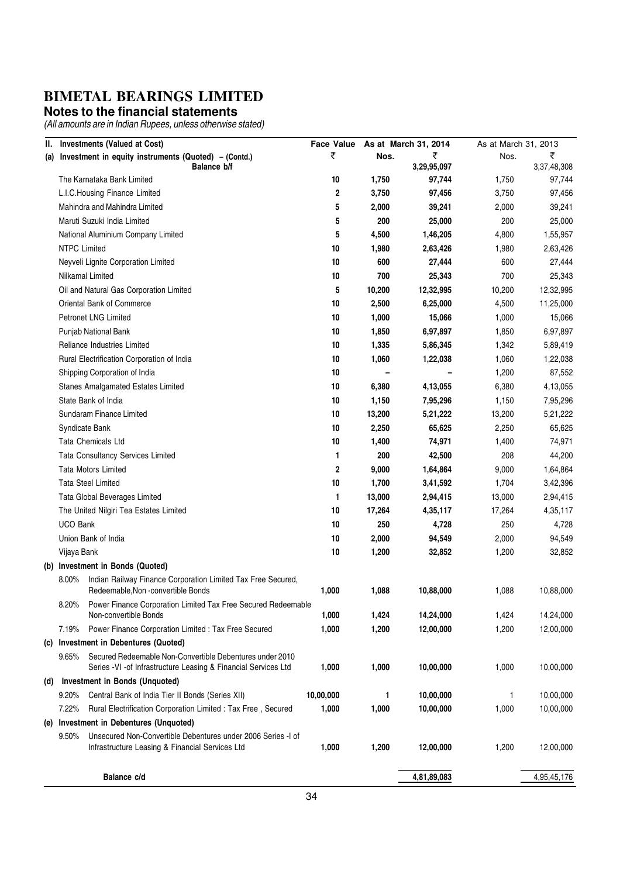#### **Notes to the financial statements**

| Ш.  |                     | <b>Investments (Valued at Cost)</b>                                                                                        | <b>Face Value</b> |                | As at March 31, 2014 | As at March 31, 2013 |                  |
|-----|---------------------|----------------------------------------------------------------------------------------------------------------------------|-------------------|----------------|----------------------|----------------------|------------------|
| (a) |                     | Investment in equity instruments (Quoted) - (Contd.)<br>Balance b/f                                                        | ₹                 | Nos.           | ₹<br>3,29,95,097     | Nos.                 | ₹<br>3,37,48,308 |
|     |                     | The Karnataka Bank Limited                                                                                                 | 10                | 1,750          | 97,744               | 1,750                | 97,744           |
|     |                     | L.I.C.Housing Finance Limited                                                                                              | 2                 | 3,750          | 97,456               | 3,750                | 97,456           |
|     |                     | Mahindra and Mahindra Limited                                                                                              | 5                 | 2,000          | 39,241               | 2,000                | 39,241           |
|     |                     | Maruti Suzuki India Limited                                                                                                | 5                 | 200            | 25,000               | 200                  | 25,000           |
|     |                     | National Aluminium Company Limited                                                                                         | 5                 | 4,500          | 1,46,205             | 4,800                | 1,55,957         |
|     | <b>NTPC Limited</b> |                                                                                                                            | 10                | 1,980          | 2,63,426             | 1,980                | 2,63,426         |
|     |                     | Neyveli Lignite Corporation Limited                                                                                        | 10                | 600            | 27,444               | 600                  | 27,444           |
|     |                     | Nilkamal Limited                                                                                                           | 10                | 700            | 25,343               | 700                  | 25,343           |
|     |                     | Oil and Natural Gas Corporation Limited                                                                                    | 5                 | 10,200         | 12,32,995            | 10,200               | 12,32,995        |
|     |                     | Oriental Bank of Commerce                                                                                                  | 10                | 2,500          | 6,25,000             | 4,500                | 11,25,000        |
|     |                     | <b>Petronet LNG Limited</b>                                                                                                | 10                | 1,000          | 15,066               | 1,000                | 15,066           |
|     |                     | Punjab National Bank                                                                                                       | 10                | 1,850          | 6,97,897             | 1,850                | 6,97,897         |
|     |                     | Reliance Industries Limited                                                                                                | 10                | 1,335          | 5,86,345             | 1,342                | 5,89,419         |
|     |                     | Rural Electrification Corporation of India                                                                                 | 10                | 1,060          | 1,22,038             | 1,060                | 1,22,038         |
|     |                     | Shipping Corporation of India                                                                                              | 10                | $\overline{a}$ |                      | 1,200                | 87,552           |
|     |                     | <b>Stanes Amalgamated Estates Limited</b>                                                                                  | 10                | 6,380          | 4,13,055             | 6,380                | 4,13,055         |
|     |                     | State Bank of India                                                                                                        | 10                | 1,150          | 7,95,296             | 1,150                | 7,95,296         |
|     |                     | Sundaram Finance Limited                                                                                                   | 10                | 13,200         | 5,21,222             | 13,200               | 5,21,222         |
|     |                     | Syndicate Bank                                                                                                             | 10                | 2,250          | 65,625               | 2,250                | 65,625           |
|     |                     | Tata Chemicals Ltd                                                                                                         | 10                | 1,400          | 74,971               | 1,400                | 74,971           |
|     |                     | <b>Tata Consultancy Services Limited</b>                                                                                   | 1                 | 200            | 42,500               | 208                  | 44,200           |
|     |                     | <b>Tata Motors Limited</b>                                                                                                 | 2                 | 9,000          | 1,64,864             | 9,000                | 1,64,864         |
|     |                     | <b>Tata Steel Limited</b>                                                                                                  | 10                | 1,700          | 3,41,592             | 1,704                | 3,42,396         |
|     |                     | Tata Global Beverages Limited                                                                                              | 1                 | 13,000         | 2,94,415             | 13,000               | 2,94,415         |
|     |                     | The United Nilgiri Tea Estates Limited                                                                                     | 10                | 17,264         | 4,35,117             | 17,264               | 4,35,117         |
|     | <b>UCO Bank</b>     |                                                                                                                            | 10                | 250            | 4,728                | 250                  | 4,728            |
|     |                     | Union Bank of India                                                                                                        | 10                | 2,000          | 94,549               | 2,000                | 94,549           |
|     | Vijaya Bank         |                                                                                                                            | 10                | 1,200          | 32,852               | 1,200                | 32,852           |
|     |                     | (b) Investment in Bonds (Quoted)                                                                                           |                   |                |                      |                      |                  |
|     | $8.00\%$            | Indian Railway Finance Corporation Limited Tax Free Secured,                                                               |                   |                |                      |                      |                  |
|     |                     | Redeemable, Non -convertible Bonds                                                                                         | 1,000             | 1,088          | 10,88,000            | 1,088                | 10,88,000        |
|     | 8.20%               | Power Finance Corporation Limited Tax Free Secured Redeemable                                                              |                   |                |                      |                      |                  |
|     |                     | Non-convertible Bonds                                                                                                      | 1,000             | 1,424          | 14,24,000            | 1,424                | 14,24,000        |
|     | 7.19%               | Power Finance Corporation Limited : Tax Free Secured                                                                       | 1,000             | 1,200          | 12,00,000            | 1,200                | 12,00,000        |
|     |                     | (c) Investment in Debentures (Quoted)                                                                                      |                   |                |                      |                      |                  |
|     | $9.65\%$            | Secured Redeemable Non-Convertible Debentures under 2010<br>Series -VI -of Infrastructure Leasing & Financial Services Ltd | 1,000             | 1,000          | 10,00,000            | 1,000                | 10,00,000        |
| (d) |                     | Investment in Bonds (Unquoted)                                                                                             |                   |                |                      |                      |                  |
|     | 9.20%               | Central Bank of India Tier II Bonds (Series XII)                                                                           | 10,00,000         | 1              | 10,00,000            | 1                    | 10,00,000        |
|     | 7.22%               | Rural Electrification Corporation Limited : Tax Free, Secured                                                              | 1,000             | 1,000          | 10,00,000            | 1,000                | 10,00,000        |
|     |                     | (e) Investment in Debentures (Unquoted)                                                                                    |                   |                |                      |                      |                  |
|     | $9.50\%$            | Unsecured Non-Convertible Debentures under 2006 Series -I of                                                               |                   |                |                      |                      |                  |
|     |                     | Infrastructure Leasing & Financial Services Ltd                                                                            | 1,000             | 1,200          | 12,00,000            | 1,200                | 12,00,000        |
|     |                     | Balance c/d                                                                                                                |                   |                | 4,81,89,083          |                      | 4,95,45,176      |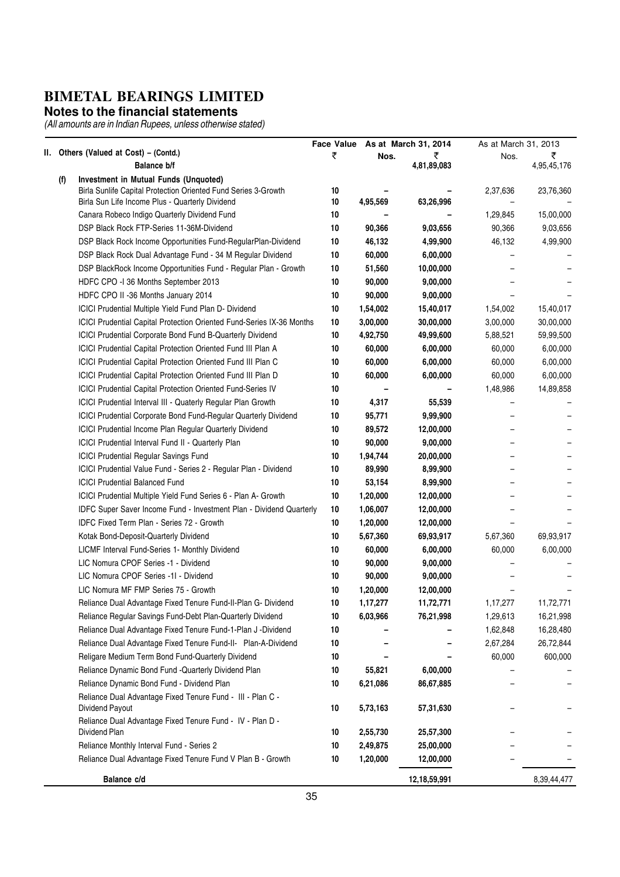#### **Notes to the financial statements**

|     |     |                                                                                                                                     | <b>Face Value</b> |          | As at March 31, 2014 | As at March 31, 2013 |             |
|-----|-----|-------------------------------------------------------------------------------------------------------------------------------------|-------------------|----------|----------------------|----------------------|-------------|
| II. |     | Others (Valued at Cost) - (Contd.)                                                                                                  | ₹                 | Nos.     | ₹                    | Nos.                 | ₹           |
|     |     | Balance b/f                                                                                                                         |                   |          | 4,81,89,083          |                      | 4,95,45,176 |
|     | (f) | Investment in Mutual Funds (Unquoted)                                                                                               |                   |          |                      |                      |             |
|     |     | Birla Sunlife Capital Protection Oriented Fund Series 3-Growth<br>Birla Sun Life Income Plus - Quarterly Dividend                   | 10<br>10          | 4,95,569 | 63,26,996            | 2,37,636             | 23,76,360   |
|     |     | Canara Robeco Indigo Quarterly Dividend Fund                                                                                        | 10                |          |                      | 1,29,845             | 15,00,000   |
|     |     | DSP Black Rock FTP-Series 11-36M-Dividend                                                                                           | 10                | 90,366   | 9,03,656             | 90,366               | 9,03,656    |
|     |     | DSP Black Rock Income Opportunities Fund-RegularPlan-Dividend                                                                       | 10                | 46,132   | 4,99,900             | 46,132               | 4,99,900    |
|     |     | DSP Black Rock Dual Advantage Fund - 34 M Regular Dividend                                                                          | 10                | 60,000   | 6,00,000             |                      |             |
|     |     | DSP BlackRock Income Opportunities Fund - Regular Plan - Growth                                                                     | 10                | 51,560   | 10,00,000            |                      |             |
|     |     | HDFC CPO -I 36 Months September 2013                                                                                                | 10                | 90,000   | 9,00,000             |                      |             |
|     |     |                                                                                                                                     | 10                | 90,000   | 9,00,000             |                      |             |
|     |     | HDFC CPO II -36 Months January 2014                                                                                                 | 10                | 1,54,002 |                      |                      |             |
|     |     | ICICI Prudential Multiple Yield Fund Plan D- Dividend                                                                               |                   |          | 15,40,017            | 1,54,002             | 15,40,017   |
|     |     | ICICI Prudential Capital Protection Oriented Fund-Series IX-36 Months                                                               | 10                | 3,00,000 | 30,00,000            | 3,00,000             | 30,00,000   |
|     |     | ICICI Prudential Corporate Bond Fund B-Quarterly Dividend                                                                           | 10<br>10          | 4,92,750 | 49,99,600            | 5,88,521             | 59,99,500   |
|     |     | ICICI Prudential Capital Protection Oriented Fund III Plan A<br><b>ICICI Prudential Capital Protection Oriented Fund III Plan C</b> |                   | 60,000   | 6,00,000             | 60,000               | 6,00,000    |
|     |     |                                                                                                                                     | 10                | 60,000   | 6,00,000             | 60,000               | 6,00,000    |
|     |     | ICICI Prudential Capital Protection Oriented Fund III Plan D                                                                        | 10                | 60,000   | 6,00,000             | 60,000               | 6,00,000    |
|     |     | ICICI Prudential Capital Protection Oriented Fund-Series IV                                                                         | 10                |          |                      | 1,48,986             | 14,89,858   |
|     |     | ICICI Prudential Interval III - Quaterly Regular Plan Growth                                                                        | 10                | 4,317    | 55,539               |                      |             |
|     |     | ICICI Prudential Corporate Bond Fund-Regular Quarterly Dividend                                                                     | 10                | 95,771   | 9,99,900             |                      |             |
|     |     | ICICI Prudential Income Plan Regular Quarterly Dividend                                                                             | 10                | 89,572   | 12,00,000            |                      |             |
|     |     | ICICI Prudential Interval Fund II - Quarterly Plan                                                                                  | 10                | 90,000   | 9,00,000             |                      |             |
|     |     | <b>ICICI Prudential Regular Savings Fund</b>                                                                                        | 10                | 1,94,744 | 20,00,000            |                      |             |
|     |     | ICICI Prudential Value Fund - Series 2 - Regular Plan - Dividend                                                                    | 10                | 89,990   | 8,99,900             |                      |             |
|     |     | <b>ICICI Prudential Balanced Fund</b>                                                                                               | 10                | 53,154   | 8,99,900             |                      |             |
|     |     | ICICI Prudential Multiple Yield Fund Series 6 - Plan A- Growth                                                                      | 10                | 1,20,000 | 12,00,000            |                      |             |
|     |     | <b>IDFC Super Saver Income Fund - Investment Plan - Dividend Quarterly</b>                                                          | 10                | 1,06,007 | 12,00,000            |                      |             |
|     |     | IDFC Fixed Term Plan - Series 72 - Growth                                                                                           | 10                | 1,20,000 | 12,00,000            |                      |             |
|     |     | Kotak Bond-Deposit-Quarterly Dividend                                                                                               | 10                | 5,67,360 | 69,93,917            | 5,67,360             | 69,93,917   |
|     |     | LICMF Interval Fund-Series 1- Monthly Dividend                                                                                      | 10                | 60,000   | 6,00,000             | 60,000               | 6,00,000    |
|     |     | LIC Nomura CPOF Series -1 - Dividend                                                                                                | 10                | 90,000   | 9,00,000             |                      |             |
|     |     | LIC Nomura CPOF Series -11 - Dividend                                                                                               | 10                | 90,000   | 9,00,000             |                      |             |
|     |     | LIC Nomura MF FMP Series 75 - Growth                                                                                                | 10                | 1,20,000 | 12,00,000            |                      |             |
|     |     | Reliance Dual Advantage Fixed Tenure Fund-II-Plan G- Dividend                                                                       | 10                | 1,17,277 | 11,72,771            | 1,17,277             | 11,72,771   |
|     |     | Reliance Regular Savings Fund-Debt Plan-Quarterly Dividend                                                                          | 10                | 6,03,966 | 76,21,998            | 1,29,613             | 16,21,998   |
|     |     | Reliance Dual Advantage Fixed Tenure Fund-1-Plan J -Dividend                                                                        | 10                |          |                      | 1,62,848             | 16,28,480   |
|     |     | Reliance Dual Advantage Fixed Tenure Fund-II- Plan-A-Dividend                                                                       | 10                |          |                      | 2,67,284             | 26,72,844   |
|     |     | Religare Medium Term Bond Fund-Quarterly Dividend                                                                                   | 10                |          |                      | 60,000               | 600,000     |
|     |     | Reliance Dynamic Bond Fund -Quarterly Dividend Plan                                                                                 | 10                | 55,821   | 6,00,000             |                      |             |
|     |     | Reliance Dynamic Bond Fund - Dividend Plan                                                                                          | 10                | 6,21,086 | 86,67,885            |                      |             |
|     |     | Reliance Dual Advantage Fixed Tenure Fund - III - Plan C -<br>Dividend Payout                                                       | 10                | 5,73,163 | 57,31,630            |                      |             |
|     |     | Reliance Dual Advantage Fixed Tenure Fund - IV - Plan D -                                                                           |                   |          |                      |                      |             |
|     |     | Dividend Plan                                                                                                                       | 10                | 2,55,730 | 25,57,300            |                      |             |
|     |     | Reliance Monthly Interval Fund - Series 2                                                                                           | 10                | 2,49,875 | 25,00,000            |                      |             |
|     |     | Reliance Dual Advantage Fixed Tenure Fund V Plan B - Growth                                                                         | 10                | 1,20,000 | 12,00,000            |                      |             |
|     |     | Balance c/d                                                                                                                         |                   |          | 12,18,59,991         |                      | 8,39,44,477 |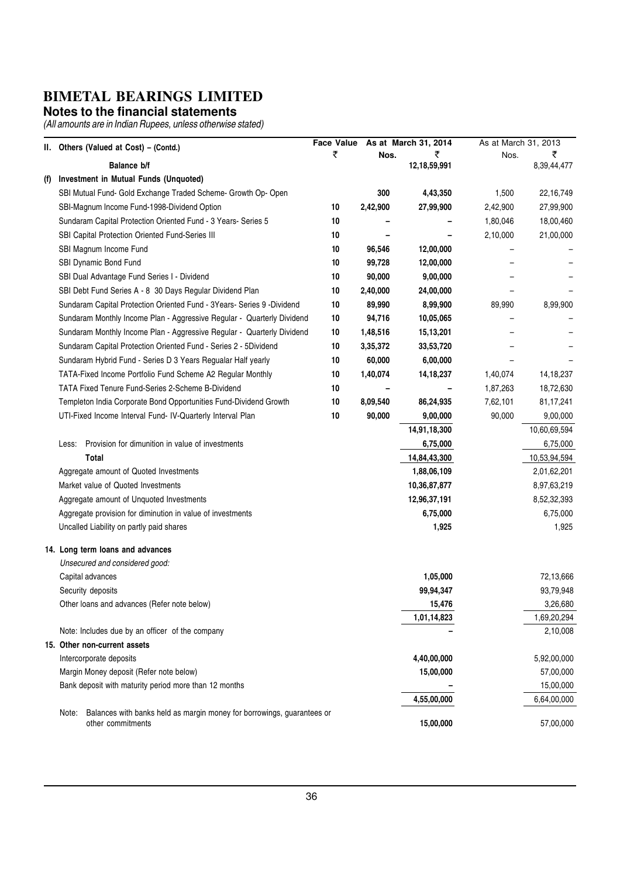#### **Notes to the financial statements**

|     | II. Others (Valued at Cost) - (Contd.)                                                               | <b>Face Value</b> |          | As at March 31, 2014 | As at March 31, 2013 |              |  |
|-----|------------------------------------------------------------------------------------------------------|-------------------|----------|----------------------|----------------------|--------------|--|
|     |                                                                                                      | ₹                 | Nos.     | ₹                    | Nos.                 | ₹            |  |
|     | Balance b/f                                                                                          |                   |          | 12,18,59,991         |                      | 8,39,44,477  |  |
| (1) | Investment in Mutual Funds (Unquoted)                                                                |                   |          |                      |                      |              |  |
|     | SBI Mutual Fund- Gold Exchange Traded Scheme- Growth Op- Open                                        |                   | 300      | 4,43,350             | 1,500                | 22, 16, 749  |  |
|     | SBI-Magnum Income Fund-1998-Dividend Option                                                          | 10                | 2,42,900 | 27,99,900            | 2,42,900             | 27,99,900    |  |
|     | Sundaram Capital Protection Oriented Fund - 3 Years- Series 5                                        | 10                |          |                      | 1,80,046             | 18,00,460    |  |
|     | SBI Capital Protection Oriented Fund-Series III                                                      | 10                |          |                      | 2,10,000             | 21,00,000    |  |
|     | SBI Magnum Income Fund                                                                               | 10                | 96,546   | 12,00,000            |                      |              |  |
|     | SBI Dynamic Bond Fund                                                                                | 10                | 99,728   | 12,00,000            |                      |              |  |
|     | SBI Dual Advantage Fund Series I - Dividend                                                          | 10                | 90,000   | 9,00,000             |                      |              |  |
|     | SBI Debt Fund Series A - 8 30 Days Regular Dividend Plan                                             | 10                | 2,40,000 | 24,00,000            |                      |              |  |
|     | Sundaram Capital Protection Oriented Fund - 3Years- Series 9 -Dividend                               | 10                | 89,990   | 8,99,900             | 89,990               | 8,99,900     |  |
|     | Sundaram Monthly Income Plan - Aggressive Regular - Quarterly Dividend                               | 10                | 94,716   | 10,05,065            |                      |              |  |
|     | Sundaram Monthly Income Plan - Aggressive Regular - Quarterly Dividend                               | 10                | 1,48,516 | 15,13,201            |                      |              |  |
|     | Sundaram Capital Protection Oriented Fund - Series 2 - 5Dividend                                     | 10                | 3,35,372 | 33,53,720            |                      |              |  |
|     | Sundaram Hybrid Fund - Series D 3 Years Regualar Half yearly                                         | 10                | 60,000   | 6,00,000             |                      |              |  |
|     | TATA-Fixed Income Portfolio Fund Scheme A2 Regular Monthly                                           | 10                | 1,40,074 | 14, 18, 237          | 1,40,074             | 14, 18, 237  |  |
|     | TATA Fixed Tenure Fund-Series 2-Scheme B-Dividend                                                    | 10                |          |                      | 1,87,263             | 18,72,630    |  |
|     | Templeton India Corporate Bond Opportunities Fund-Dividend Growth                                    | 10                | 8,09,540 | 86,24,935            | 7,62,101             | 81, 17, 241  |  |
|     | UTI-Fixed Income Interval Fund- IV-Quarterly Interval Plan                                           | 10                | 90,000   | 9,00,000             | 90,000               | 9,00,000     |  |
|     |                                                                                                      |                   |          | 14,91,18,300         |                      | 10,60,69,594 |  |
|     | Provision for dimunition in value of investments<br>Less:                                            |                   |          | 6,75,000             |                      | 6,75,000     |  |
|     | Total                                                                                                |                   |          | 14,84,43,300         |                      | 10,53,94,594 |  |
|     | Aggregate amount of Quoted Investments                                                               |                   |          | 1,88,06,109          |                      | 2,01,62,201  |  |
|     | Market value of Quoted Investments                                                                   |                   |          | 10,36,87,877         |                      | 8,97,63,219  |  |
|     | Aggregate amount of Unquoted Investments                                                             |                   |          | 12,96,37,191         |                      | 8,52,32,393  |  |
|     | Aggregate provision for diminution in value of investments                                           |                   |          | 6,75,000             |                      | 6,75,000     |  |
|     | Uncalled Liability on partly paid shares                                                             |                   |          | 1,925                |                      | 1,925        |  |
|     |                                                                                                      |                   |          |                      |                      |              |  |
|     | 14. Long term loans and advances                                                                     |                   |          |                      |                      |              |  |
|     | Unsecured and considered good:                                                                       |                   |          |                      |                      |              |  |
|     | Capital advances                                                                                     |                   |          | 1,05,000             |                      | 72,13,666    |  |
|     | Security deposits                                                                                    |                   |          | 99,94,347            |                      | 93,79,948    |  |
|     | Other loans and advances (Refer note below)                                                          |                   |          | 15,476               |                      | 3,26,680     |  |
|     |                                                                                                      |                   |          | 1,01,14,823          |                      | 1,69,20,294  |  |
|     | Note: Includes due by an officer of the company                                                      |                   |          |                      |                      | 2,10,008     |  |
|     | 15. Other non-current assets                                                                         |                   |          |                      |                      |              |  |
|     | Intercorporate deposits                                                                              |                   |          | 4,40,00,000          |                      | 5,92,00,000  |  |
|     | Margin Money deposit (Refer note below)                                                              |                   |          | 15,00,000            |                      | 57,00,000    |  |
|     | Bank deposit with maturity period more than 12 months                                                |                   |          |                      |                      | 15,00,000    |  |
|     |                                                                                                      |                   |          | 4,55,00,000          |                      | 6,64,00,000  |  |
|     | Balances with banks held as margin money for borrowings, guarantees or<br>Note:<br>other commitments |                   |          | 15,00,000            |                      | 57,00,000    |  |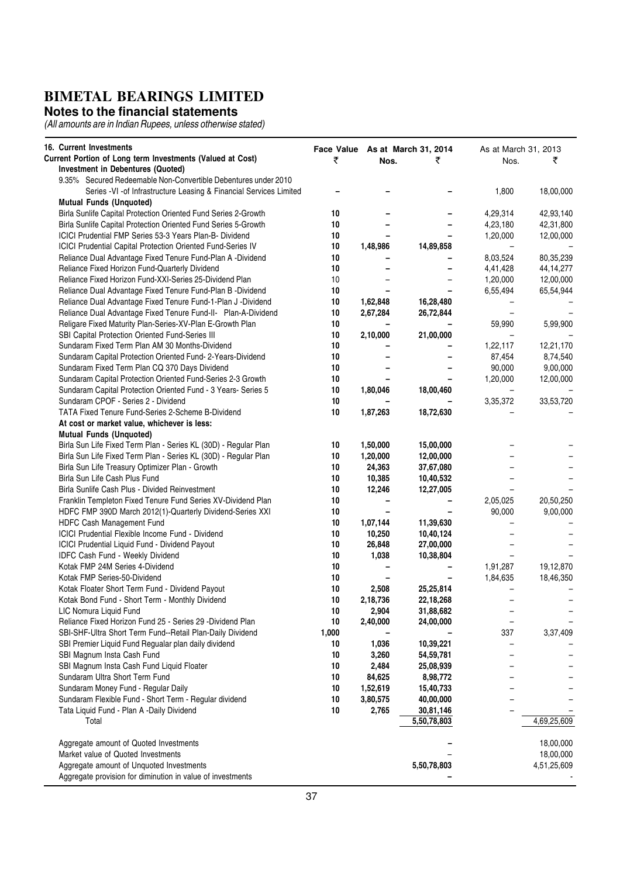#### **Notes to the financial statements**

| <b>16. Current Investments</b>                                     | Face Value As at March 31, 2014<br>As at March 31, 2013 |          |                          |          |             |
|--------------------------------------------------------------------|---------------------------------------------------------|----------|--------------------------|----------|-------------|
| Current Portion of Long term Investments (Valued at Cost)          | ₹                                                       | Nos.     | ₹                        | Nos.     | ₹           |
| Investment in Debentures (Quoted)                                  |                                                         |          |                          |          |             |
| 9.35% Secured Redeemable Non-Convertible Debentures under 2010     |                                                         |          |                          |          |             |
| Series -VI -of Infrastructure Leasing & Financial Services Limited |                                                         |          |                          | 1,800    | 18,00,000   |
| <b>Mutual Funds (Unquoted)</b>                                     |                                                         |          |                          |          |             |
| Birla Sunlife Capital Protection Oriented Fund Series 2-Growth     | 10                                                      |          |                          | 4,29,314 | 42,93,140   |
| Birla Sunlife Capital Protection Oriented Fund Series 5-Growth     | 10                                                      |          |                          | 4,23,180 | 42,31,800   |
| ICICI Prudential FMP Series 53-3 Years Plan-B- Dividend            | 10                                                      |          |                          | 1,20,000 | 12,00,000   |
| <b>ICICI Prudential Capital Protection Oriented Fund-Series IV</b> | 10                                                      | 1,48,986 | 14,89,858                |          |             |
| Reliance Dual Advantage Fixed Tenure Fund-Plan A -Dividend         | 10                                                      |          |                          | 8,03,524 | 80,35,239   |
| Reliance Fixed Horizon Fund-Quarterly Dividend                     | 10                                                      |          | -                        | 4,41,428 | 44, 14, 277 |
| Reliance Fixed Horizon Fund-XXI-Series 25-Dividend Plan            | 10                                                      |          | $\overline{\phantom{0}}$ | 1,20,000 | 12,00,000   |
| Reliance Dual Advantage Fixed Tenure Fund-Plan B -Dividend         | 10                                                      |          |                          | 6,55,494 | 65,54,944   |
| Reliance Dual Advantage Fixed Tenure Fund-1-Plan J -Dividend       | 10                                                      | 1,62,848 | 16,28,480                |          |             |
| Reliance Dual Advantage Fixed Tenure Fund-II- Plan-A-Dividend      | 10                                                      | 2,67,284 | 26,72,844                |          |             |
| Religare Fixed Maturity Plan-Series-XV-Plan E-Growth Plan          | 10                                                      |          |                          | 59,990   | 5,99,900    |
| SBI Capital Protection Oriented Fund-Series III                    | 10                                                      | 2,10,000 | 21,00,000                |          |             |
| Sundaram Fixed Term Plan AM 30 Months-Dividend                     | 10                                                      |          |                          | 1,22,117 | 12,21,170   |
| Sundaram Capital Protection Oriented Fund-2-Years-Dividend         | 10                                                      |          | -                        | 87,454   | 8,74,540    |
| Sundaram Fixed Term Plan CQ 370 Days Dividend                      | 10                                                      |          |                          | 90,000   | 9,00,000    |
| Sundaram Capital Protection Oriented Fund-Series 2-3 Growth        | 10                                                      |          |                          | 1,20,000 | 12,00,000   |
| Sundaram Capital Protection Oriented Fund - 3 Years- Series 5      | 10                                                      | 1,80,046 | 18,00,460                |          |             |
| Sundaram CPOF - Series 2 - Dividend                                | 10                                                      |          |                          | 3,35,372 | 33,53,720   |
| TATA Fixed Tenure Fund-Series 2-Scheme B-Dividend                  | 10                                                      | 1,87,263 | 18,72,630                |          |             |
| At cost or market value, whichever is less:                        |                                                         |          |                          |          |             |
| <b>Mutual Funds (Unquoted)</b>                                     |                                                         |          |                          |          |             |
| Birla Sun Life Fixed Term Plan - Series KL (30D) - Regular Plan    | 10                                                      | 1,50,000 | 15,00,000                |          |             |
| Birla Sun Life Fixed Term Plan - Series KL (30D) - Regular Plan    | 10                                                      | 1,20,000 | 12,00,000                |          |             |
| Birla Sun Life Treasury Optimizer Plan - Growth                    | 10                                                      | 24,363   | 37,67,080                |          |             |
| Birla Sun Life Cash Plus Fund                                      | 10                                                      | 10,385   | 10,40,532                |          |             |
| Birla Sunlife Cash Plus - Divided Reinvestment                     | 10                                                      | 12,246   | 12,27,005                |          |             |
| Franklin Templeton Fixed Tenure Fund Series XV-Dividend Plan       | 10                                                      |          |                          | 2,05,025 | 20,50,250   |
| HDFC FMP 390D March 2012(1)-Quarterly Dividend-Series XXI          | 10                                                      |          |                          | 90,000   | 9,00,000    |
| HDFC Cash Management Fund                                          | 10                                                      | 1,07,144 | 11,39,630                |          |             |
| ICICI Prudential Flexible Income Fund - Dividend                   | 10                                                      | 10,250   | 10,40,124                |          |             |
| ICICI Prudential Liquid Fund - Dividend Payout                     | 10                                                      | 26,848   | 27,00,000                |          |             |
| IDFC Cash Fund - Weekly Dividend                                   | 10                                                      | 1,038    | 10,38,804                |          |             |
| Kotak FMP 24M Series 4-Dividend                                    | 10                                                      |          |                          | 1,91,287 | 19,12,870   |
| Kotak FMP Series-50-Dividend                                       | 10                                                      |          |                          | 1,84,635 | 18,46,350   |
| Kotak Floater Short Term Fund - Dividend Payout                    | 10                                                      | 2,508    | 25,25,814                |          |             |
| Kotak Bond Fund - Short Term - Monthly Dividend                    | 10                                                      | 2,18,736 | 22,18,268                |          |             |
| LIC Nomura Liquid Fund                                             | 10                                                      | 2,904    | 31,88,682                |          |             |
| Reliance Fixed Horizon Fund 25 - Series 29 -Dividend Plan          | 10                                                      | 2,40,000 | 24,00,000                |          |             |
| SBI-SHF-Ultra Short Term Fund--Retail Plan-Daily Dividend          | 1,000                                                   |          |                          | 337      | 3,37,409    |
| SBI Premier Liquid Fund Regualar plan daily dividend               | 10                                                      | 1,036    | 10,39,221                |          |             |
| SBI Magnum Insta Cash Fund                                         | 10                                                      | 3,260    | 54,59,781                |          |             |
| SBI Magnum Insta Cash Fund Liquid Floater                          | 10                                                      | 2,484    | 25,08,939                |          |             |
| Sundaram Ultra Short Term Fund                                     | 10                                                      | 84,625   | 8,98,772                 |          |             |
| Sundaram Money Fund - Regular Daily                                | 10                                                      | 1,52,619 | 15,40,733                |          |             |
| Sundaram Flexible Fund - Short Term - Regular dividend             | 10                                                      | 3,80,575 | 40,00,000                |          |             |
| Tata Liquid Fund - Plan A -Daily Dividend                          | 10                                                      | 2,765    | 30,81,146                |          |             |
| Total                                                              |                                                         |          | 5,50,78,803              |          | 4,69,25,609 |
|                                                                    |                                                         |          |                          |          |             |
| Aggregate amount of Quoted Investments                             |                                                         |          |                          |          | 18,00,000   |
| Market value of Quoted Investments                                 |                                                         |          |                          |          | 18,00,000   |
| Aggregate amount of Unquoted Investments                           |                                                         |          | 5,50,78,803              |          | 4,51,25,609 |
| Aggregate provision for diminution in value of investments         |                                                         |          |                          |          |             |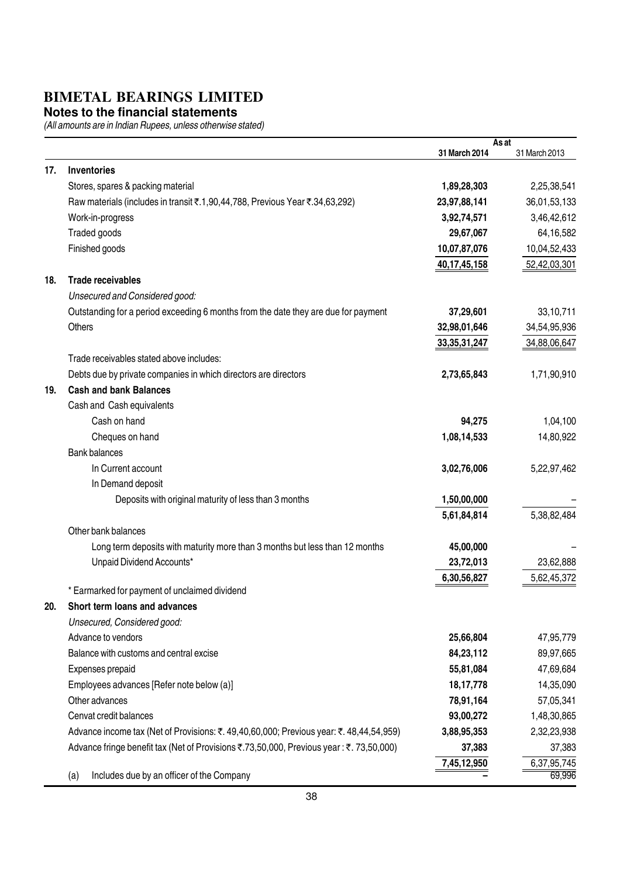#### **Notes to the financial statements**

|     |                                                                                         |                 | As at         |
|-----|-----------------------------------------------------------------------------------------|-----------------|---------------|
|     |                                                                                         | 31 March 2014   | 31 March 2013 |
| 17. | <b>Inventories</b>                                                                      |                 |               |
|     | Stores, spares & packing material                                                       | 1,89,28,303     | 2,25,38,541   |
|     | Raw materials (includes in transit ₹.1,90,44,788, Previous Year ₹.34,63,292)            | 23,97,88,141    | 36,01,53,133  |
|     | Work-in-progress                                                                        | 3,92,74,571     | 3,46,42,612   |
|     | Traded goods                                                                            | 29,67,067       | 64,16,582     |
|     | Finished goods                                                                          | 10,07,87,076    | 10,04,52,433  |
|     |                                                                                         | 40, 17, 45, 158 | 52,42,03,301  |
| 18. | <b>Trade receivables</b>                                                                |                 |               |
|     | Unsecured and Considered good:                                                          |                 |               |
|     | Outstanding for a period exceeding 6 months from the date they are due for payment      | 37,29,601       | 33,10,711     |
|     | <b>Others</b>                                                                           | 32,98,01,646    | 34,54,95,936  |
|     |                                                                                         | 33, 35, 31, 247 | 34,88,06,647  |
|     | Trade receivables stated above includes:                                                |                 |               |
|     | Debts due by private companies in which directors are directors                         | 2,73,65,843     | 1,71,90,910   |
| 19. | <b>Cash and bank Balances</b>                                                           |                 |               |
|     | Cash and Cash equivalents                                                               |                 |               |
|     | Cash on hand                                                                            | 94,275          | 1,04,100      |
|     | Cheques on hand                                                                         | 1,08,14,533     | 14,80,922     |
|     | <b>Bank balances</b>                                                                    |                 |               |
|     | In Current account                                                                      | 3,02,76,006     | 5,22,97,462   |
|     | In Demand deposit                                                                       |                 |               |
|     | Deposits with original maturity of less than 3 months                                   | 1,50,00,000     |               |
|     |                                                                                         | 5,61,84,814     | 5,38,82,484   |
|     | Other bank balances                                                                     |                 |               |
|     | Long term deposits with maturity more than 3 months but less than 12 months             | 45,00,000       |               |
|     | Unpaid Dividend Accounts*                                                               | 23,72,013       | 23,62,888     |
|     |                                                                                         | 6,30,56,827     | 5,62,45,372   |
|     | * Earmarked for payment of unclaimed dividend                                           |                 |               |
| 20. | Short term loans and advances                                                           |                 |               |
|     | Unsecured, Considered good:                                                             |                 |               |
|     | Advance to vendors                                                                      | 25,66,804       | 47,95,779     |
|     | Balance with customs and central excise                                                 | 84,23,112       | 89,97,665     |
|     | Expenses prepaid                                                                        | 55,81,084       | 47,69,684     |
|     | Employees advances [Refer note below (a)]                                               | 18, 17, 778     | 14,35,090     |
|     | Other advances                                                                          | 78,91,164       | 57,05,341     |
|     | Cenvat credit balances                                                                  | 93,00,272       | 1,48,30,865   |
|     | Advance income tax (Net of Provisions: ₹. 49,40,60,000; Previous year: ₹. 48,44,54,959) | 3,88,95,353     | 2,32,23,938   |
|     | Advance fringe benefit tax (Net of Provisions ₹.73,50,000, Previous year : ₹.73,50,000) | 37,383          | 37,383        |
|     |                                                                                         | 7,45,12,950     | 6,37,95,745   |
|     | Includes due by an officer of the Company<br>(a)                                        |                 | 69,996        |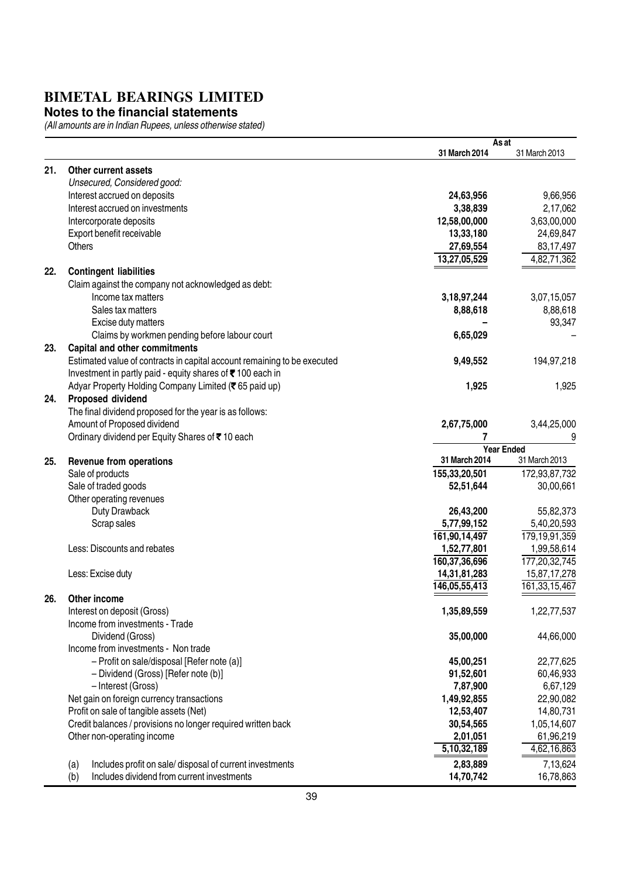#### **Notes to the financial statements**

|     |                                                                          | As at            |                   |
|-----|--------------------------------------------------------------------------|------------------|-------------------|
|     |                                                                          | 31 March 2014    | 31 March 2013     |
| 21. | Other current assets                                                     |                  |                   |
|     | Unsecured, Considered good:                                              |                  |                   |
|     | Interest accrued on deposits                                             | 24,63,956        | 9,66,956          |
|     | Interest accrued on investments                                          | 3,38,839         | 2,17,062          |
|     | Intercorporate deposits                                                  | 12,58,00,000     | 3,63,00,000       |
|     | Export benefit receivable                                                | 13,33,180        | 24,69,847         |
|     | Others                                                                   |                  |                   |
|     |                                                                          | 27,69,554        | 83,17,497         |
|     |                                                                          | 13,27,05,529     | 4,82,71,362       |
| 22. | <b>Contingent liabilities</b>                                            |                  |                   |
|     | Claim against the company not acknowledged as debt:                      |                  |                   |
|     | Income tax matters                                                       | 3, 18, 97, 244   | 3,07,15,057       |
|     | Sales tax matters                                                        | 8,88,618         | 8,88,618          |
|     | Excise duty matters                                                      |                  | 93,347            |
|     | Claims by workmen pending before labour court                            | 6,65,029         |                   |
| 23. | <b>Capital and other commitments</b>                                     |                  |                   |
|     | Estimated value of contracts in capital account remaining to be executed | 9,49,552         | 194,97,218        |
|     | Investment in partly paid - equity shares of ₹100 each in                |                  |                   |
|     | Adyar Property Holding Company Limited (₹65 paid up)                     | 1,925            | 1,925             |
| 24. | Proposed dividend                                                        |                  |                   |
|     | The final dividend proposed for the year is as follows:                  |                  |                   |
|     | Amount of Proposed dividend                                              | 2,67,75,000      | 3,44,25,000       |
|     | Ordinary dividend per Equity Shares of ₹10 each                          | 7                | 9                 |
|     |                                                                          |                  | <b>Year Ended</b> |
| 25. | <b>Revenue from operations</b>                                           | 31 March 2014    | 31 March 2013     |
|     | Sale of products                                                         | 155,33,20,501    | 172,93,87,732     |
|     | Sale of traded goods                                                     | 52,51,644        | 30,00,661         |
|     |                                                                          |                  |                   |
|     | Other operating revenues                                                 |                  |                   |
|     | Duty Drawback                                                            | 26,43,200        | 55,82,373         |
|     | Scrap sales                                                              | 5,77,99,152      | 5,40,20,593       |
|     |                                                                          | 161,90,14,497    | 179, 19, 91, 359  |
|     | Less: Discounts and rebates                                              | 1,52,77,801      | 1,99,58,614       |
|     |                                                                          | 160, 37, 36, 696 | 177,20,32,745     |
|     | Less: Excise duty                                                        | 14,31,81,283     | 15,87,17,278      |
|     |                                                                          | 146,05,55,413    | 161, 33, 15, 467  |
| 26. | Other income                                                             |                  |                   |
|     | Interest on deposit (Gross)                                              | 1,35,89,559      | 1,22,77,537       |
|     | Income from investments - Trade                                          |                  |                   |
|     | Dividend (Gross)                                                         | 35,00,000        | 44,66,000         |
|     | Income from investments - Non trade                                      |                  |                   |
|     | - Profit on sale/disposal [Refer note (a)]                               | 45,00,251        | 22,77,625         |
|     | - Dividend (Gross) [Refer note (b)]                                      | 91,52,601        | 60,46,933         |
|     | - Interest (Gross)                                                       | 7,87,900         | 6,67,129          |
|     | Net gain on foreign currency transactions                                | 1,49,92,855      | 22,90,082         |
|     | Profit on sale of tangible assets (Net)                                  | 12,53,407        | 14,80,731         |
|     | Credit balances / provisions no longer required written back             | 30,54,565        | 1,05,14,607       |
|     | Other non-operating income                                               | 2,01,051         | 61,96,219         |
|     |                                                                          | 5,10,32,189      | 4,62,16,863       |
|     |                                                                          |                  |                   |
|     | Includes profit on sale/ disposal of current investments<br>(a)          | 2,83,889         | 7,13,624          |
|     | Includes dividend from current investments<br>(b)                        | 14,70,742        | 16,78,863         |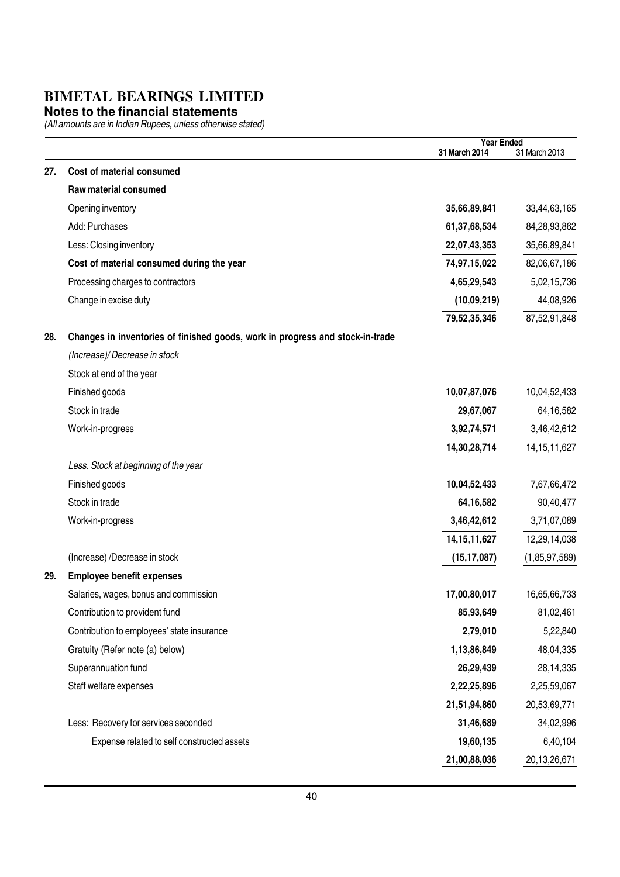#### **Notes to the financial statements**

| Cost of material consumed<br>27.<br>Raw material consumed<br>Opening inventory<br>35,66,89,841<br>33,44,63,165<br>Add: Purchases<br>61,37,68,534<br>84,28,93,862<br>35,66,89,841<br>Less: Closing inventory<br>22,07,43,353<br>Cost of material consumed during the year<br>74,97,15,022<br>82,06,67,186<br>Processing charges to contractors<br>4,65,29,543<br>5,02,15,736<br>44,08,926<br>Change in excise duty<br>(10,09,219)<br>79,52,35,346<br>87,52,91,848<br>28.<br>Changes in inventories of finished goods, work in progress and stock-in-trade<br>(Increase)/Decrease in stock<br>Stock at end of the year<br>Finished goods<br>10,07,87,076<br>Stock in trade<br>29,67,067<br>3,92,74,571<br>Work-in-progress<br>14,30,28,714<br>Less. Stock at beginning of the year<br>Finished goods<br>10,04,52,433<br>Stock in trade<br>64,16,582<br>3,46,42,612<br>Work-in-progress<br>14, 15, 11, 627<br>(Increase) /Decrease in stock<br>(15, 17, 087)<br><b>Employee benefit expenses</b><br>29.<br>Salaries, wages, bonus and commission<br>17,00,80,017<br>85,93,649<br>Contribution to provident fund<br>Contribution to employees' state insurance<br>2,79,010<br>1,13,86,849<br>Gratuity (Refer note (a) below)<br>Superannuation fund<br>26,29,439<br>Staff welfare expenses<br>2,22,25,896<br>2,25,59,067<br>21,51,94,860<br>20,53,69,771<br>Less: Recovery for services seconded<br>31,46,689<br>34,02,996<br>19,60,135<br>6,40,104<br>Expense related to self constructed assets<br>21,00,88,036<br>20,13,26,671 |  | <b>Year Ended</b><br>31 March 2014 | 31 March 2013   |
|-------------------------------------------------------------------------------------------------------------------------------------------------------------------------------------------------------------------------------------------------------------------------------------------------------------------------------------------------------------------------------------------------------------------------------------------------------------------------------------------------------------------------------------------------------------------------------------------------------------------------------------------------------------------------------------------------------------------------------------------------------------------------------------------------------------------------------------------------------------------------------------------------------------------------------------------------------------------------------------------------------------------------------------------------------------------------------------------------------------------------------------------------------------------------------------------------------------------------------------------------------------------------------------------------------------------------------------------------------------------------------------------------------------------------------------------------------------------------------------------------------------------------------|--|------------------------------------|-----------------|
|                                                                                                                                                                                                                                                                                                                                                                                                                                                                                                                                                                                                                                                                                                                                                                                                                                                                                                                                                                                                                                                                                                                                                                                                                                                                                                                                                                                                                                                                                                                               |  |                                    |                 |
|                                                                                                                                                                                                                                                                                                                                                                                                                                                                                                                                                                                                                                                                                                                                                                                                                                                                                                                                                                                                                                                                                                                                                                                                                                                                                                                                                                                                                                                                                                                               |  |                                    |                 |
|                                                                                                                                                                                                                                                                                                                                                                                                                                                                                                                                                                                                                                                                                                                                                                                                                                                                                                                                                                                                                                                                                                                                                                                                                                                                                                                                                                                                                                                                                                                               |  |                                    |                 |
|                                                                                                                                                                                                                                                                                                                                                                                                                                                                                                                                                                                                                                                                                                                                                                                                                                                                                                                                                                                                                                                                                                                                                                                                                                                                                                                                                                                                                                                                                                                               |  |                                    |                 |
|                                                                                                                                                                                                                                                                                                                                                                                                                                                                                                                                                                                                                                                                                                                                                                                                                                                                                                                                                                                                                                                                                                                                                                                                                                                                                                                                                                                                                                                                                                                               |  |                                    |                 |
|                                                                                                                                                                                                                                                                                                                                                                                                                                                                                                                                                                                                                                                                                                                                                                                                                                                                                                                                                                                                                                                                                                                                                                                                                                                                                                                                                                                                                                                                                                                               |  |                                    |                 |
|                                                                                                                                                                                                                                                                                                                                                                                                                                                                                                                                                                                                                                                                                                                                                                                                                                                                                                                                                                                                                                                                                                                                                                                                                                                                                                                                                                                                                                                                                                                               |  |                                    |                 |
|                                                                                                                                                                                                                                                                                                                                                                                                                                                                                                                                                                                                                                                                                                                                                                                                                                                                                                                                                                                                                                                                                                                                                                                                                                                                                                                                                                                                                                                                                                                               |  |                                    |                 |
|                                                                                                                                                                                                                                                                                                                                                                                                                                                                                                                                                                                                                                                                                                                                                                                                                                                                                                                                                                                                                                                                                                                                                                                                                                                                                                                                                                                                                                                                                                                               |  |                                    |                 |
|                                                                                                                                                                                                                                                                                                                                                                                                                                                                                                                                                                                                                                                                                                                                                                                                                                                                                                                                                                                                                                                                                                                                                                                                                                                                                                                                                                                                                                                                                                                               |  |                                    |                 |
|                                                                                                                                                                                                                                                                                                                                                                                                                                                                                                                                                                                                                                                                                                                                                                                                                                                                                                                                                                                                                                                                                                                                                                                                                                                                                                                                                                                                                                                                                                                               |  |                                    |                 |
|                                                                                                                                                                                                                                                                                                                                                                                                                                                                                                                                                                                                                                                                                                                                                                                                                                                                                                                                                                                                                                                                                                                                                                                                                                                                                                                                                                                                                                                                                                                               |  |                                    |                 |
|                                                                                                                                                                                                                                                                                                                                                                                                                                                                                                                                                                                                                                                                                                                                                                                                                                                                                                                                                                                                                                                                                                                                                                                                                                                                                                                                                                                                                                                                                                                               |  |                                    |                 |
|                                                                                                                                                                                                                                                                                                                                                                                                                                                                                                                                                                                                                                                                                                                                                                                                                                                                                                                                                                                                                                                                                                                                                                                                                                                                                                                                                                                                                                                                                                                               |  |                                    | 10,04,52,433    |
|                                                                                                                                                                                                                                                                                                                                                                                                                                                                                                                                                                                                                                                                                                                                                                                                                                                                                                                                                                                                                                                                                                                                                                                                                                                                                                                                                                                                                                                                                                                               |  |                                    | 64,16,582       |
|                                                                                                                                                                                                                                                                                                                                                                                                                                                                                                                                                                                                                                                                                                                                                                                                                                                                                                                                                                                                                                                                                                                                                                                                                                                                                                                                                                                                                                                                                                                               |  |                                    | 3,46,42,612     |
|                                                                                                                                                                                                                                                                                                                                                                                                                                                                                                                                                                                                                                                                                                                                                                                                                                                                                                                                                                                                                                                                                                                                                                                                                                                                                                                                                                                                                                                                                                                               |  |                                    | 14, 15, 11, 627 |
|                                                                                                                                                                                                                                                                                                                                                                                                                                                                                                                                                                                                                                                                                                                                                                                                                                                                                                                                                                                                                                                                                                                                                                                                                                                                                                                                                                                                                                                                                                                               |  |                                    |                 |
|                                                                                                                                                                                                                                                                                                                                                                                                                                                                                                                                                                                                                                                                                                                                                                                                                                                                                                                                                                                                                                                                                                                                                                                                                                                                                                                                                                                                                                                                                                                               |  |                                    | 7,67,66,472     |
|                                                                                                                                                                                                                                                                                                                                                                                                                                                                                                                                                                                                                                                                                                                                                                                                                                                                                                                                                                                                                                                                                                                                                                                                                                                                                                                                                                                                                                                                                                                               |  |                                    | 90,40,477       |
|                                                                                                                                                                                                                                                                                                                                                                                                                                                                                                                                                                                                                                                                                                                                                                                                                                                                                                                                                                                                                                                                                                                                                                                                                                                                                                                                                                                                                                                                                                                               |  |                                    | 3,71,07,089     |
|                                                                                                                                                                                                                                                                                                                                                                                                                                                                                                                                                                                                                                                                                                                                                                                                                                                                                                                                                                                                                                                                                                                                                                                                                                                                                                                                                                                                                                                                                                                               |  |                                    | 12,29,14,038    |
|                                                                                                                                                                                                                                                                                                                                                                                                                                                                                                                                                                                                                                                                                                                                                                                                                                                                                                                                                                                                                                                                                                                                                                                                                                                                                                                                                                                                                                                                                                                               |  |                                    | (1,85,97,589)   |
|                                                                                                                                                                                                                                                                                                                                                                                                                                                                                                                                                                                                                                                                                                                                                                                                                                                                                                                                                                                                                                                                                                                                                                                                                                                                                                                                                                                                                                                                                                                               |  |                                    |                 |
|                                                                                                                                                                                                                                                                                                                                                                                                                                                                                                                                                                                                                                                                                                                                                                                                                                                                                                                                                                                                                                                                                                                                                                                                                                                                                                                                                                                                                                                                                                                               |  |                                    | 16,65,66,733    |
|                                                                                                                                                                                                                                                                                                                                                                                                                                                                                                                                                                                                                                                                                                                                                                                                                                                                                                                                                                                                                                                                                                                                                                                                                                                                                                                                                                                                                                                                                                                               |  |                                    | 81,02,461       |
|                                                                                                                                                                                                                                                                                                                                                                                                                                                                                                                                                                                                                                                                                                                                                                                                                                                                                                                                                                                                                                                                                                                                                                                                                                                                                                                                                                                                                                                                                                                               |  |                                    | 5,22,840        |
|                                                                                                                                                                                                                                                                                                                                                                                                                                                                                                                                                                                                                                                                                                                                                                                                                                                                                                                                                                                                                                                                                                                                                                                                                                                                                                                                                                                                                                                                                                                               |  |                                    | 48,04,335       |
|                                                                                                                                                                                                                                                                                                                                                                                                                                                                                                                                                                                                                                                                                                                                                                                                                                                                                                                                                                                                                                                                                                                                                                                                                                                                                                                                                                                                                                                                                                                               |  |                                    | 28,14,335       |
|                                                                                                                                                                                                                                                                                                                                                                                                                                                                                                                                                                                                                                                                                                                                                                                                                                                                                                                                                                                                                                                                                                                                                                                                                                                                                                                                                                                                                                                                                                                               |  |                                    |                 |
|                                                                                                                                                                                                                                                                                                                                                                                                                                                                                                                                                                                                                                                                                                                                                                                                                                                                                                                                                                                                                                                                                                                                                                                                                                                                                                                                                                                                                                                                                                                               |  |                                    |                 |
|                                                                                                                                                                                                                                                                                                                                                                                                                                                                                                                                                                                                                                                                                                                                                                                                                                                                                                                                                                                                                                                                                                                                                                                                                                                                                                                                                                                                                                                                                                                               |  |                                    |                 |
|                                                                                                                                                                                                                                                                                                                                                                                                                                                                                                                                                                                                                                                                                                                                                                                                                                                                                                                                                                                                                                                                                                                                                                                                                                                                                                                                                                                                                                                                                                                               |  |                                    |                 |
|                                                                                                                                                                                                                                                                                                                                                                                                                                                                                                                                                                                                                                                                                                                                                                                                                                                                                                                                                                                                                                                                                                                                                                                                                                                                                                                                                                                                                                                                                                                               |  |                                    |                 |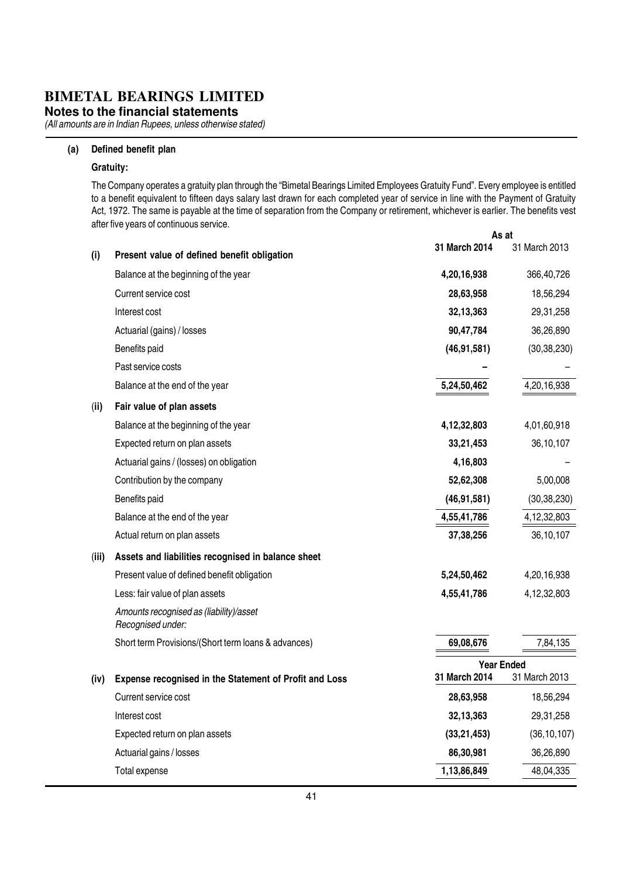**Notes to the financial statements**

(All amounts are in Indian Rupees, unless otherwise stated)

#### (a) Defined benefit plan

#### Gratuity:

As at The Company operates a gratuity plan through the "Bimetal Bearings Limited Employees Gratuity Fund". Every employee is entitled to a benefit equivalent to fifteen days salary last drawn for each completed year of service in line with the Payment of Gratuity Act, 1972. The same is payable at the time of separation from the Company or retirement, whichever is earlier. The benefits vest after five years of continuous service.

|       |                                                              |                   | AS at          |
|-------|--------------------------------------------------------------|-------------------|----------------|
| (i)   | Present value of defined benefit obligation                  | 31 March 2014     | 31 March 2013  |
|       | Balance at the beginning of the year                         | 4,20,16,938       | 366,40,726     |
|       | Current service cost                                         | 28,63,958         | 18,56,294      |
|       | Interest cost                                                | 32,13,363         | 29,31,258      |
|       | Actuarial (gains) / losses                                   | 90,47,784         | 36,26,890      |
|       | Benefits paid                                                | (46, 91, 581)     | (30, 38, 230)  |
|       | Past service costs                                           |                   |                |
|       | Balance at the end of the year                               | 5,24,50,462       | 4,20,16,938    |
| (ii)  | Fair value of plan assets                                    |                   |                |
|       | Balance at the beginning of the year                         | 4, 12, 32, 803    | 4,01,60,918    |
|       | Expected return on plan assets                               | 33,21,453         | 36,10,107      |
|       | Actuarial gains / (losses) on obligation                     | 4,16,803          |                |
|       | Contribution by the company                                  | 52,62,308         | 5,00,008       |
|       | Benefits paid                                                | (46, 91, 581)     | (30, 38, 230)  |
|       | Balance at the end of the year                               | 4,55,41,786       | 4, 12, 32, 803 |
|       | Actual return on plan assets                                 | 37,38,256         | 36,10,107      |
| (iii) | Assets and liabilities recognised in balance sheet           |                   |                |
|       | Present value of defined benefit obligation                  | 5,24,50,462       | 4,20,16,938    |
|       | Less: fair value of plan assets                              | 4,55,41,786       | 4, 12, 32, 803 |
|       | Amounts recognised as (liability)/asset<br>Recognised under: |                   |                |
|       | Short term Provisions/(Short term loans & advances)          | 69,08,676         | 7,84,135       |
|       |                                                              | <b>Year Ended</b> |                |
| (iv)  | Expense recognised in the Statement of Profit and Loss       | 31 March 2014     | 31 March 2013  |
|       | Current service cost                                         | 28,63,958         | 18,56,294      |
|       | Interest cost                                                | 32,13,363         | 29,31,258      |
|       | Expected return on plan assets                               | (33, 21, 453)     | (36, 10, 107)  |
|       | Actuarial gains / losses                                     | 86,30,981         | 36,26,890      |
|       | Total expense                                                | 1,13,86,849       | 48,04,335      |
|       |                                                              |                   |                |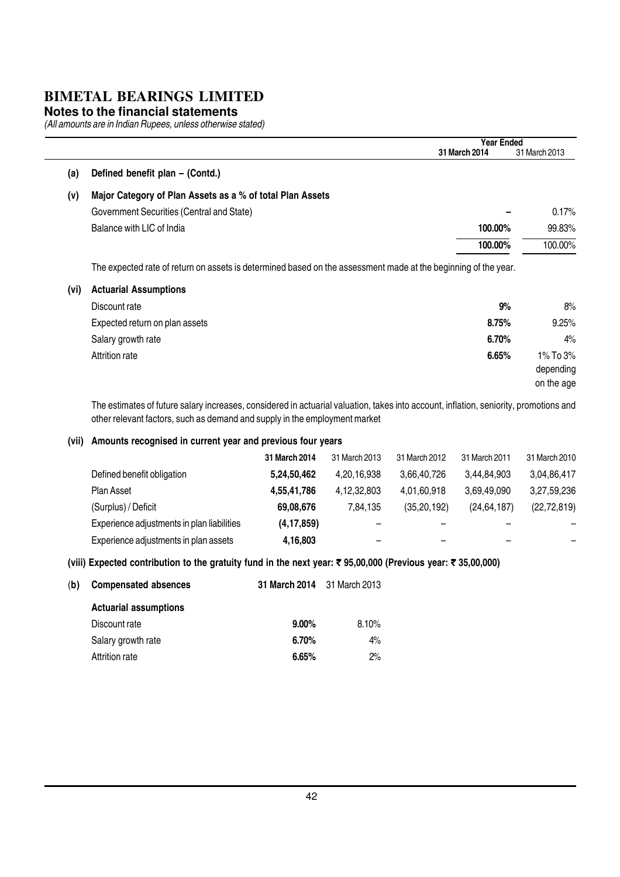#### **Notes to the financial statements**

(All amounts are in Indian Rupees, unless otherwise stated)

|      |                                                                                                                                                | <b>Year Ended</b> |               |
|------|------------------------------------------------------------------------------------------------------------------------------------------------|-------------------|---------------|
|      |                                                                                                                                                | 31 March 2014     | 31 March 2013 |
| (a)  | Defined benefit plan - (Contd.)                                                                                                                |                   |               |
| (v)  | Major Category of Plan Assets as a % of total Plan Assets                                                                                      |                   |               |
|      | Government Securities (Central and State)                                                                                                      |                   | 0.17%         |
|      | Balance with LIC of India                                                                                                                      | 100.00%           | 99.83%        |
|      |                                                                                                                                                | 100.00%           | 100.00%       |
| (vi) | The expected rate of return on assets is determined based on the assessment made at the beginning of the year.<br><b>Actuarial Assumptions</b> |                   |               |
|      | Discount rate                                                                                                                                  | 9%                | 8%            |
|      | Expected return on plan assets                                                                                                                 | 8.75%             |               |
|      |                                                                                                                                                |                   |               |
|      | Salary growth rate                                                                                                                             | 6.70%             | 9.25%<br>4%   |

The estimates of future salary increases, considered in actuarial valuation, takes into account, inflation, seniority, promotions and other relevant factors, such as demand and supply in the employment market

#### (vii) Amounts recognised in current year and previous four years

|                                            | 31 March 2014 | 31 March 2013 | 31 March 2012 | 31 March 2011 | 31 March 2010 |
|--------------------------------------------|---------------|---------------|---------------|---------------|---------------|
| Defined benefit obligation                 | 5,24,50,462   | 4,20,16,938   | 3,66,40,726   | 3.44.84.903   | 3,04,86,417   |
| Plan Asset                                 | 4,55,41,786   | 4,12,32,803   | 4,01,60,918   | 3,69,49,090   | 3,27,59,236   |
| (Surplus) / Deficit                        | 69,08,676     | 7.84.135      | (35, 20, 192) | (24, 64, 187) | (22, 72, 819) |
| Experience adjustments in plan liabilities | (4, 17, 859)  | -             |               |               |               |
| Experience adjustments in plan assets      | 4,16,803      |               | –             |               |               |

#### (viii) Expected contribution to the gratuity fund in the next year: ₹ 95,00,000 (Previous year: ₹ 35,00,000)

| (b) | <b>Compensated absences</b>  | <b>31 March 2014</b> 31 March 2013 |          |
|-----|------------------------------|------------------------------------|----------|
|     | <b>Actuarial assumptions</b> |                                    |          |
|     | Discount rate                | $9.00\%$                           | $8.10\%$ |
|     | Salary growth rate           | 6.70%                              | 4%       |
|     | Attrition rate               | 6.65%                              | $2\%$    |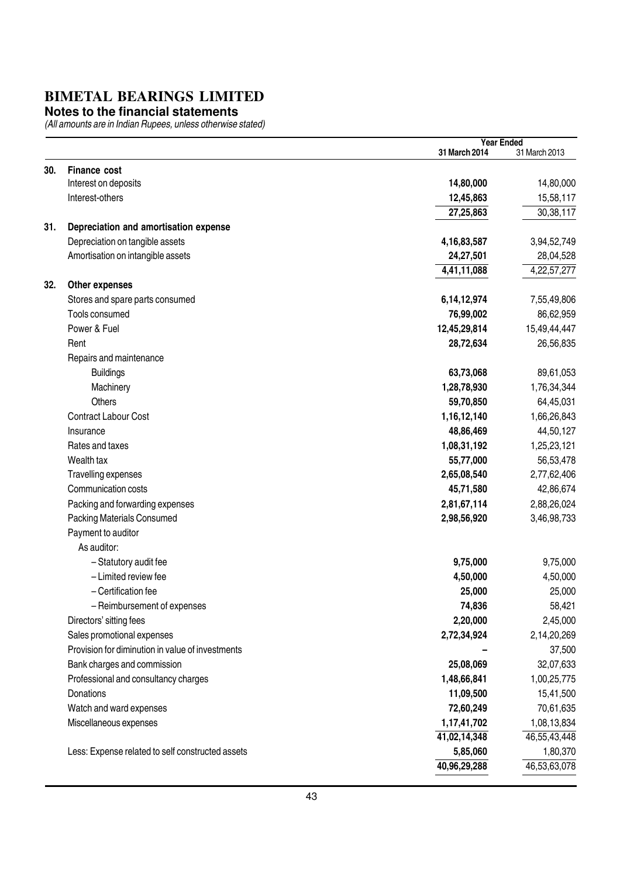#### **Notes to the financial statements**

|     |                                                  | <b>Year Ended</b> |               |
|-----|--------------------------------------------------|-------------------|---------------|
|     |                                                  | 31 March 2014     | 31 March 2013 |
| 30. | <b>Finance cost</b>                              |                   |               |
|     | Interest on deposits                             | 14,80,000         | 14,80,000     |
|     | Interest-others                                  | 12,45,863         | 15,58,117     |
|     |                                                  | 27,25,863         | 30,38,117     |
| 31. | Depreciation and amortisation expense            |                   |               |
|     | Depreciation on tangible assets                  | 4, 16, 83, 587    | 3,94,52,749   |
|     | Amortisation on intangible assets                | 24,27,501         | 28,04,528     |
|     |                                                  | 4,41,11,088       | 4,22,57,277   |
| 32. | Other expenses                                   |                   |               |
|     | Stores and spare parts consumed                  | 6, 14, 12, 974    | 7,55,49,806   |
|     | Tools consumed                                   | 76,99,002         | 86,62,959     |
|     | Power & Fuel                                     | 12,45,29,814      | 15,49,44,447  |
|     | Rent                                             | 28,72,634         | 26,56,835     |
|     | Repairs and maintenance                          |                   |               |
|     | <b>Buildings</b>                                 | 63,73,068         | 89,61,053     |
|     | Machinery                                        | 1,28,78,930       | 1,76,34,344   |
|     | <b>Others</b>                                    | 59,70,850         | 64,45,031     |
|     | Contract Labour Cost                             | 1,16,12,140       | 1,66,26,843   |
|     | Insurance                                        | 48,86,469         | 44,50,127     |
|     | Rates and taxes                                  | 1,08,31,192       | 1,25,23,121   |
|     | Wealth tax                                       | 55,77,000         | 56,53,478     |
|     | Travelling expenses                              | 2,65,08,540       | 2,77,62,406   |
|     | Communication costs                              | 45,71,580         | 42,86,674     |
|     | Packing and forwarding expenses                  | 2,81,67,114       | 2,88,26,024   |
|     | Packing Materials Consumed                       | 2,98,56,920       | 3,46,98,733   |
|     | Payment to auditor                               |                   |               |
|     | As auditor:                                      |                   |               |
|     | - Statutory audit fee                            | 9,75,000          | 9,75,000      |
|     | - Limited review fee                             | 4,50,000          | 4,50,000      |
|     | - Certification fee                              | 25,000            | 25,000        |
|     | - Reimbursement of expenses                      | 74,836            | 58,421        |
|     | Directors' sitting fees                          | 2,20,000          | 2,45,000      |
|     | Sales promotional expenses                       | 2,72,34,924       | 2,14,20,269   |
|     | Provision for diminution in value of investments |                   | 37,500        |
|     | Bank charges and commission                      | 25,08,069         | 32,07,633     |
|     | Professional and consultancy charges             | 1,48,66,841       | 1,00,25,775   |
|     | <b>Donations</b>                                 | 11,09,500         | 15,41,500     |
|     | Watch and ward expenses                          | 72,60,249         | 70,61,635     |
|     | Miscellaneous expenses                           | 1,17,41,702       | 1,08,13,834   |
|     |                                                  | 41,02,14,348      | 46,55,43,448  |
|     | Less: Expense related to self constructed assets | 5,85,060          | 1,80,370      |
|     |                                                  | 40,96,29,288      | 46,53,63,078  |
|     |                                                  |                   |               |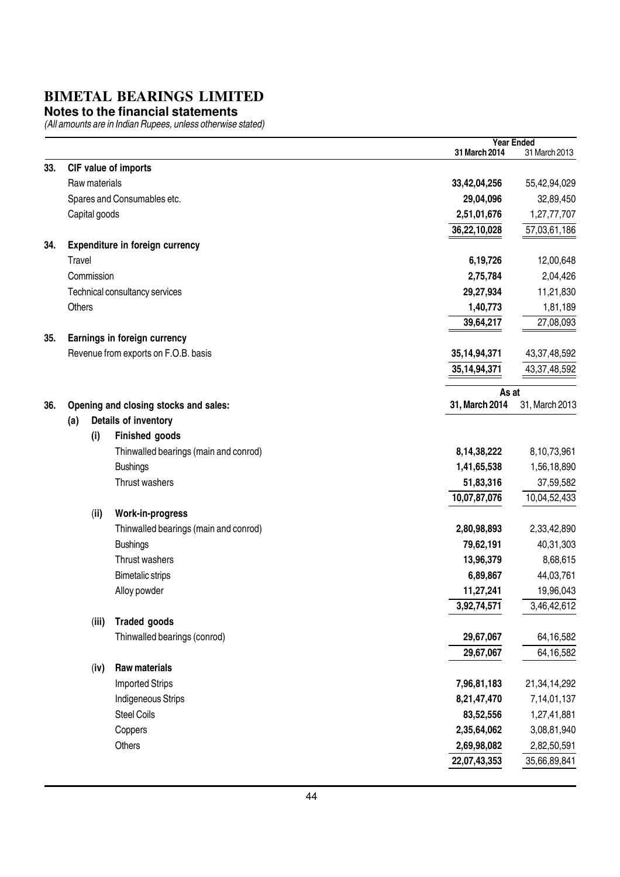#### **Notes to the financial statements**

|     |               |                                       |                         | <b>Year Ended</b> |
|-----|---------------|---------------------------------------|-------------------------|-------------------|
|     |               |                                       | 31 March 2014           | 31 March 2013     |
| 33. |               | CIF value of imports                  |                         |                   |
|     | Raw materials |                                       | 33,42,04,256            | 55,42,94,029      |
|     |               | Spares and Consumables etc.           | 29,04,096               | 32,89,450         |
|     | Capital goods |                                       | 2,51,01,676             | 1,27,77,707       |
|     |               |                                       | 36,22,10,028            | 57,03,61,186      |
| 34. |               | Expenditure in foreign currency       |                         |                   |
|     | Travel        |                                       | 6,19,726                | 12,00,648         |
|     | Commission    |                                       | 2,75,784                | 2,04,426          |
|     |               | Technical consultancy services        | 29,27,934               | 11,21,830         |
|     | Others        |                                       | 1,40,773                | 1,81,189          |
|     |               |                                       | 39,64,217               | 27,08,093         |
| 35. |               | Earnings in foreign currency          |                         |                   |
|     |               | Revenue from exports on F.O.B. basis  | 35, 14, 94, 371         | 43, 37, 48, 592   |
|     |               |                                       | 35, 14, 94, 371         | 43,37,48,592      |
|     |               |                                       |                         |                   |
| 36. |               |                                       | As at<br>31, March 2014 | 31, March 2013    |
|     |               | Opening and closing stocks and sales: |                         |                   |
|     | (a)           | Details of inventory                  |                         |                   |
|     | (i)           | Finished goods                        |                         |                   |
|     |               | Thinwalled bearings (main and conrod) | 8, 14, 38, 222          | 8,10,73,961       |
|     |               | <b>Bushings</b>                       | 1,41,65,538             | 1,56,18,890       |
|     |               | Thrust washers                        | 51,83,316               | 37,59,582         |
|     |               |                                       | 10,07,87,076            | 10,04,52,433      |
|     | (ii)          | Work-in-progress                      |                         |                   |
|     |               | Thinwalled bearings (main and conrod) | 2,80,98,893             | 2,33,42,890       |
|     |               | <b>Bushings</b>                       | 79,62,191               | 40,31,303         |
|     |               | Thrust washers                        | 13,96,379               | 8,68,615          |
|     |               | <b>Bimetalic strips</b>               | 6,89,867                | 44,03,761         |
|     |               | Alloy powder                          | 11,27,241               | 19,96,043         |
|     |               |                                       | 3,92,74,571             | 3,46,42,612       |
|     | (iii)         | <b>Traded goods</b>                   |                         |                   |
|     |               | Thinwalled bearings (conrod)          | 29,67,067               | 64,16,582         |
|     |               |                                       | 29,67,067               | 64,16,582         |
|     | (iv)          | <b>Raw materials</b>                  |                         |                   |
|     |               | <b>Imported Strips</b>                | 7,96,81,183             | 21,34,14,292      |
|     |               | Indigeneous Strips                    | 8,21,47,470             | 7,14,01,137       |
|     |               | <b>Steel Coils</b>                    | 83,52,556               | 1,27,41,881       |
|     |               | Coppers                               | 2,35,64,062             | 3,08,81,940       |
|     |               | Others                                | 2,69,98,082             | 2,82,50,591       |
|     |               |                                       | 22,07,43,353            | 35,66,89,841      |
|     |               |                                       |                         |                   |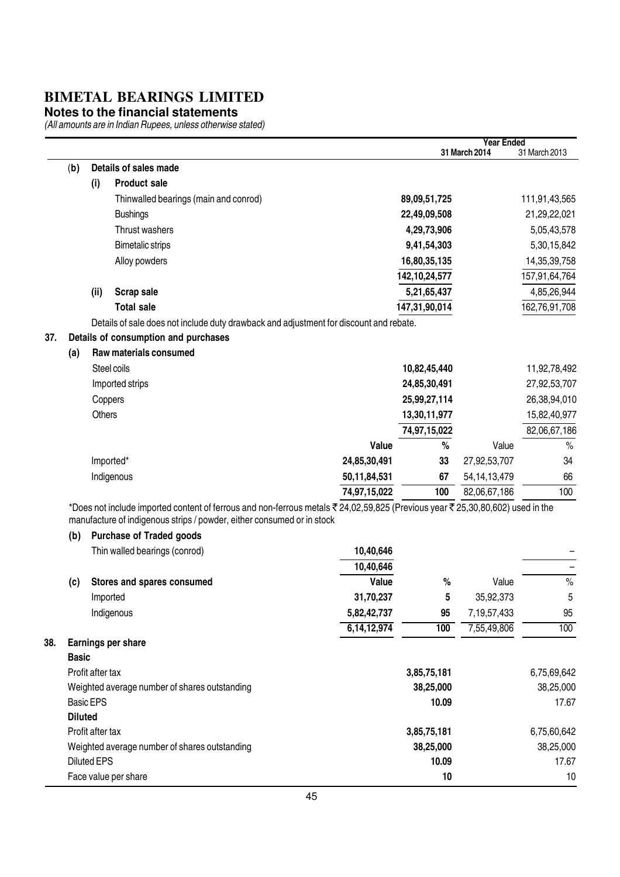#### **Notes to the financial statements**

|     |                |                    |                                                                                                                              |                |                  | <b>Year Ended</b> |                 |
|-----|----------------|--------------------|------------------------------------------------------------------------------------------------------------------------------|----------------|------------------|-------------------|-----------------|
|     |                |                    |                                                                                                                              |                |                  | 31 March 2014     | 31 March 2013   |
|     | (b)            |                    | Details of sales made                                                                                                        |                |                  |                   |                 |
|     |                | (i)                | <b>Product sale</b>                                                                                                          |                |                  |                   |                 |
|     |                |                    | Thinwalled bearings (main and conrod)                                                                                        |                | 89,09,51,725     |                   | 111,91,43,565   |
|     |                |                    | <b>Bushings</b>                                                                                                              |                | 22,49,09,508     |                   | 21,29,22,021    |
|     |                |                    | Thrust washers                                                                                                               |                | 4,29,73,906      |                   | 5,05,43,578     |
|     |                |                    | <b>Bimetalic strips</b>                                                                                                      |                | 9,41,54,303      |                   | 5,30,15,842     |
|     |                |                    | Alloy powders                                                                                                                |                | 16,80,35,135     |                   | 14, 35, 39, 758 |
|     |                |                    |                                                                                                                              |                | 142, 10, 24, 577 |                   | 157,91,64,764   |
|     |                | (ii)               | Scrap sale                                                                                                                   |                | 5,21,65,437      |                   | 4,85,26,944     |
|     |                |                    | <b>Total sale</b>                                                                                                            |                | 147,31,90,014    |                   | 162,76,91,708   |
|     |                |                    | Details of sale does not include duty drawback and adjustment for discount and rebate.                                       |                |                  |                   |                 |
| 37. |                |                    | Details of consumption and purchases                                                                                         |                |                  |                   |                 |
|     | (a)            |                    | Raw materials consumed                                                                                                       |                |                  |                   |                 |
|     |                |                    | Steel coils                                                                                                                  |                | 10,82,45,440     |                   | 11,92,78,492    |
|     |                |                    | Imported strips                                                                                                              |                | 24,85,30,491     |                   | 27,92,53,707    |
|     |                |                    | Coppers                                                                                                                      |                | 25,99,27,114     |                   | 26,38,94,010    |
|     |                | Others             |                                                                                                                              |                | 13,30,11,977     |                   | 15,82,40,977    |
|     |                |                    |                                                                                                                              |                | 74,97,15,022     |                   | 82,06,67,186    |
|     |                |                    |                                                                                                                              | Value          | $\%$             | Value             | $\%$            |
|     |                |                    | Imported*                                                                                                                    | 24,85,30,491   | 33               | 27,92,53,707      | 34              |
|     |                |                    | Indigenous                                                                                                                   | 50,11,84,531   | 67               | 54, 14, 13, 479   | 66              |
|     |                |                    |                                                                                                                              | 74,97,15,022   | 100              | 82,06,67,186      | 100             |
|     |                |                    | *Does not include imported content of ferrous and non-ferrous metals ₹24,02,59,825 (Previous year ₹25,30,80,602) used in the |                |                  |                   |                 |
|     |                |                    | manufacture of indigenous strips / powder, either consumed or in stock                                                       |                |                  |                   |                 |
|     | (b)            |                    | <b>Purchase of Traded goods</b>                                                                                              |                |                  |                   |                 |
|     |                |                    | Thin walled bearings (conrod)                                                                                                | 10,40,646      |                  |                   |                 |
|     |                |                    |                                                                                                                              | 10,40,646      |                  |                   | -               |
|     | (c)            |                    | Stores and spares consumed                                                                                                   | Value          | $\%$             | Value             | $\%$            |
|     |                |                    | Imported                                                                                                                     | 31,70,237      | 5                | 35,92,373         | 5               |
|     |                |                    | Indigenous                                                                                                                   | 5,82,42,737    | 95               | 7,19,57,433       | 95              |
|     |                |                    |                                                                                                                              | 6, 14, 12, 974 | 100              | 7,55,49,806       | 100             |
| 38. |                |                    | Earnings per share                                                                                                           |                |                  |                   |                 |
|     | <b>Basic</b>   |                    |                                                                                                                              |                |                  |                   |                 |
|     |                | Profit after tax   |                                                                                                                              |                | 3,85,75,181      |                   | 6,75,69,642     |
|     |                |                    | Weighted average number of shares outstanding                                                                                |                | 38,25,000        |                   | 38,25,000       |
|     |                | <b>Basic EPS</b>   |                                                                                                                              |                | 10.09            |                   | 17.67           |
|     | <b>Diluted</b> |                    |                                                                                                                              |                |                  |                   |                 |
|     |                | Profit after tax   |                                                                                                                              |                | 3,85,75,181      |                   | 6,75,60,642     |
|     |                |                    | Weighted average number of shares outstanding                                                                                |                | 38,25,000        |                   | 38,25,000       |
|     |                | <b>Diluted EPS</b> |                                                                                                                              |                | 10.09            |                   | 17.67           |
|     |                |                    | Face value per share                                                                                                         |                | 10               |                   | 10              |
|     |                |                    |                                                                                                                              |                |                  |                   |                 |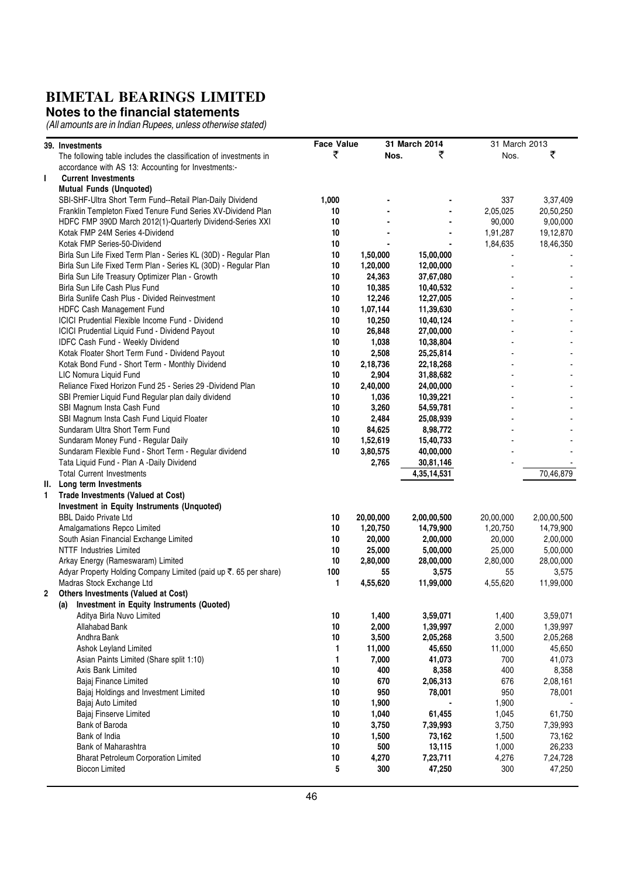#### **Notes to the financial statements**

|   | 39. Investments                                                   | <b>Face Value</b> |           | 31 March 2014 | 31 March 2013 |             |
|---|-------------------------------------------------------------------|-------------------|-----------|---------------|---------------|-------------|
|   | The following table includes the classification of investments in | ₹                 | Nos.      | ₹             | Nos.          | ₹           |
|   | accordance with AS 13: Accounting for Investments:-               |                   |           |               |               |             |
| L | <b>Current Investments</b>                                        |                   |           |               |               |             |
|   | <b>Mutual Funds (Unquoted)</b>                                    |                   |           |               |               |             |
|   | SBI-SHF-Ultra Short Term Fund--Retail Plan-Daily Dividend         | 1,000             |           |               | 337           | 3,37,409    |
|   | Franklin Templeton Fixed Tenure Fund Series XV-Dividend Plan      | 10                |           |               | 2,05,025      | 20,50,250   |
|   | HDFC FMP 390D March 2012(1)-Quarterly Dividend-Series XXI         | 10                |           |               | 90,000        | 9,00,000    |
|   | Kotak FMP 24M Series 4-Dividend                                   | 10                |           |               | 1,91,287      | 19,12,870   |
|   | Kotak FMP Series-50-Dividend                                      | 10                |           |               | 1,84,635      | 18,46,350   |
|   | Birla Sun Life Fixed Term Plan - Series KL (30D) - Regular Plan   | 10                | 1,50,000  | 15,00,000     |               |             |
|   | Birla Sun Life Fixed Term Plan - Series KL (30D) - Regular Plan   | 10                | 1,20,000  | 12,00,000     |               |             |
|   | Birla Sun Life Treasury Optimizer Plan - Growth                   | 10                | 24,363    | 37,67,080     |               |             |
|   | Birla Sun Life Cash Plus Fund                                     | 10                | 10,385    | 10,40,532     |               |             |
|   | Birla Sunlife Cash Plus - Divided Reinvestment                    | 10                | 12,246    | 12,27,005     |               |             |
|   | HDFC Cash Management Fund                                         | 10                | 1,07,144  | 11,39,630     |               |             |
|   | <b>ICICI Prudential Flexible Income Fund - Dividend</b>           | 10                | 10,250    | 10,40,124     |               |             |
|   | ICICI Prudential Liquid Fund - Dividend Payout                    | 10                | 26,848    | 27,00,000     |               |             |
|   | IDFC Cash Fund - Weekly Dividend                                  | 10                | 1,038     | 10,38,804     |               |             |
|   | Kotak Floater Short Term Fund - Dividend Payout                   | 10                | 2,508     | 25,25,814     |               |             |
|   | Kotak Bond Fund - Short Term - Monthly Dividend                   | 10                | 2,18,736  | 22,18,268     |               |             |
|   | LIC Nomura Liquid Fund                                            | 10                | 2,904     | 31,88,682     |               |             |
|   | Reliance Fixed Horizon Fund 25 - Series 29 -Dividend Plan         | 10                | 2,40,000  | 24,00,000     |               |             |
|   | SBI Premier Liquid Fund Regular plan daily dividend               | 10                | 1,036     | 10,39,221     |               |             |
|   | SBI Magnum Insta Cash Fund                                        | 10                | 3,260     | 54,59,781     |               |             |
|   | SBI Magnum Insta Cash Fund Liquid Floater                         | 10                | 2,484     | 25,08,939     |               |             |
|   | Sundaram Ultra Short Term Fund                                    | 10                | 84,625    | 8,98,772      |               |             |
|   | Sundaram Money Fund - Regular Daily                               | 10                | 1,52,619  | 15,40,733     |               |             |
|   | Sundaram Flexible Fund - Short Term - Regular dividend            | 10                | 3,80,575  | 40,00,000     |               |             |
|   | Tata Liquid Fund - Plan A -Daily Dividend                         |                   | 2,765     | 30,81,146     |               |             |
|   | <b>Total Current Investments</b>                                  |                   |           |               |               | 70,46,879   |
|   | II. Long term Investments                                         |                   |           | 4,35,14,531   |               |             |
|   | Trade Investments (Valued at Cost)                                |                   |           |               |               |             |
| 1 | Investment in Equity Instruments (Unquoted)                       |                   |           |               |               |             |
|   | <b>BBL Daido Private Ltd</b>                                      | 10                | 20,00,000 |               | 20,00,000     | 2,00,00,500 |
|   |                                                                   |                   |           | 2,00,00,500   |               |             |
|   | Amalgamations Repco Limited                                       | 10                | 1,20,750  | 14,79,900     | 1,20,750      | 14,79,900   |
|   | South Asian Financial Exchange Limited                            | 10                | 20,000    | 2,00,000      | 20,000        | 2,00,000    |
|   | <b>NTTF Industries Limited</b>                                    | 10                | 25,000    | 5,00,000      | 25,000        | 5,00,000    |
|   | Arkay Energy (Rameswaram) Limited                                 | 10                | 2,80,000  | 28,00,000     | 2,80,000      | 28,00,000   |
|   | Adyar Property Holding Company Limited (paid up ₹. 65 per share)  | 100               | 55        | 3,575         | 55            | 3,575       |
|   | Madras Stock Exchange Ltd                                         | 1                 | 4,55,620  | 11,99,000     | 4,55,620      | 11,99,000   |
| 2 | Others Investments (Valued at Cost)                               |                   |           |               |               |             |
|   | Investment in Equity Instruments (Quoted)<br>(a)                  |                   |           |               |               |             |
|   | Aditya Birla Nuvo Limited                                         | 10                | 1,400     | 3,59,071      | 1,400         | 3,59,071    |
|   | Allahabad Bank                                                    | $10\,$            | 2,000     | 1,39,997      | 2,000         | 1,39,997    |
|   | Andhra Bank                                                       | 10                | 3,500     | 2,05,268      | 3,500         | 2,05,268    |
|   | Ashok Leyland Limited                                             | 1                 | 11,000    | 45,650        | 11,000        | 45,650      |
|   | Asian Paints Limited (Share split 1:10)                           | 1                 | 7,000     | 41,073        | 700           | 41,073      |
|   | Axis Bank Limited                                                 | 10                | 400       | 8,358         | 400           | 8,358       |
|   | Bajaj Finance Limited                                             | $10\,$            | 670       | 2,06,313      | 676           | 2,08,161    |
|   | Bajaj Holdings and Investment Limited                             | 10                | 950       | 78,001        | 950           | 78,001      |
|   | Bajaj Auto Limited                                                | 10                | 1,900     |               | 1,900         |             |
|   | Bajaj Finserve Limited                                            | 10                | 1,040     | 61,455        | 1,045         | 61,750      |
|   | Bank of Baroda                                                    | 10                | 3,750     | 7,39,993      | 3,750         | 7,39,993    |
|   | Bank of India                                                     | 10                | 1,500     | 73,162        | 1,500         | 73,162      |
|   | Bank of Maharashtra                                               | 10                | 500       | 13,115        | 1,000         | 26,233      |
|   | <b>Bharat Petroleum Corporation Limited</b>                       | $10\,$            | 4,270     | 7,23,711      | 4,276         | 7,24,728    |
|   | <b>Biocon Limited</b>                                             | 5                 | 300       | 47,250        | 300           | 47,250      |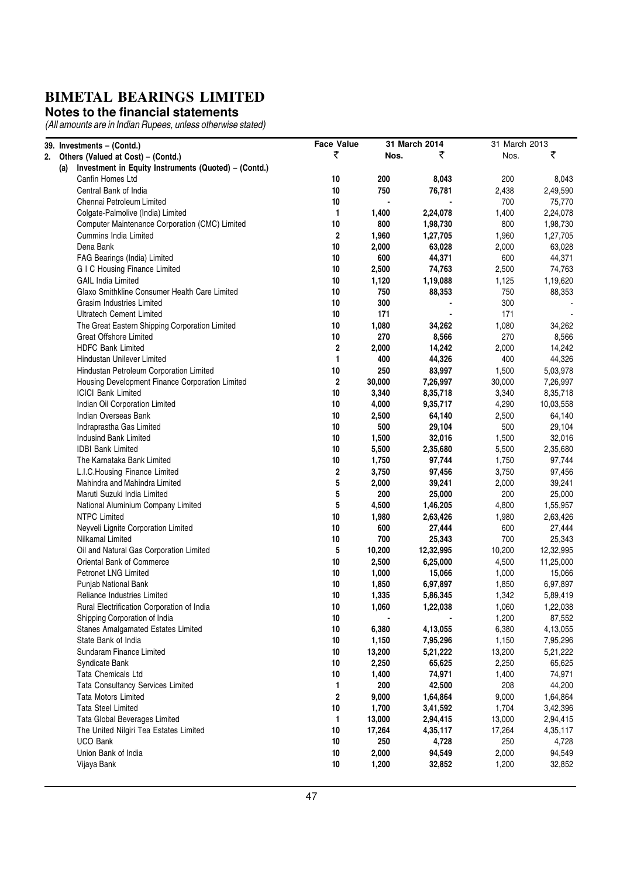#### **Notes to the financial statements**

| 39. Investments - (Contd.)                                  | <b>Face Value</b>       |                | 31 March 2014 | 31 March 2013 |           |
|-------------------------------------------------------------|-------------------------|----------------|---------------|---------------|-----------|
| 2. Others (Valued at Cost) - (Contd.)                       | ₹                       | Nos.           | ₹             | Nos.          | ₹         |
| Investment in Equity Instruments (Quoted) - (Contd.)<br>(a) |                         |                |               |               |           |
| Canfin Homes Ltd                                            | 10                      | 200            | 8,043         | 200           | 8,043     |
| Central Bank of India                                       | 10                      | 750            | 76,781        | 2,438         | 2,49,590  |
| Chennai Petroleum Limited                                   | 10                      | $\blacksquare$ |               | 700           | 75,770    |
| Colgate-Palmolive (India) Limited                           | 1                       | 1,400          | 2,24,078      | 1,400         | 2,24,078  |
| Computer Maintenance Corporation (CMC) Limited              | 10                      | 800            | 1,98,730      | 800           | 1,98,730  |
| <b>Cummins India Limited</b>                                | $\overline{\mathbf{2}}$ | 1,960          | 1,27,705      | 1,960         | 1,27,705  |
| Dena Bank                                                   | 10                      | 2,000          | 63,028        | 2,000         | 63,028    |
| FAG Bearings (India) Limited                                | 10                      | 600            | 44,371        | 600           | 44,371    |
| <b>GIC Housing Finance Limited</b>                          | 10                      | 2,500          | 74,763        | 2,500         | 74,763    |
| <b>GAIL India Limited</b>                                   | 10                      | 1,120          | 1,19,088      | 1,125         | 1,19,620  |
| Glaxo Smithkline Consumer Health Care Limited               | 10                      | 750            | 88,353        | 750           | 88,353    |
| Grasim Industries Limited                                   | 10                      | 300            |               | 300           |           |
| <b>Ultratech Cement Limited</b>                             | 10                      | 171            |               | 171           |           |
| The Great Eastern Shipping Corporation Limited              | 10                      | 1,080          | 34,262        | 1,080         | 34,262    |
| <b>Great Offshore Limited</b>                               | 10                      | 270            | 8,566         | 270           | 8,566     |
| <b>HDFC Bank Limited</b>                                    | 2                       | 2,000          | 14,242        | 2,000         | 14,242    |
| Hindustan Unilever Limited                                  | 1                       | 400            | 44,326        | 400           | 44,326    |
| Hindustan Petroleum Corporation Limited                     | 10                      | 250            | 83,997        | 1,500         | 5,03,978  |
| Housing Development Finance Corporation Limited             | $\overline{\mathbf{2}}$ | 30,000         | 7,26,997      | 30,000        | 7,26,997  |
| <b>ICICI Bank Limited</b>                                   | 10                      | 3,340          | 8,35,718      | 3,340         | 8,35,718  |
| Indian Oil Corporation Limited                              | 10                      | 4,000          | 9,35,717      | 4,290         | 10,03,558 |
| Indian Overseas Bank                                        | 10                      | 2,500          | 64,140        | 2,500         | 64,140    |
| Indraprastha Gas Limited                                    | 10                      | 500            | 29,104        | 500           | 29,104    |
| <b>Indusind Bank Limited</b>                                | 10                      | 1,500          | 32,016        | 1,500         | 32,016    |
| <b>IDBI Bank Limited</b>                                    | 10                      | 5,500          | 2,35,680      | 5,500         | 2,35,680  |
| The Karnataka Bank Limited                                  | 10                      | 1,750          | 97,744        | 1,750         | 97,744    |
| L.I.C.Housing Finance Limited                               | 2                       | 3,750          | 97,456        | 3,750         | 97,456    |
| Mahindra and Mahindra Limited                               | 5                       | 2,000          | 39,241        | 2,000         | 39,241    |
| Maruti Suzuki India Limited                                 | 5                       | 200            | 25,000        | 200           | 25,000    |
| National Aluminium Company Limited                          | 5                       | 4,500          | 1,46,205      | 4,800         | 1,55,957  |
| <b>NTPC Limited</b>                                         | 10                      | 1,980          | 2,63,426      | 1,980         | 2,63,426  |
| Neyveli Lignite Corporation Limited                         | 10                      | 600            | 27,444        | 600           | 27,444    |
| Nilkamal Limited                                            | 10                      | 700            | 25,343        | 700           | 25,343    |
| Oil and Natural Gas Corporation Limited                     | 5                       | 10,200         | 12,32,995     | 10,200        | 12,32,995 |
| Oriental Bank of Commerce                                   | 10                      | 2,500          | 6,25,000      | 4,500         | 11,25,000 |
| Petronet LNG Limited                                        | 10                      | 1,000          | 15,066        | 1,000         | 15,066    |
| Punjab National Bank                                        | 10                      | 1,850          | 6,97,897      | 1,850         | 6,97,897  |
| Reliance Industries Limited                                 | 10                      | 1,335          | 5,86,345      | 1,342         | 5,89,419  |
| Rural Electrification Corporation of India                  | 10                      | 1,060          | 1,22,038      | 1,060         | 1,22,038  |
| Shipping Corporation of India                               | 10                      |                |               | 1,200         | 87,552    |
| Stanes Amalgamated Estates Limited                          | 10                      | 6,380          | 4,13,055      | 6,380         | 4,13,055  |
| State Bank of India                                         | 10                      | 1,150          | 7,95,296      | 1,150         | 7,95,296  |
| Sundaram Finance Limited                                    | 10                      | 13,200         | 5,21,222      | 13,200        | 5,21,222  |
| Syndicate Bank                                              | 10                      | 2,250          | 65,625        | 2,250         | 65,625    |
| Tata Chemicals Ltd                                          | 10                      | 1,400          | 74,971        | 1,400         | 74,971    |
| Tata Consultancy Services Limited                           | 1                       | 200            | 42,500        | 208           | 44,200    |
| <b>Tata Motors Limited</b>                                  | 2                       | 9,000          | 1,64,864      | 9,000         | 1,64,864  |
| <b>Tata Steel Limited</b>                                   | 10                      | 1,700          | 3,41,592      | 1,704         | 3,42,396  |
| Tata Global Beverages Limited                               | 1                       | 13,000         | 2,94,415      | 13,000        | 2,94,415  |
| The United Nilgiri Tea Estates Limited                      | 10                      | 17,264         | 4,35,117      | 17,264        | 4,35,117  |
| <b>UCO Bank</b>                                             | 10                      | 250            | 4,728         | 250           | 4,728     |
| Union Bank of India                                         | 10                      | 2,000          | 94,549        | 2,000         | 94,549    |
| Vijaya Bank                                                 | 10                      | 1,200          | 32,852        | 1,200         | 32,852    |
|                                                             |                         |                |               |               |           |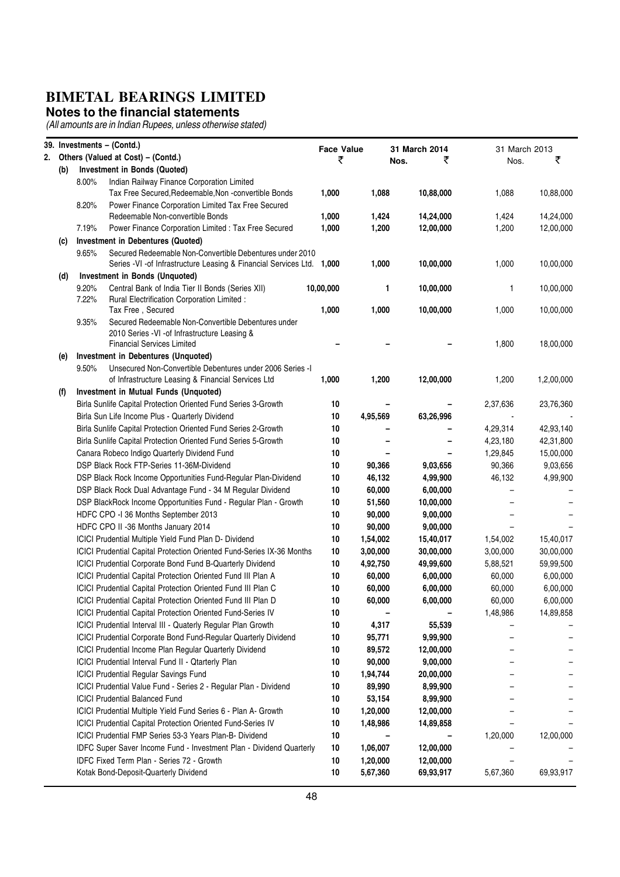#### **Notes to the financial statements**

|    |     |                | 39. Investments - (Contd.)                                                                                                          | <b>Face Value</b> |          | 31 March 2014 | 31 March 2013 |            |
|----|-----|----------------|-------------------------------------------------------------------------------------------------------------------------------------|-------------------|----------|---------------|---------------|------------|
| 2. |     |                | Others (Valued at Cost) - (Contd.)                                                                                                  | ₹                 |          | ₹<br>Nos.     | Nos.          | ₹          |
|    | (b) |                | Investment in Bonds (Quoted)                                                                                                        |                   |          |               |               |            |
|    |     | 8.00%          | Indian Railway Finance Corporation Limited<br>Tax Free Secured, Redeemable, Non -convertible Bonds                                  | 1,000             | 1,088    | 10,88,000     | 1,088         | 10,88,000  |
|    |     | 8.20%          | Power Finance Corporation Limited Tax Free Secured<br>Redeemable Non-convertible Bonds                                              | 1,000             | 1,424    | 14,24,000     | 1,424         | 14,24,000  |
|    |     | 7.19%          | Power Finance Corporation Limited : Tax Free Secured                                                                                | 1,000             | 1,200    | 12,00,000     | 1,200         | 12,00,000  |
|    | (c) |                | <b>Investment in Debentures (Quoted)</b>                                                                                            |                   |          |               |               |            |
|    |     | 9.65%          | Secured Redeemable Non-Convertible Debentures under 2010<br>Series - VI - of Infrastructure Leasing & Financial Services Ltd. 1,000 |                   | 1,000    | 10,00,000     | 1,000         | 10,00,000  |
|    | (d) |                | Investment in Bonds (Unquoted)                                                                                                      |                   |          |               |               |            |
|    |     | 9.20%<br>7.22% | Central Bank of India Tier II Bonds (Series XII)<br>Rural Electrification Corporation Limited :                                     | 10,00,000         | 1        | 10,00,000     | 1             | 10,00,000  |
|    |     |                | Tax Free, Secured                                                                                                                   | 1,000             | 1,000    | 10,00,000     | 1,000         | 10,00,000  |
|    |     | 9.35%          | Secured Redeemable Non-Convertible Debentures under<br>2010 Series - VI - of Infrastructure Leasing &                               |                   |          |               |               |            |
|    |     |                | <b>Financial Services Limited</b>                                                                                                   |                   |          |               | 1,800         | 18,00,000  |
|    | (e) |                | Investment in Debentures (Unquoted)                                                                                                 |                   |          |               |               |            |
|    |     | 9.50%          | Unsecured Non-Convertible Debentures under 2006 Series - I<br>of Infrastructure Leasing & Financial Services Ltd                    | 1,000             | 1,200    | 12,00,000     | 1,200         | 1,2,00,000 |
|    | (f) |                | Investment in Mutual Funds (Unquoted)                                                                                               |                   |          |               |               |            |
|    |     |                | Birla Sunlife Capital Protection Oriented Fund Series 3-Growth                                                                      | 10                |          |               | 2,37,636      | 23,76,360  |
|    |     |                | Birla Sun Life Income Plus - Quarterly Dividend                                                                                     | 10                | 4,95,569 | 63,26,996     |               |            |
|    |     |                | Birla Sunlife Capital Protection Oriented Fund Series 2-Growth                                                                      | 10                |          |               | 4,29,314      | 42,93,140  |
|    |     |                | Birla Sunlife Capital Protection Oriented Fund Series 5-Growth                                                                      | 10                |          |               | 4,23,180      | 42,31,800  |
|    |     |                | Canara Robeco Indigo Quarterly Dividend Fund                                                                                        | 10                |          |               | 1,29,845      | 15,00,000  |
|    |     |                | DSP Black Rock FTP-Series 11-36M-Dividend                                                                                           | 10                | 90,366   | 9,03,656      | 90,366        | 9,03,656   |
|    |     |                | DSP Black Rock Income Opportunities Fund-Regular Plan-Dividend                                                                      | 10                | 46,132   | 4,99,900      | 46,132        | 4,99,900   |
|    |     |                | DSP Black Rock Dual Advantage Fund - 34 M Regular Dividend                                                                          | 10                | 60,000   | 6,00,000      |               |            |
|    |     |                | DSP BlackRock Income Opportunities Fund - Regular Plan - Growth                                                                     | 10                | 51,560   | 10,00,000     |               |            |
|    |     |                | HDFC CPO -I 36 Months September 2013                                                                                                | 10                | 90,000   | 9,00,000      |               |            |
|    |     |                | HDFC CPO II -36 Months January 2014                                                                                                 | 10                | 90,000   | 9,00,000      |               |            |
|    |     |                | ICICI Prudential Multiple Yield Fund Plan D- Dividend                                                                               | 10                | 1,54,002 | 15,40,017     | 1,54,002      | 15,40,017  |
|    |     |                | ICICI Prudential Capital Protection Oriented Fund-Series IX-36 Months                                                               | 10                | 3,00,000 | 30,00,000     | 3,00,000      | 30,00,000  |
|    |     |                | ICICI Prudential Corporate Bond Fund B-Quarterly Dividend                                                                           | 10                | 4,92,750 | 49,99,600     | 5,88,521      | 59,99,500  |
|    |     |                | ICICI Prudential Capital Protection Oriented Fund III Plan A                                                                        | 10                | 60,000   | 6,00,000      | 60,000        | 6,00,000   |
|    |     |                | ICICI Prudential Capital Protection Oriented Fund III Plan C                                                                        | 10                | 60,000   | 6,00,000      | 60,000        | 6,00,000   |
|    |     |                | ICICI Prudential Capital Protection Oriented Fund III Plan D                                                                        | 10                | 60,000   | 6,00,000      | 60,000        | 6,00,000   |
|    |     |                | <b>ICICI Prudential Capital Protection Oriented Fund-Series IV</b>                                                                  | 10                |          |               | 1,48,986      | 14,89,858  |
|    |     |                | ICICI Prudential Interval III - Quaterly Regular Plan Growth                                                                        | 10                | 4,317    | 55,539        |               |            |
|    |     |                | ICICI Prudential Corporate Bond Fund-Regular Quarterly Dividend                                                                     | 10                | 95,771   | 9,99,900      |               |            |
|    |     |                | ICICI Prudential Income Plan Regular Quarterly Dividend                                                                             | 10                | 89,572   | 12,00,000     |               |            |
|    |     |                | ICICI Prudential Interval Fund II - Qtarterly Plan                                                                                  | 10                | 90,000   | 9,00,000      |               |            |
|    |     |                | <b>ICICI Prudential Regular Savings Fund</b>                                                                                        | 10                | 1,94,744 | 20,00,000     |               |            |
|    |     |                | ICICI Prudential Value Fund - Series 2 - Regular Plan - Dividend                                                                    | 10                | 89,990   | 8,99,900      |               |            |
|    |     |                | <b>ICICI Prudential Balanced Fund</b>                                                                                               | 10                | 53,154   | 8,99,900      |               |            |
|    |     |                | ICICI Prudential Multiple Yield Fund Series 6 - Plan A- Growth                                                                      | 10                | 1,20,000 | 12,00,000     |               |            |
|    |     |                | ICICI Prudential Capital Protection Oriented Fund-Series IV                                                                         | 10                | 1,48,986 | 14,89,858     |               |            |
|    |     |                | ICICI Prudential FMP Series 53-3 Years Plan-B- Dividend                                                                             | 10                |          |               | 1,20,000      | 12,00,000  |
|    |     |                | IDFC Super Saver Income Fund - Investment Plan - Dividend Quarterly                                                                 | 10                | 1,06,007 | 12,00,000     |               |            |
|    |     |                | IDFC Fixed Term Plan - Series 72 - Growth                                                                                           | 10                | 1,20,000 | 12,00,000     |               |            |
|    |     |                | Kotak Bond-Deposit-Quarterly Dividend                                                                                               | 10                | 5,67,360 | 69,93,917     | 5,67,360      | 69,93,917  |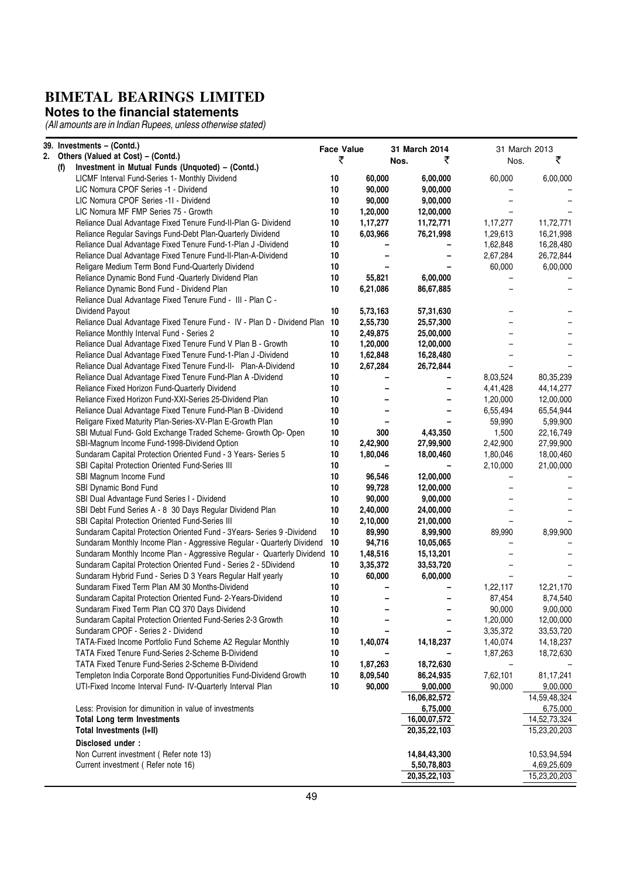#### **Notes to the financial statements**

| 39. Investments - (Contd.)                                                 | <b>Face Value</b> |          | 31 March 2014 |          | 31 March 2013 |
|----------------------------------------------------------------------------|-------------------|----------|---------------|----------|---------------|
| 2. Others (Valued at Cost) - (Contd.)                                      | ₹                 |          | ₹<br>Nos.     | Nos.     | ₹             |
| Investment in Mutual Funds (Unquoted) - (Contd.)<br>(1)                    |                   |          |               |          |               |
| LICMF Interval Fund-Series 1- Monthly Dividend                             | 10                | 60,000   | 6,00,000      | 60,000   | 6,00,000      |
| LIC Nomura CPOF Series -1 - Dividend                                       | 10                | 90,000   | 9,00,000      |          |               |
| LIC Nomura CPOF Series -11 - Dividend                                      | 10                | 90,000   | 9,00,000      |          |               |
| LIC Nomura MF FMP Series 75 - Growth                                       | 10                | 1,20,000 | 12,00,000     |          |               |
| Reliance Dual Advantage Fixed Tenure Fund-II-Plan G- Dividend              | 10                | 1,17,277 | 11,72,771     | 1,17,277 | 11,72,771     |
| Reliance Regular Savings Fund-Debt Plan-Quarterly Dividend                 | 10                | 6,03,966 | 76,21,998     | 1,29,613 | 16,21,998     |
| Reliance Dual Advantage Fixed Tenure Fund-1-Plan J -Dividend               | 10                |          |               | 1,62,848 | 16,28,480     |
| Reliance Dual Advantage Fixed Tenure Fund-II-Plan-A-Dividend               | 10                |          |               | 2,67,284 | 26,72,844     |
| Religare Medium Term Bond Fund-Quarterly Dividend                          | 10                |          |               | 60,000   | 6,00,000      |
| Reliance Dynamic Bond Fund -Quarterly Dividend Plan                        | 10                | 55,821   | 6,00,000      |          |               |
| Reliance Dynamic Bond Fund - Dividend Plan                                 | 10                | 6,21,086 | 86,67,885     |          |               |
| Reliance Dual Advantage Fixed Tenure Fund - III - Plan C -                 |                   |          |               |          |               |
|                                                                            |                   |          |               |          |               |
| Dividend Payout                                                            | 10                | 5,73,163 | 57,31,630     |          |               |
| Reliance Dual Advantage Fixed Tenure Fund - IV - Plan D - Dividend Plan 10 |                   | 2,55,730 | 25,57,300     |          |               |
| Reliance Monthly Interval Fund - Series 2                                  | 10                | 2,49,875 | 25,00,000     |          |               |
| Reliance Dual Advantage Fixed Tenure Fund V Plan B - Growth                | 10                | 1,20,000 | 12,00,000     |          |               |
| Reliance Dual Advantage Fixed Tenure Fund-1-Plan J -Dividend               | 10                | 1,62,848 | 16,28,480     |          |               |
| Reliance Dual Advantage Fixed Tenure Fund-II- Plan-A-Dividend              | 10                | 2,67,284 | 26,72,844     |          |               |
| Reliance Dual Advantage Fixed Tenure Fund-Plan A -Dividend                 | 10                |          |               | 8,03,524 | 80,35,239     |
| Reliance Fixed Horizon Fund-Quarterly Dividend                             | 10                |          |               | 4,41,428 | 44, 14, 277   |
| Reliance Fixed Horizon Fund-XXI-Series 25-Dividend Plan                    | 10                |          |               | 1,20,000 | 12,00,000     |
| Reliance Dual Advantage Fixed Tenure Fund-Plan B -Dividend                 | 10                |          |               | 6,55,494 | 65,54,944     |
| Religare Fixed Maturity Plan-Series-XV-Plan E-Growth Plan                  | 10                |          |               | 59,990   | 5,99,900      |
| SBI Mutual Fund- Gold Exchange Traded Scheme- Growth Op- Open              | 10                | 300      | 4,43,350      | 1,500    | 22,16,749     |
| SBI-Magnum Income Fund-1998-Dividend Option                                | 10                | 2,42,900 | 27,99,900     | 2,42,900 | 27,99,900     |
| Sundaram Capital Protection Oriented Fund - 3 Years- Series 5              | 10                | 1,80,046 | 18,00,460     | 1,80,046 | 18,00,460     |
| SBI Capital Protection Oriented Fund-Series III                            | 10                |          |               | 2,10,000 | 21,00,000     |
| SBI Magnum Income Fund                                                     | 10                | 96,546   | 12,00,000     |          |               |
| SBI Dynamic Bond Fund                                                      | 10                | 99,728   | 12,00,000     |          |               |
| SBI Dual Advantage Fund Series I - Dividend                                | 10                | 90,000   | 9,00,000      |          |               |
| SBI Debt Fund Series A - 8 30 Days Regular Dividend Plan                   | 10                | 2,40,000 | 24,00,000     |          |               |
| SBI Capital Protection Oriented Fund-Series III                            | 10                | 2,10,000 | 21,00,000     |          |               |
| Sundaram Capital Protection Oriented Fund - 3Years- Series 9 -Dividend     | 10                | 89,990   | 8,99,900      | 89,990   | 8,99,900      |
| Sundaram Monthly Income Plan - Aggressive Regular - Quarterly Dividend     | 10                | 94,716   | 10,05,065     |          |               |
| Sundaram Monthly Income Plan - Aggressive Regular - Quarterly Dividend 10  |                   | 1,48,516 | 15,13,201     |          |               |
| Sundaram Capital Protection Oriented Fund - Series 2 - 5Dividend           | 10                | 3,35,372 | 33,53,720     |          |               |
| Sundaram Hybrid Fund - Series D 3 Years Regular Half yearly                | 10                | 60,000   | 6,00,000      |          |               |
| Sundaram Fixed Term Plan AM 30 Months-Dividend                             | 10                |          |               | 1,22,117 | 12,21,170     |
| Sundaram Capital Protection Oriented Fund-2-Years-Dividend                 | 10                | -        |               | 87,454   | 8,74,540      |
| Sundaram Fixed Term Plan CQ 370 Days Dividend                              | 10                |          |               | 90,000   | 9,00,000      |
| Sundaram Capital Protection Oriented Fund-Series 2-3 Growth                | 10                |          |               | 1,20,000 | 12,00,000     |
| Sundaram CPOF - Series 2 - Dividend                                        | 10                |          |               | 3,35,372 |               |
| TATA-Fixed Income Portfolio Fund Scheme A2 Regular Monthly                 |                   |          |               |          | 33,53,720     |
| TATA Fixed Tenure Fund-Series 2-Scheme B-Dividend                          | 10<br>10          | 1,40,074 | 14, 18, 237   | 1,40,074 | 14, 18, 237   |
| TATA Fixed Tenure Fund-Series 2-Scheme B-Dividend                          |                   |          |               | 1,87,263 | 18,72,630     |
|                                                                            | 10                | 1,87,263 | 18,72,630     |          |               |
| Templeton India Corporate Bond Opportunities Fund-Dividend Growth          | 10                | 8,09,540 | 86,24,935     | 7,62,101 | 81, 17, 241   |
| UTI-Fixed Income Interval Fund- IV-Quarterly Interval Plan                 | 10                | 90,000   | 9,00,000      | 90,000   | 9,00,000      |
|                                                                            |                   |          | 16,06,82,572  |          | 14,59,48,324  |
| Less: Provision for dimunition in value of investments                     |                   |          | 6,75,000      |          | 6,75,000      |
| <b>Total Long term Investments</b>                                         |                   |          | 16,00,07,572  |          | 14,52,73,324  |
| Total Investments (I+II)                                                   |                   |          | 20,35,22,103  |          | 15,23,20,203  |
| Disclosed under :                                                          |                   |          |               |          |               |
| Non Current investment (Refer note 13)                                     |                   |          | 14,84,43,300  |          | 10,53,94,594  |
| Current investment (Refer note 16)                                         |                   |          | 5,50,78,803   |          | 4,69,25,609   |
|                                                                            |                   |          | 20,35,22,103  |          | 15,23,20,203  |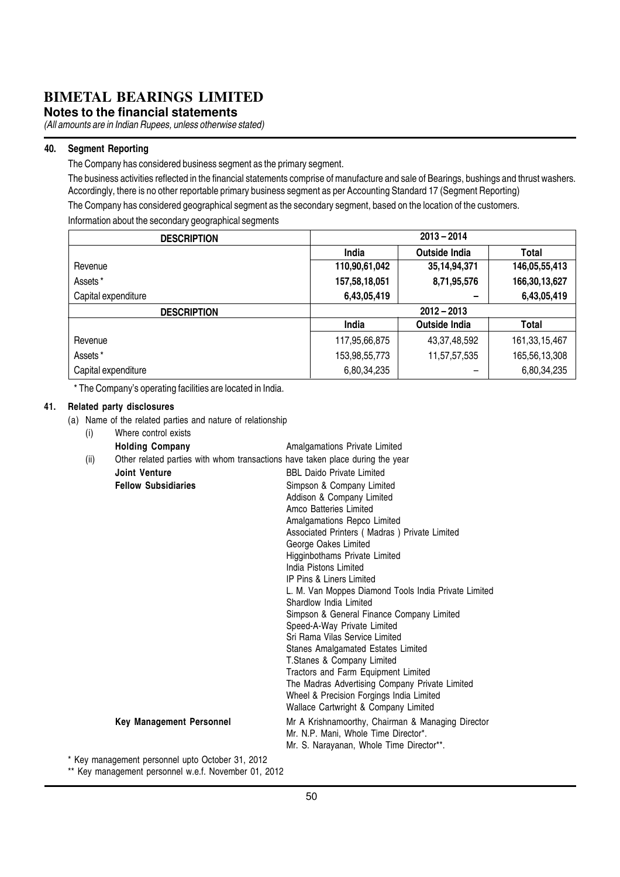**Notes to the financial statements**

(All amounts are in Indian Rupees, unless otherwise stated)

#### 40. Segment Reporting

The Company has considered business segment as the primary segment.

The business activities reflected in the financial statements comprise of manufacture and sale of Bearings, bushings and thrust washers. Accordingly, there is no other reportable primary business segment as per Accounting Standard 17 (Segment Reporting)

The Company has considered geographical segment as the secondary segment, based on the location of the customers. Information about the secondary geographical segments

| <b>DESCRIPTION</b>  |               | $2013 - 2014$        |                  |
|---------------------|---------------|----------------------|------------------|
|                     | <b>India</b>  | <b>Outside India</b> | Total            |
| Revenue             | 110,90,61,042 | 35, 14, 94, 371      | 146,05,55,413    |
| Assets*             | 157,58,18,051 | 8,71,95,576          | 166,30,13,627    |
| Capital expenditure | 6,43,05,419   |                      | 6,43,05,419      |
| <b>DESCRIPTION</b>  |               | $2012 - 2013$        |                  |
|                     | India         | <b>Outside India</b> | Total            |
| Revenue             | 117,95,66,875 | 43, 37, 48, 592      | 161, 33, 15, 467 |
| Assets*             | 153,98,55,773 | 11,57,57,535         | 165,56,13,308    |
| Capital expenditure | 6,80,34,235   |                      | 6,80,34,235      |

\* The Company's operating facilities are located in India.

#### 41. Related party disclosures

(a) Name of the related parties and nature of relationship

| (i)  | Where control exists                                                          |                                                                   |
|------|-------------------------------------------------------------------------------|-------------------------------------------------------------------|
|      | <b>Holding Company</b>                                                        | Amalgamations Private Limited                                     |
| (ii) | Other related parties with whom transactions have taken place during the year |                                                                   |
|      | <b>Joint Venture</b>                                                          | <b>BBL Daido Private Limited</b>                                  |
|      | <b>Fellow Subsidiaries</b>                                                    | Simpson & Company Limited                                         |
|      |                                                                               | Addison & Company Limited                                         |
|      |                                                                               | Amco Batteries Limited                                            |
|      |                                                                               | Amalgamations Repco Limited                                       |
|      |                                                                               | Associated Printers (Madras) Private Limited                      |
|      |                                                                               | George Oakes Limited                                              |
|      |                                                                               | Higginbothams Private Limited                                     |
|      |                                                                               | India Pistons Limited                                             |
|      |                                                                               | <b>IP Pins &amp; Liners Limited</b>                               |
|      |                                                                               | L. M. Van Moppes Diamond Tools India Private Limited              |
|      |                                                                               | Shardlow India I imited                                           |
|      |                                                                               | Simpson & General Finance Company Limited                         |
|      |                                                                               | Speed-A-Way Private Limited                                       |
|      |                                                                               | Sri Rama Vilas Service Limited                                    |
|      |                                                                               | Stanes Amalgamated Estates Limited                                |
|      |                                                                               | T.Stanes & Company Limited<br>Tractors and Farm Equipment Limited |
|      |                                                                               | The Madras Advertising Company Private Limited                    |
|      |                                                                               | Wheel & Precision Forgings India Limited                          |
|      |                                                                               | Wallace Cartwright & Company Limited                              |
|      | <b>Key Management Personnel</b>                                               | Mr A Krishnamoorthy, Chairman & Managing Director                 |
|      |                                                                               | Mr. N.P. Mani. Whole Time Director*.                              |
|      |                                                                               | Mr. S. Narayanan, Whole Time Director**.                          |
|      | * Key management personnel upto October 31, 2012                              |                                                                   |
|      |                                                                               |                                                                   |

\*\* Key management personnel w.e.f. November 01, 2012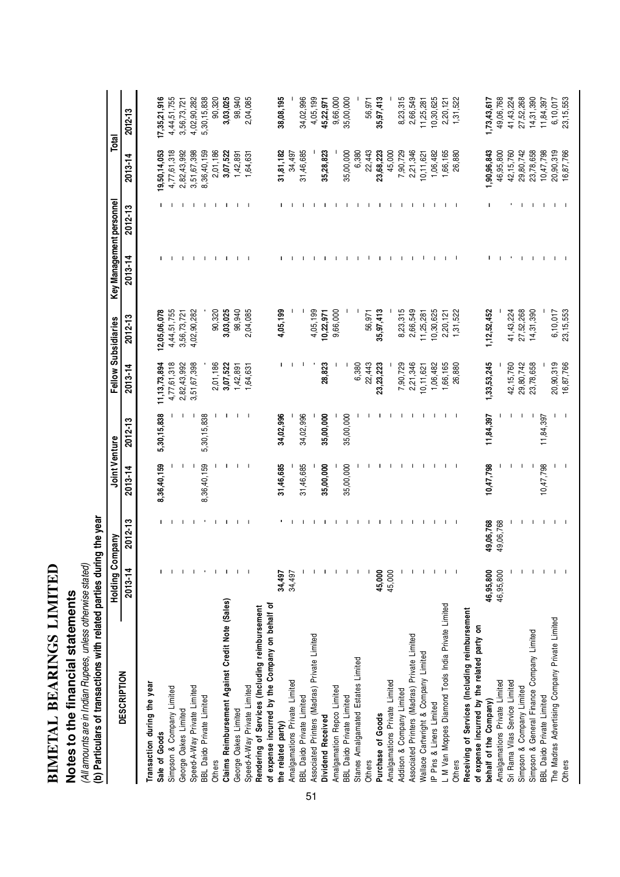| ֦֘                                           |
|----------------------------------------------|
| $\ddot{\phantom{a}}$                         |
|                                              |
| $\overline{\phantom{a}}$<br>-<br>-<br>-<br>- |
|                                              |

# **Notes to the financial statements**

Notes to the financial statements<br>(Allamounts are in Indian Rupees, unless otherwise stated)<br>(b) Particulars of transactions with related parties during the year (b) Particulars of transactions with related parties during the year (All amounts are in Indian Rupees, unless otherwise stated)

|                                                                                                   | <b>Holding Company</b> |             | Joint Venture            |                          |                 | Fellow Subsidiaries | Key Management personnel |                          | Total        |              |
|---------------------------------------------------------------------------------------------------|------------------------|-------------|--------------------------|--------------------------|-----------------|---------------------|--------------------------|--------------------------|--------------|--------------|
| <b>DESCRIPTION</b>                                                                                | 2013-14                | $2012 - 13$ | $2013 - 14$              | c<br>$2012 - 13$         | 2013-14         | $2012 - 13$         | $2013 - 14$              | 2012-13                  | $2013 - 14$  | 2012-13      |
| Transaction during the year                                                                       |                        |             |                          |                          |                 |                     |                          |                          |              |              |
| Sale of Goods                                                                                     |                        |             | 8,36,40,159              | 5,30,15,838              | 11, 13, 73, 894 | 2,05,06,078         |                          |                          | 19,50,14,053 | 17,35,21,916 |
| Simpson & Company Limited                                                                         |                        |             |                          |                          | 4,77,61,318     | 4,44,51,755         |                          |                          | 4,77,61,318  | 4,44,51,755  |
| George Oakes Limited                                                                              |                        |             |                          |                          | 2,82,43,992     | 3,56,73,72          |                          |                          | 2,82,43,992  | 3,56,73,72   |
| Speed-A-Way Private Limited                                                                       |                        |             |                          |                          | 3,51,67,398     | 4,02,90,282         |                          |                          | 3,51,67,398  | 4,02,90,282  |
| BBL Daido Private Limited                                                                         |                        |             | 8,36,40,159              | 5,30,15,838              |                 |                     |                          |                          | 8,36,40,159  | 5,30,15,838  |
| Others                                                                                            |                        | л.          |                          |                          | 2,01,186        | 90,320              |                          | ı                        | 2,01,186     | 90,320       |
| Claims Reimbursement Against Credit Note (Sales)                                                  |                        | J.          |                          |                          | 3,07,522        | 3,03,025            |                          | п                        | 3,07,522     | 3,03,025     |
| George Oakes Limited                                                                              |                        | T.          | L                        |                          | 1,42,891        | 98,940              |                          | T                        | 1,42,891     | 98,940       |
| Speed-A-Way Private Limited                                                                       |                        | J.          | $\overline{\phantom{a}}$ | $\overline{\phantom{a}}$ | 1,64,631        | 2,04,085            |                          | $\mathbf{I}$             | 1,64,631     | 2,04,085     |
| of expense incurred by the Company on behalf of<br>Rendering of Services (Including reimbursement |                        |             |                          |                          |                 |                     |                          |                          |              |              |
|                                                                                                   |                        |             |                          |                          |                 |                     |                          |                          |              |              |
| the related party)                                                                                | 34,497                 |             | 31,46,685                | 34,02,996                |                 | 4,05,199            |                          |                          | 31,81,182    | 38,08,195    |
| Amalgamations Private Limited                                                                     | 34,497                 |             |                          |                          |                 |                     |                          |                          | 34,497       |              |
| BBL Daido Private Limited                                                                         |                        |             | 31,46,685                | 34,02,996                |                 |                     |                          |                          | 31,46,685    | 34,02,996    |
| Associated Printers (Madras) Private Limited                                                      |                        |             |                          |                          |                 | 4,05,199            |                          |                          |              | 4,05,199     |
| Dividend Received                                                                                 |                        |             | 35,00,000                | 35,00,000                | 28,823          | 10,22,971           |                          |                          | 35,28,823    | 45,22,971    |
| Amalgamation Repco Limited                                                                        |                        |             |                          |                          |                 | 9,66,000            |                          |                          |              | 9,66,000     |
| BBL Daido Private Limited                                                                         |                        |             | 35,00,000                | 35,00,000                |                 |                     |                          |                          | 35,00,000    | 35,00,000    |
| Stanes Amalgamated Estates Limited                                                                |                        |             |                          |                          | 6,380           |                     |                          |                          | 6,380        |              |
| Others                                                                                            |                        |             |                          |                          | 22,443          | 56,971              |                          |                          | 22,443       | 56,971       |
| Purchase of Goods                                                                                 | 45,000                 |             |                          |                          | 23,23,223       | 35,97,413           |                          |                          | 23,68,223    | 35,97,413    |
| Amalgamations Private Limited                                                                     | 45,000                 |             |                          |                          |                 |                     |                          |                          | 45,000       |              |
| Addison & Company Limited                                                                         |                        | -1          |                          |                          | 7,90,729        | 8,23,315            |                          |                          | 7,90,729     | 8,23,315     |
| Associated Printers (Madras) Private Limited                                                      |                        | -1          |                          |                          | 2,21,346        | 2,66,549            |                          |                          | 2,21,346     | 2,66,549     |
| Wallace Cartwright & Company Limited                                                              |                        |             |                          |                          | 10, 11, 621     | 11,25,281           |                          |                          | 10, 11, 621  | 11,25,28     |
| IP Pins & Liners Limited                                                                          |                        |             |                          |                          | 1,06,482        | 10,30,625           |                          |                          | 1,06,482     | 10,30,625    |
| L M Van Moppes Diamond Tools India Private Limited                                                |                        | -1          | -1                       | $\mathbf{I}$             | 1,66,165        | 2,20,121            |                          |                          | 1,66,165     | 2,20,121     |
| Others                                                                                            |                        | - 1         | $\mathbf{I}$             | $\mathbf{I}$             | 26,880          | 1,31,522            |                          | $\overline{\phantom{a}}$ | 26,880       | 1,31,522     |
| Receiving of Services (Including reimbursement                                                    |                        |             |                          |                          |                 |                     |                          |                          |              |              |
| of expense incurred by the related party on                                                       |                        |             |                          |                          |                 |                     |                          |                          |              |              |
| behalf of the Company)                                                                            | 46,95,800              | 49,06,768   | 10,47,798                | 11,84,397                | 1,33,53,245     | 1,12,52,452         |                          |                          | 1,90,96,843  | 1,73,43,617  |
| Amalgamations Private Limited                                                                     | 46,95,800              | 49,06,768   |                          |                          |                 |                     |                          |                          | 46,95,800    | 49,06,768    |
| Sri Rama Vilas Service Limited                                                                    |                        |             |                          |                          | 42, 15, 760     | 41,43,224           |                          |                          | 42, 15, 760  | 41, 43, 224  |
| Simpson & Company Limited                                                                         |                        |             |                          |                          | 29,80,742       | 27,52,268           |                          |                          | 29,80,742    | 27,52,268    |
| Simpson & General Finance Company Limited                                                         |                        |             |                          |                          | 23,78,658       | 14,31,390           |                          | $\mathbf{I}$             | 23,78,658    | 14,31,390    |
| <b>BBL Daido Private Limited</b>                                                                  |                        | т.          | 10,47,798                | 11,84,397                |                 |                     |                          | -1                       | 10,47,798    | 11,84,397    |
| The Madras Advertising Company Private Limited                                                    |                        |             |                          |                          | 20,90,319       | 6,10,017            |                          | $\mathbf{I}$             | 20,90,319    | 6,10,017     |
| Others                                                                                            |                        |             |                          |                          | 16,87,766       | 23, 15, 553         |                          |                          | 16,87,766    | 23, 15, 553  |
|                                                                                                   |                        |             |                          |                          |                 |                     |                          |                          |              |              |

51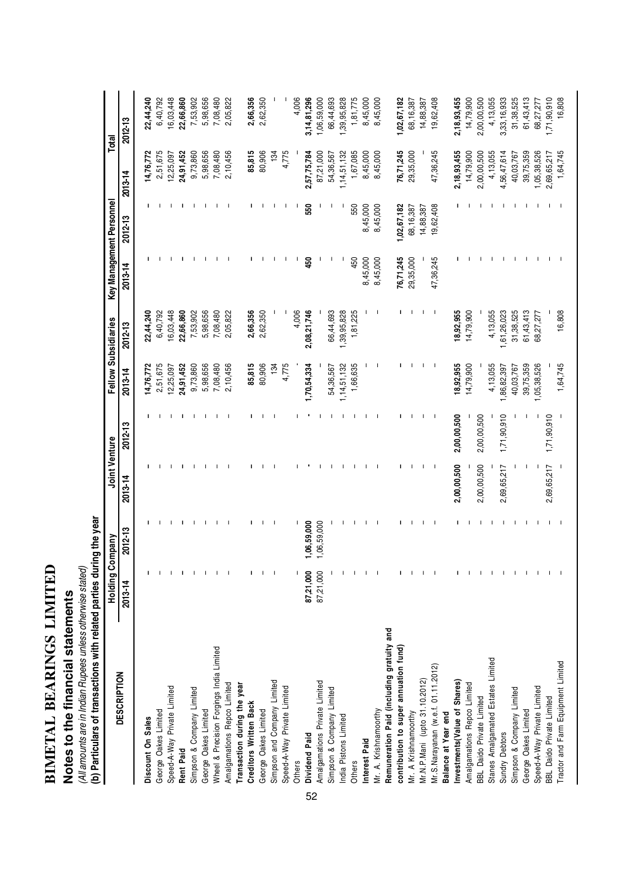| <b>CHEFFER THE SUBSTRIPTION</b> |  |
|---------------------------------|--|
|                                 |  |
|                                 |  |
|                                 |  |
|                                 |  |
|                                 |  |
|                                 |  |
|                                 |  |
|                                 |  |
|                                 |  |
|                                 |  |
|                                 |  |
|                                 |  |
|                                 |  |
|                                 |  |
|                                 |  |
| BIMETAI                         |  |
|                                 |  |

# **Notes to the financial statements**

(All amounts are in Indian Rupees unless otherwise stated)

Notes to the financial statements<br>(All amounts are in Indian Rupees unless otherwise stated)<br>(b) Particulars of transactions with related parties during the year (b) Particulars of transactions with related parties during the year

|                                           | <b>Holding Com</b> | pany         | Joint Venture |             |             | Fellow Subsidiaries |           | Key Management Personnel |             | Total       |
|-------------------------------------------|--------------------|--------------|---------------|-------------|-------------|---------------------|-----------|--------------------------|-------------|-------------|
| <b>DESCRIPTION</b>                        | 2013-14            | 2012-13      | 2013-14       | 2012-13     | 2013-14     | 2012-13             | 2013-14   | 2012-13                  | 2013-14     | 2012-13     |
| Discount On Sales                         |                    |              |               |             | 14,76,772   | 22,44,240           |           |                          | 14,76,772   | 22,44,240   |
| George Oakes Limited                      |                    |              |               |             | 2,51,675    | 6,40,792            |           |                          | 2,51,675    | 6,40,792    |
| Speed-A-Way Private Limited               |                    | $\mathbf{I}$ |               |             | 12,25,097   | 16,03,448           |           |                          | 12,25,097   | 16,03,448   |
| Rent Paid                                 |                    | п            |               | п           | 24,91,452   | 22,66,860           |           |                          | 24,91,452   | 22,66,860   |
| Simpson & Company Limited                 |                    | -1           |               |             | 9,73,860    | 7,53,902            |           |                          | 9,73,860    | 7,53,902    |
| George Oakes Limited                      |                    |              |               |             | 5,98,656    | 5,98,656            |           |                          | 5,98,656    | 5,98,656    |
| Wheel & Precision Forgings India Limited  |                    |              |               |             | 7,08,480    | 7,08,480            |           |                          | 7,08,480    | 7,08,480    |
| Amalgamations Repco Limited               |                    |              |               |             | 2,10,456    | 2,05,822            |           |                          | 2,10,456    | 2,05,822    |
| Transaction during the year               |                    |              |               |             |             |                     |           |                          |             |             |
| <b>Creditors Written Back</b>             |                    |              |               |             | 85,815      | 2,66,356            |           |                          | 85,815      | 2,66,356    |
| George Oakes Limited                      |                    |              |               |             | 80,906      | 2,62,350            |           |                          | 80,906      | 2,62,350    |
| Simpson and Company Limited               |                    |              |               |             | 134         |                     |           |                          | 134         |             |
| Speed-A-Way Private Limited               |                    |              |               |             | 4,775       |                     |           |                          | 4,775       |             |
| <b>Others</b>                             |                    |              |               |             |             | 4,006               |           |                          |             | 4,006       |
| Dividend Paid<br>52                       | 87,21,000          | 06,59,000    |               |             | ,70,54,334  | 2,08,21,746         | 450       | 550                      | 2,57,75,784 | 3,14,81,296 |
| Amalgamations Private Limited             | 87,21,000          | 06,59,000    |               |             |             |                     |           |                          | 87,21,000   | 1,06,59,000 |
| Simpson & Company Limited                 |                    |              |               |             | 54,36,567   | 66,44,693           |           |                          | 54,36,567   | 66,44,693   |
| India Pistons Limited                     |                    |              |               |             | 1,14,51,132 | 1,39,95,828         |           |                          | 1,14,51,132 | 1,39,95,828 |
| Others                                    |                    |              |               |             | 1,66,635    | 1,81,225            | 450       | 550                      | 1,67,085    | 1,81,775    |
| Interest Paid                             |                    |              |               |             |             |                     | 8,45,000  | 8,45,000                 | 8,45,000    | 8,45,000    |
| Mr. A. Krishnamoorthy                     |                    |              |               |             |             |                     | 8,45,000  | 8,45,000                 | 8,45,000    | 8,45,000    |
| Remuneration Paid (including gratuity and |                    |              |               |             |             |                     |           |                          |             |             |
| contribution to super annuation fund)     |                    |              |               |             |             |                     | 76,71,245 | 1,02,67,182              | 76,71,245   | 1,02,67,182 |
| Mr. A Krishnamoorthy                      |                    | -1           |               |             |             |                     | 29,35,000 | 68,16,387                | 29,35,000   | 68, 16, 387 |
| Mr.N.P.Mani (upto 31.10.2012)             |                    |              |               |             |             |                     |           | 14,88,387                |             | 14,88,387   |
| Mr.S.Narayanan (w.e.f. 01.11.2012)        |                    |              | ш             |             |             | J.                  | 47,36,245 | 19,62,408                | 47,36,245   | 19,62,408   |
| Balance at Year end                       |                    |              |               |             |             |                     |           |                          |             |             |
| Investments (Value of Shares)             |                    | п            | 2,00,00,500   | 2,00,00,500 | 18,92,955   | 18,92,955           |           |                          | 2,18,93,455 | 2,18,93,455 |
| Amalgamations Repco Limited               |                    |              |               |             | 14,79,900   | 14,79,900           |           |                          | 14,79,900   | 14,79,900   |
| BBL Daido Private Limited                 |                    | л            | 2,00,00,500   | 2,00,00,500 |             |                     |           |                          | 2,00,00,500 | 2,00,00,500 |
| Stanes Amalgamated Estates Limited        |                    |              |               |             | 4,13,055    | 4,13,055            |           |                          | 4,13,055    | 4,13,055    |
| Sundry Debtors                            |                    | п            | 2,69,65,217   | 1,71,90,910 | ,86,82,397  | 1,61,26,023         |           |                          | 4,56,47,614 | 3,33,16,933 |
| Simpson & Company Limited                 |                    |              |               |             | 40,03,767   | 31,38,525           |           |                          | 40,03,767   | 31,38,525   |
| George Oakes Limited                      |                    | -1           |               |             | 39,75,359   | 61,43,413           |           |                          | 39,75,359   | 61,43,413   |
| Speed-A-Way Private Limited               |                    | ш            |               | ı           | 1,05,38,526 | 68,27,277           |           |                          | 1,05,38,526 | 68,27,277   |
| <b>BBL Daido Private Limited</b>          |                    |              | 2,69,65,217   | 1,71,90,910 |             |                     |           |                          | 2,69,65,217 | 1,71,90,910 |
| Tractor and Farm Equipment Limited        |                    |              |               |             | 1,64,745    | 16,808              |           |                          | 1,64,745    | 16,808      |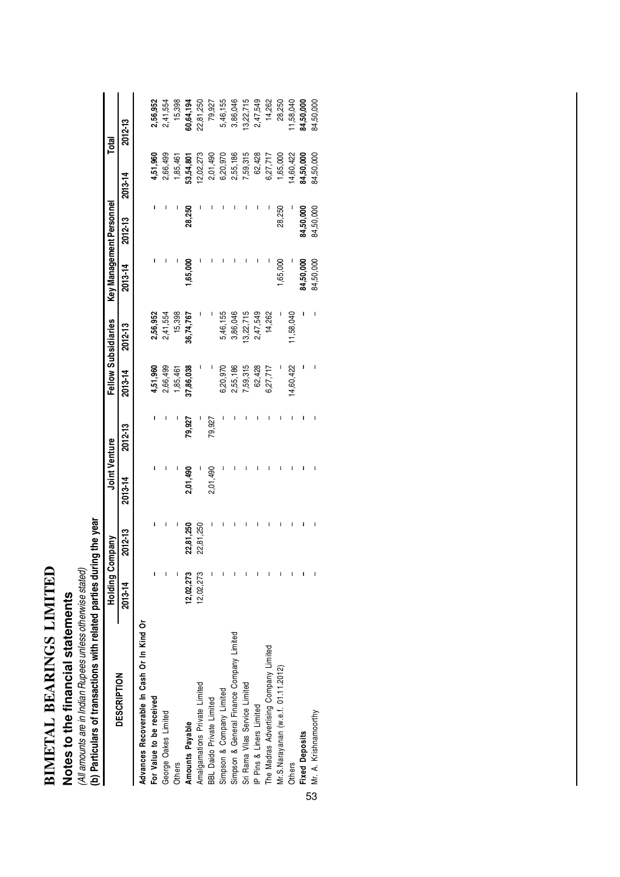| <b>FINER PRESERVE</b> |  |
|-----------------------|--|
|                       |  |
| <b>DEADLY</b>         |  |
|                       |  |
|                       |  |
|                       |  |
|                       |  |
|                       |  |
|                       |  |
|                       |  |
|                       |  |
| <b>INTERNATION</b>    |  |
|                       |  |
|                       |  |

# Notes to the financial statements **Notes to the financial statements**

(All amounts are in Indian Rupees unless otherwise stated)<br>(b) Particulars of transactions with related parties during the year (b) Particulars of transactions with related parties during the year (All amounts are in Indian Rupees unless otherwise stated)

|                                            | Holding Con | npany     | Joint Venture |         |           | Fellow Subsidiaries | Key Management Personnel |           |           | Total     |
|--------------------------------------------|-------------|-----------|---------------|---------|-----------|---------------------|--------------------------|-----------|-----------|-----------|
| <b>DESCRIPTION</b>                         | 2013-14     | 2012-13   | 2013-14       | 2012-13 | 2013-14   | 2012-13             | 2013-14                  | 2012-13   | 2013-14   | 2012-13   |
| Advances Recoverable In Cash Or In Kind Or |             |           |               |         |           |                     |                          |           |           |           |
| For Value to be received                   |             |           |               |         | 4,51,960  | 2,56,952            |                          |           | 4,51,960  | 2,56,952  |
| George Oakes Limited                       |             |           |               |         | 2,66,499  | 2,41,554            |                          |           | 2,66,499  | 2,41,554  |
| <b>Others</b>                              |             |           |               |         | 1,85,461  | 15,398              |                          |           | 1,85,461  | 15,398    |
| Amounts Payable                            | 12,02,273   | 22,81,250 | 2,01,490      | 79,927  | 37,86,038 | 36,74,767           | ,65,000                  | 28,250    | 13,54,801 | 30,64,194 |
| Amalgamations Private Limited              | 12,02,273   | 22,81,250 |               |         |           |                     |                          |           | 2,02,273  | 22,81,250 |
| <b>BBL Daido Private Limited</b>           |             |           | 2,01,490      | 79,927  |           |                     |                          |           | 2,01,490  | 79,927    |
| Simpson & Company Limited                  |             |           |               |         | 6,20,970  | 5,46,155            |                          |           | 6,20,970  | 5,46,155  |
| Simpson & General Finance Company Limited  |             |           |               |         | 2,55,186  | 3,86,046            |                          |           | 2,55,186  | 3,86,046  |
| Sri Rama Vilas Service Limited             |             |           |               |         | 7,59,315  | 3,22,715            |                          |           | 7,59,315  | 3,22,715  |
| IP Pins & Liners Limited                   |             |           |               |         | 62,428    | 2,47,549            |                          |           | 62,428    | 2,47,549  |
| The Madras Advertising Company Limited     |             |           |               |         | 6,27,717  | 14,262              |                          |           | 6,27,717  | 14,262    |
| Mr.S.Narayanan (w.e.f. 01.11.2012)         |             |           |               |         |           |                     | ,65,000                  | 28,250    | 1,65,000  | 28,250    |
| <b>Others</b>                              |             |           |               |         | 4,60,422  | 1,58,040            |                          |           | 4,60,422  | 1,58,040  |
| <b>Fixed Deposits</b>                      |             |           |               |         |           |                     | 14,50,000                | 34,50,000 | 14,50,000 | 84,50,000 |
| CJ Mr. A. Krishnamoorthy                   |             |           |               |         |           |                     | 84,50,000                | 84,50,000 | 84,50,000 | 84,50,000 |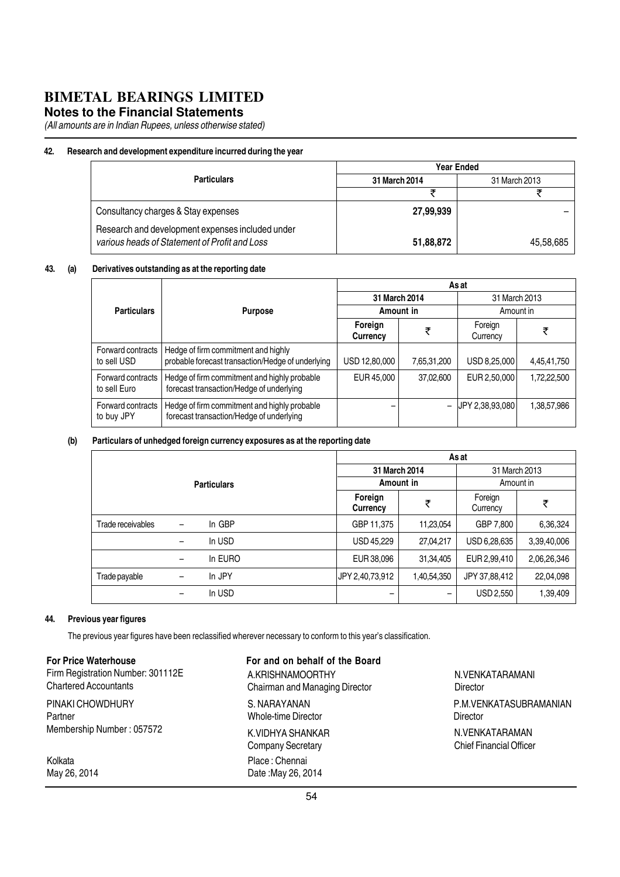#### **Notes to the Financial Statements**

(All amounts are in Indian Rupees, unless otherwise stated)

#### 42. Research and development expenditure incurred during the year

|                                                                                                   | Year Ended    |               |  |  |
|---------------------------------------------------------------------------------------------------|---------------|---------------|--|--|
| <b>Particulars</b>                                                                                | 31 March 2014 | 31 March 2013 |  |  |
|                                                                                                   |               |               |  |  |
| Consultancy charges & Stay expenses                                                               | 27,99,939     |               |  |  |
| Research and development expenses included under<br>various heads of Statement of Profit and Loss | 51,88,872     | 45,58,685     |  |  |

#### 43. (a) Derivatives outstanding as at the reporting date

|                                   |                                                                                          | As at               |                          |                     |             |  |
|-----------------------------------|------------------------------------------------------------------------------------------|---------------------|--------------------------|---------------------|-------------|--|
|                                   |                                                                                          | 31 March 2014       |                          | 31 March 2013       |             |  |
| <b>Particulars</b>                | <b>Purpose</b>                                                                           |                     | Amount in                | Amount in           |             |  |
|                                   |                                                                                          | Foreign<br>Currency | ₹                        | Foreign<br>Currency | ₹           |  |
| Forward contracts<br>to sell USD  | Hedge of firm commitment and highly<br>probable forecast transaction/Hedge of underlying | USD 12,80,000       | 7,65,31,200              | USD 8,25,000        | 4,45,41,750 |  |
| Forward contracts<br>to sell Euro | Hedge of firm commitment and highly probable<br>forecast transaction/Hedge of underlying | EUR 45,000          | 37,02,600                | EUR 2,50,000        | 1,72,22,500 |  |
| Forward contracts<br>to buy JPY   | Hedge of firm commitment and highly probable<br>forecast transaction/Hedge of underlying |                     | $\overline{\phantom{0}}$ | UPY 2,38,93,080     | 1,38,57,986 |  |

#### (b) Particulars of unhedged foreign currency exposures as at the reporting date

|                   |                          |         | As at               |             |                     |               |
|-------------------|--------------------------|---------|---------------------|-------------|---------------------|---------------|
|                   |                          |         | 31 March 2014       |             |                     | 31 March 2013 |
|                   | <b>Particulars</b>       |         | Amount in           |             | Amount in           |               |
|                   |                          |         | Foreign<br>Currency | ₹           | Foreign<br>Currency | ₹             |
| Trade receivables | $\overline{\phantom{m}}$ | In GBP  | GBP 11,375          | 11,23,054   | GBP 7,800           | 6,36,324      |
|                   | $\overline{\phantom{a}}$ | In USD  | USD 45,229          | 27,04,217   | USD 6,28,635        | 3,39,40,006   |
|                   | $\overline{\phantom{m}}$ | In EURO | EUR 38,096          | 31,34,405   | EUR 2,99,410        | 2,06,26,346   |
| Trade payable     | $\qquad \qquad -$        | In JPY  | JPY 2,40,73,912     | 1,40,54,350 | JPY 37,88,412       | 22,04,098     |
|                   | -                        | In USD  | -                   |             | USD 2,550           | 1,39,409      |

#### 44. Previous year figures

The previous year figures have been reclassified wherever necessary to conform to this year's classification.

For Price Waterhouse Firm Registration Number: 301112E Chartered Accountants

PINAKI CHOWDHURY Partner Membership Number : 057572

Kolkata May 26, 2014 For and on behalf of the Board A.KRISHNAMOORTHY Chairman and Managing Director S. NARAYANAN Whole-time Director K.VIDHYA SHANKAR Company Secretary Place : Chennai Date :May 26, 2014

N.VENKATARAMANI **Director** N.VENKATARAMAN Chief Financial Officer P.M.VENKATASUBRAMANIAN **Director**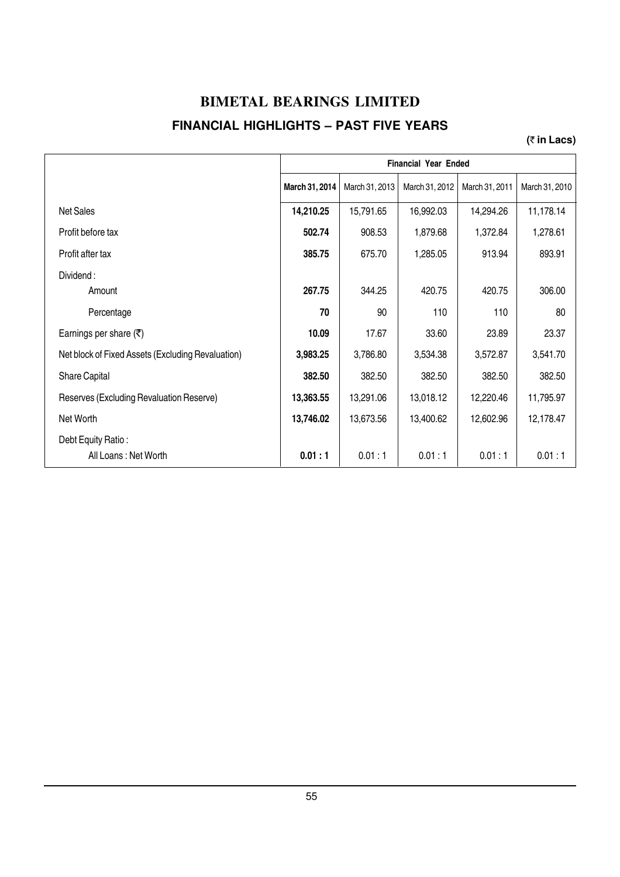#### **BIMETAL BEARINGS LIMITED FINANCIAL HIGHLIGHTS – PAST FIVE YEARS**

#### **(**` **in Lacs)**

|                                                   | <b>Financial Year Ended</b> |                |                |                |                |  |
|---------------------------------------------------|-----------------------------|----------------|----------------|----------------|----------------|--|
|                                                   | March 31, 2014              | March 31, 2013 | March 31, 2012 | March 31, 2011 | March 31, 2010 |  |
| <b>Net Sales</b>                                  | 14,210.25                   | 15,791.65      | 16,992.03      | 14,294.26      | 11,178.14      |  |
| Profit before tax                                 | 502.74                      | 908.53         | 1,879.68       | 1,372.84       | 1,278.61       |  |
| Profit after tax                                  | 385.75                      | 675.70         | 1,285.05       | 913.94         | 893.91         |  |
| Dividend:<br>Amount                               | 267.75                      | 344.25         | 420.75         | 420.75         | 306.00         |  |
| Percentage                                        | 70                          | 90             | 110            | 110            | 80             |  |
| Earnings per share $(\overline{\tau})$            | 10.09                       | 17.67          | 33.60          | 23.89          | 23.37          |  |
| Net block of Fixed Assets (Excluding Revaluation) | 3,983.25                    | 3,786.80       | 3,534.38       | 3,572.87       | 3,541.70       |  |
| Share Capital                                     | 382.50                      | 382.50         | 382.50         | 382.50         | 382.50         |  |
| Reserves (Excluding Revaluation Reserve)          | 13,363.55                   | 13,291.06      | 13,018.12      | 12,220.46      | 11,795.97      |  |
| Net Worth                                         | 13,746.02                   | 13,673.56      | 13,400.62      | 12,602.96      | 12,178.47      |  |
| Debt Equity Ratio:<br>All Loans: Net Worth        | 0.01:1                      | 0.01:1         | 0.01:1         | 0.01:1         | 0.01:1         |  |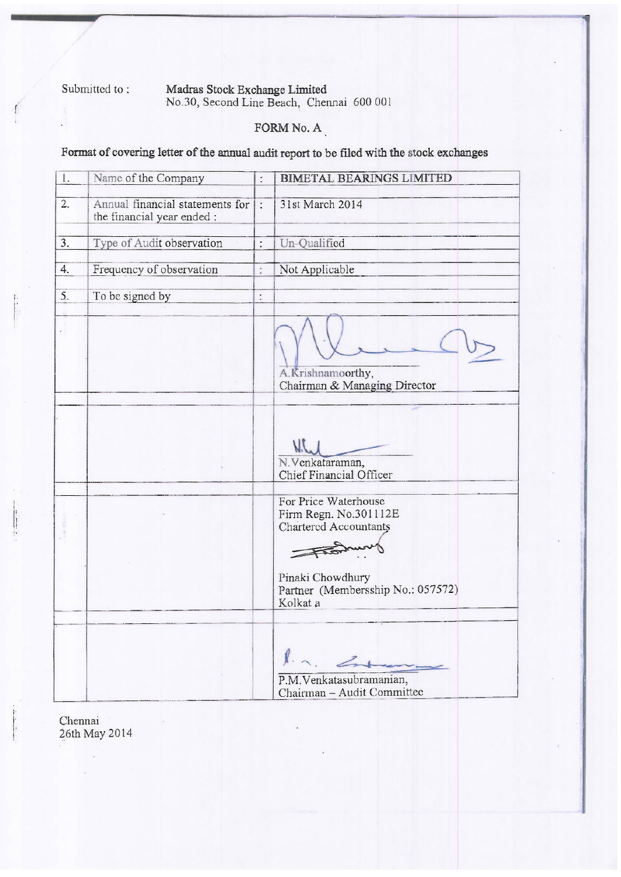Submitted to:

#### Madras Stock Exchange Limited<br>No.30, Second Line Beach, Chennai 600 001

#### FORM No. A

Format of covering letter of the annual audit report to be filed with the stock exchanges

| 1. | Name of the Company                                           | $\vdots$       | <b>BIMETAL BEARINGS LIMITED</b>                                                                                                                            |
|----|---------------------------------------------------------------|----------------|------------------------------------------------------------------------------------------------------------------------------------------------------------|
| 2. | Annual financial statements for<br>the financial year ended : | $\cdot$        | 31st March 2014                                                                                                                                            |
| 3. | Type of Audit observation                                     | $\ddot{\cdot}$ | Un-Qualified                                                                                                                                               |
| 4. | Frequency of observation                                      | ÷              | Not Applicable                                                                                                                                             |
| 5. | To be signed by                                               | $\ddot{\cdot}$ |                                                                                                                                                            |
|    |                                                               |                | A.Krishnamoorthy,<br>Chairman & Managing Director                                                                                                          |
|    |                                                               |                | VIL<br>N. Venkataraman,<br>Chief Financial Officer                                                                                                         |
|    |                                                               |                | For Price Waterhouse<br>Firm Regn. No.301112E<br><b>Chartered Accountants</b><br>From<br>Pinaki Chowdhury<br>Partner (Membersship No.: 057572)<br>Kolkat a |
|    |                                                               |                | In Entered<br>P.M.Venkatasubramanian,<br>Chairman - Audit Committee                                                                                        |

Chennai 26th May 2014